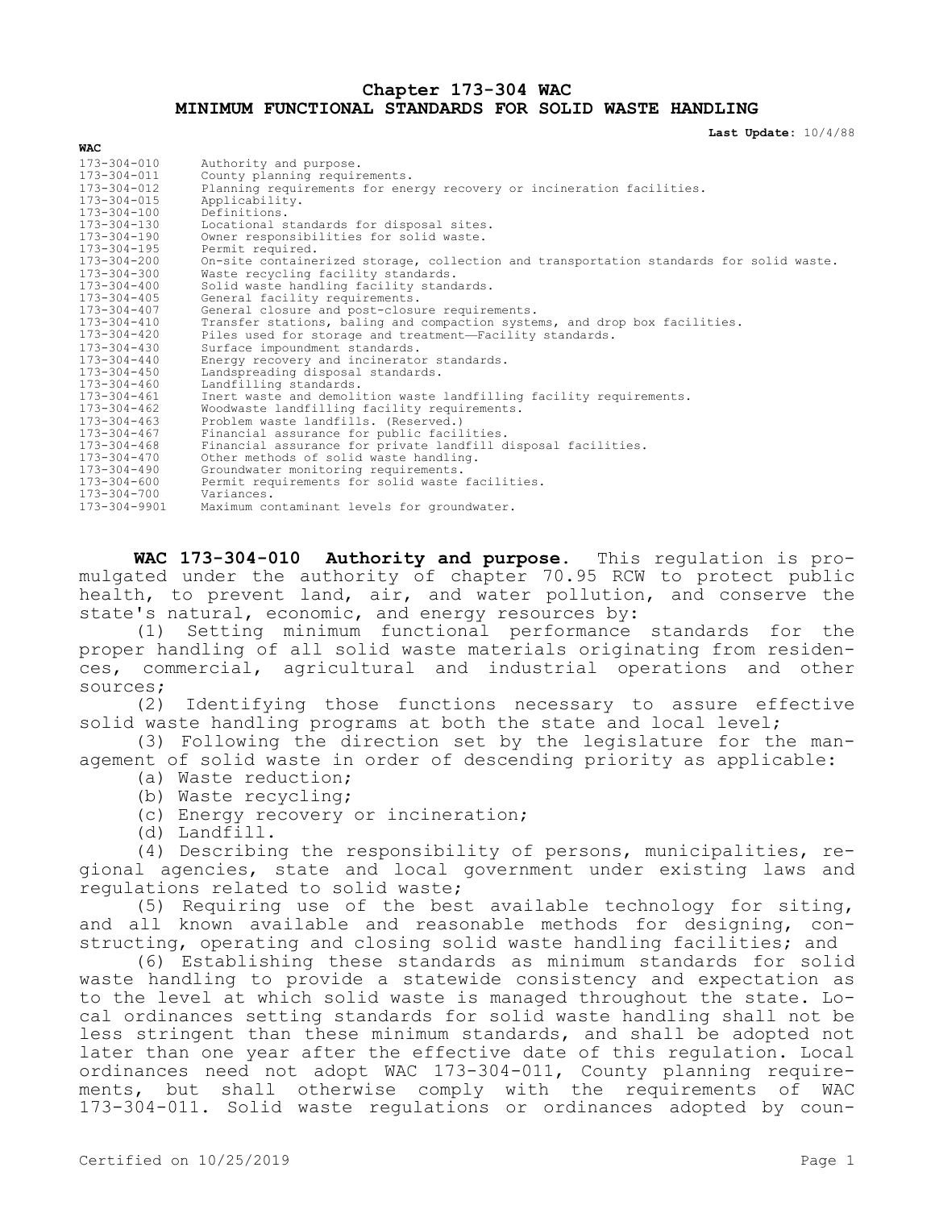#### **Chapter 173-304 WAC MINIMUM FUNCTIONAL STANDARDS FOR SOLID WASTE HANDLING**

**Last Update:** 10/4/88

| <b>WAC</b>        |                                                                                         |
|-------------------|-----------------------------------------------------------------------------------------|
| $173 - 304 - 010$ | Authority and purpose.                                                                  |
| $173 - 304 - 011$ | County planning requirements.                                                           |
| 173-304-012       | Planning requirements for energy recovery or incineration facilities.                   |
| $173 - 304 - 015$ | Applicability.                                                                          |
| $173 - 304 - 100$ | Definitions.                                                                            |
| 173-304-130       | Locational standards for disposal sites.                                                |
| 173-304-190       | Owner responsibilities for solid waste.                                                 |
| $173 - 304 - 195$ | Permit required.                                                                        |
| 173-304-200       | On-site containerized storage, collection and transportation standards for solid waste. |
| 173-304-300       | Waste recycling facility standards.                                                     |
| $173 - 304 - 400$ | Solid waste handling facility standards.                                                |
| $173 - 304 - 405$ | General facility requirements.                                                          |
| $173 - 304 - 407$ | General closure and post-closure requirements.                                          |
| 173-304-410       | Transfer stations, baling and compaction systems, and drop box facilities.              |
| 173-304-420       | Piles used for storage and treatment-Facility standards.                                |
| $173 - 304 - 430$ | Surface impoundment standards.                                                          |
| $173 - 304 - 440$ | Energy recovery and incinerator standards.                                              |
| $173 - 304 - 450$ | Landspreading disposal standards.                                                       |
| $173 - 304 - 460$ | Landfilling standards.                                                                  |
| $173 - 304 - 461$ | Inert waste and demolition waste landfilling facility requirements.                     |
| $173 - 304 - 462$ | Woodwaste landfilling facility requirements.                                            |
| $173 - 304 - 463$ | Problem waste landfills. (Reserved.)                                                    |
| $173 - 304 - 467$ | Financial assurance for public facilities.                                              |
| $173 - 304 - 468$ | Financial assurance for private landfill disposal facilities.                           |
| $173 - 304 - 470$ | Other methods of solid waste handling.                                                  |
| $173 - 304 - 490$ | Groundwater monitoring requirements.                                                    |
| $173 - 304 - 600$ | Permit requirements for solid waste facilities.                                         |
| $173 - 304 - 700$ | Variances.                                                                              |
| 173-304-9901      | Maximum contaminant levels for groundwater.                                             |

**WAC 173-304-010 Authority and purpose.** This regulation is promulgated under the authority of chapter 70.95 RCW to protect public health, to prevent land, air, and water pollution, and conserve the state's natural, economic, and energy resources by:

(1) Setting minimum functional performance standards for the proper handling of all solid waste materials originating from residences, commercial, agricultural and industrial operations and other sources;

(2) Identifying those functions necessary to assure effective solid waste handling programs at both the state and local level;

(3) Following the direction set by the legislature for the management of solid waste in order of descending priority as applicable:

- (a) Waste reduction;
- (b) Waste recycling;
- (c) Energy recovery or incineration;
- (d) Landfill.

(4) Describing the responsibility of persons, municipalities, regional agencies, state and local government under existing laws and regulations related to solid waste;

(5) Requiring use of the best available technology for siting, and all known available and reasonable methods for designing, constructing, operating and closing solid waste handling facilities; and

(6) Establishing these standards as minimum standards for solid waste handling to provide a statewide consistency and expectation as to the level at which solid waste is managed throughout the state. Local ordinances setting standards for solid waste handling shall not be less stringent than these minimum standards, and shall be adopted not later than one year after the effective date of this regulation. Local ordinances need not adopt WAC 173-304-011, County planning requirements, but shall otherwise comply with the requirements of WAC 173-304-011. Solid waste regulations or ordinances adopted by coun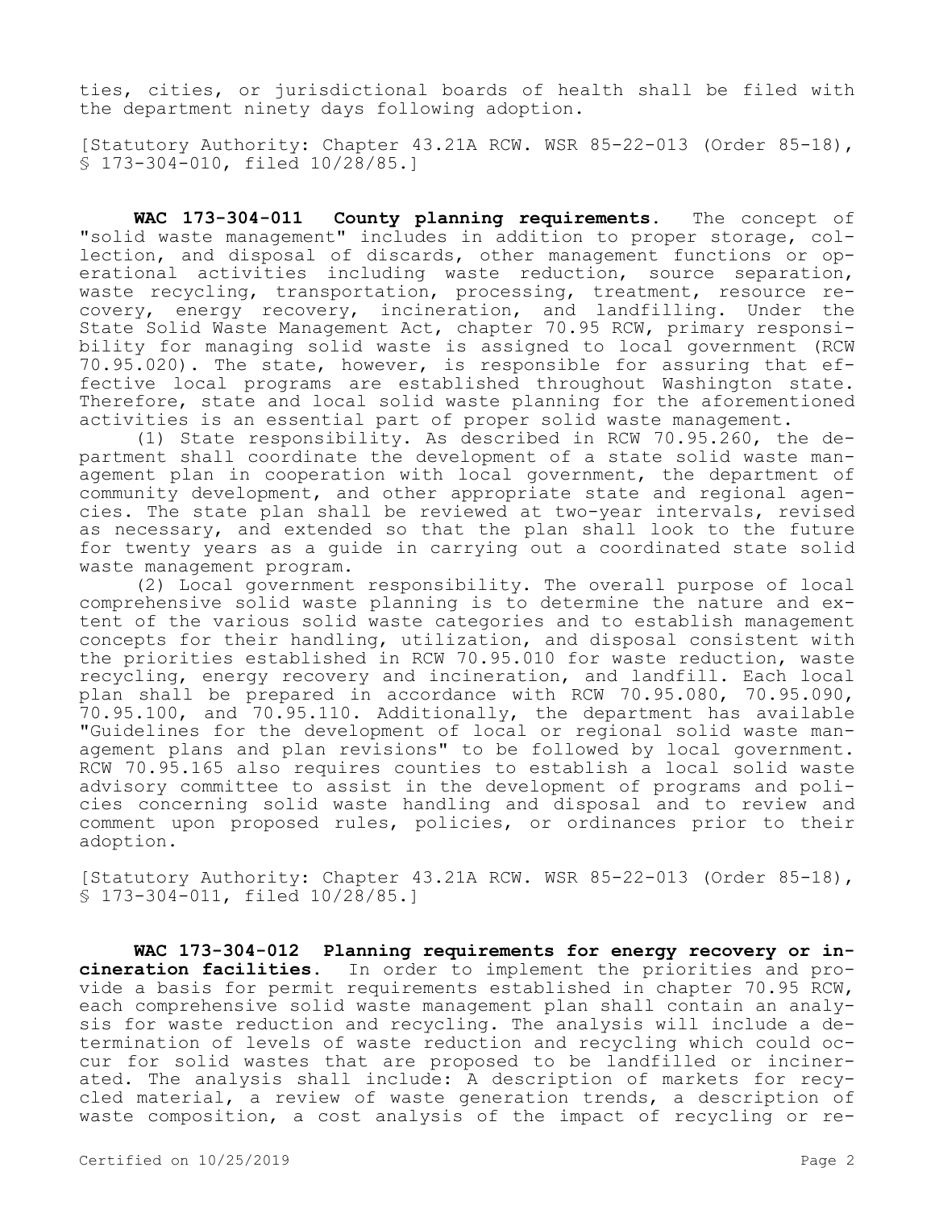ties, cities, or jurisdictional boards of health shall be filed with the department ninety days following adoption.

[Statutory Authority: Chapter 43.21A RCW. WSR 85-22-013 (Order 85-18), § 173-304-010, filed 10/28/85.]

**WAC 173-304-011 County planning requirements.** The concept of "solid waste management" includes in addition to proper storage, collection, and disposal of discards, other management functions or operational activities including waste reduction, source separation, waste recycling, transportation, processing, treatment, resource recovery, energy recovery, incineration, and landfilling. Under the State Solid Waste Management Act, chapter 70.95 RCW, primary responsibility for managing solid waste is assigned to local government (RCW 70.95.020). The state, however, is responsible for assuring that effective local programs are established throughout Washington state. Therefore, state and local solid waste planning for the aforementioned activities is an essential part of proper solid waste management.

(1) State responsibility. As described in RCW 70.95.260, the department shall coordinate the development of a state solid waste management plan in cooperation with local government, the department of community development, and other appropriate state and regional agencies. The state plan shall be reviewed at two-year intervals, revised as necessary, and extended so that the plan shall look to the future for twenty years as a guide in carrying out a coordinated state solid waste management program.

(2) Local government responsibility. The overall purpose of local comprehensive solid waste planning is to determine the nature and extent of the various solid waste categories and to establish management concepts for their handling, utilization, and disposal consistent with the priorities established in RCW 70.95.010 for waste reduction, waste recycling, energy recovery and incineration, and landfill. Each local plan shall be prepared in accordance with RCW 70.95.080, 70.95.090, 70.95.100, and 70.95.110. Additionally, the department has available "Guidelines for the development of local or regional solid waste management plans and plan revisions" to be followed by local government. RCW 70.95.165 also requires counties to establish a local solid waste advisory committee to assist in the development of programs and policies concerning solid waste handling and disposal and to review and comment upon proposed rules, policies, or ordinances prior to their adoption.

[Statutory Authority: Chapter 43.21A RCW. WSR 85-22-013 (Order 85-18), § 173-304-011, filed 10/28/85.]

**WAC 173-304-012 Planning requirements for energy recovery or incineration facilities.** In order to implement the priorities and provide a basis for permit requirements established in chapter 70.95 RCW, each comprehensive solid waste management plan shall contain an analysis for waste reduction and recycling. The analysis will include a determination of levels of waste reduction and recycling which could occur for solid wastes that are proposed to be landfilled or incinerated. The analysis shall include: A description of markets for recycled material, a review of waste generation trends, a description of waste composition, a cost analysis of the impact of recycling or re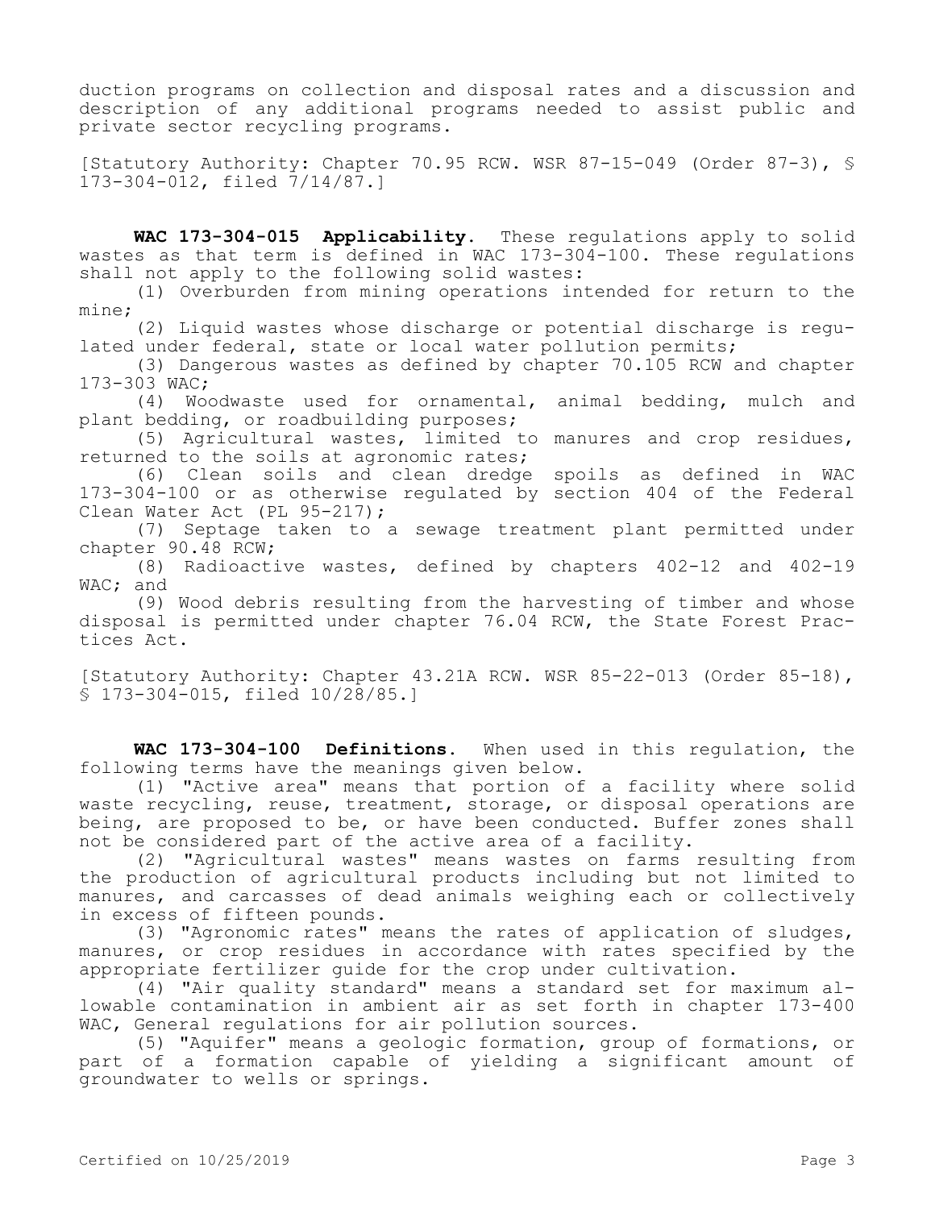duction programs on collection and disposal rates and a discussion and description of any additional programs needed to assist public and private sector recycling programs.

[Statutory Authority: Chapter 70.95 RCW. WSR 87-15-049 (Order 87-3), § 173-304-012, filed 7/14/87.]

**WAC 173-304-015 Applicability.** These regulations apply to solid wastes as that term is defined in WAC 173-304-100. These regulations shall not apply to the following solid wastes:

(1) Overburden from mining operations intended for return to the mine;

(2) Liquid wastes whose discharge or potential discharge is regulated under federal, state or local water pollution permits;

(3) Dangerous wastes as defined by chapter 70.105 RCW and chapter 173-303 WAC;

(4) Woodwaste used for ornamental, animal bedding, mulch and plant bedding, or roadbuilding purposes;

(5) Agricultural wastes, limited to manures and crop residues, returned to the soils at agronomic rates;

(6) Clean soils and clean dredge spoils as defined in WAC 173-304-100 or as otherwise regulated by section 404 of the Federal Clean Water Act (PL 95-217);

(7) Septage taken to a sewage treatment plant permitted under chapter 90.48 RCW;

(8) Radioactive wastes, defined by chapters 402-12 and 402-19 WAC: and

(9) Wood debris resulting from the harvesting of timber and whose disposal is permitted under chapter 76.04 RCW, the State Forest Practices Act.

[Statutory Authority: Chapter 43.21A RCW. WSR 85-22-013 (Order 85-18), § 173-304-015, filed 10/28/85.]

**WAC 173-304-100 Definitions.** When used in this regulation, the following terms have the meanings given below.

(1) "Active area" means that portion of a facility where solid waste recycling, reuse, treatment, storage, or disposal operations are being, are proposed to be, or have been conducted. Buffer zones shall not be considered part of the active area of a facility.

(2) "Agricultural wastes" means wastes on farms resulting from the production of agricultural products including but not limited to manures, and carcasses of dead animals weighing each or collectively in excess of fifteen pounds.

(3) "Agronomic rates" means the rates of application of sludges, manures, or crop residues in accordance with rates specified by the appropriate fertilizer guide for the crop under cultivation.

(4) "Air quality standard" means a standard set for maximum allowable contamination in ambient air as set forth in chapter 173-400 WAC, General requlations for air pollution sources.

(5) "Aquifer" means a geologic formation, group of formations, or part of a formation capable of yielding a significant amount of groundwater to wells or springs.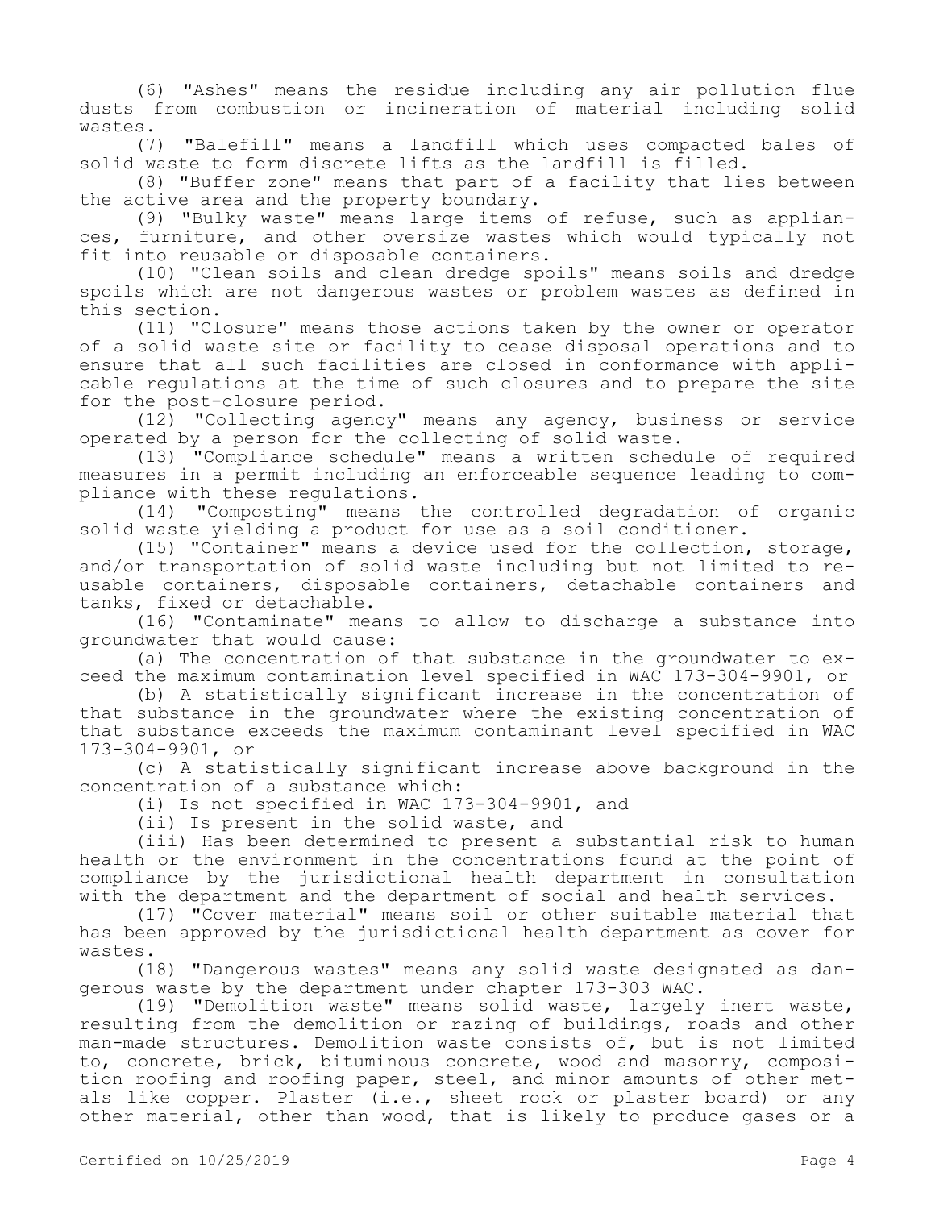(6) "Ashes" means the residue including any air pollution flue dusts from combustion or incineration of material including solid wastes.

(7) "Balefill" means a landfill which uses compacted bales of solid waste to form discrete lifts as the landfill is filled.

(8) "Buffer zone" means that part of a facility that lies between the active area and the property boundary.

(9) "Bulky waste" means large items of refuse, such as appliances, furniture, and other oversize wastes which would typically not fit into reusable or disposable containers.

(10) "Clean soils and clean dredge spoils" means soils and dredge spoils which are not dangerous wastes or problem wastes as defined in this section.

(11) "Closure" means those actions taken by the owner or operator of a solid waste site or facility to cease disposal operations and to ensure that all such facilities are closed in conformance with applicable regulations at the time of such closures and to prepare the site for the post-closure period.

(12) "Collecting agency" means any agency, business or service operated by a person for the collecting of solid waste.

(13) "Compliance schedule" means a written schedule of required measures in a permit including an enforceable sequence leading to compliance with these regulations.

(14) "Composting" means the controlled degradation of organic solid waste yielding a product for use as a soil conditioner.

(15) "Container" means a device used for the collection, storage, and/or transportation of solid waste including but not limited to reusable containers, disposable containers, detachable containers and tanks, fixed or detachable.

(16) "Contaminate" means to allow to discharge a substance into groundwater that would cause:

(a) The concentration of that substance in the groundwater to exceed the maximum contamination level specified in WAC 173-304-9901, or

(b) A statistically significant increase in the concentration of that substance in the groundwater where the existing concentration of that substance exceeds the maximum contaminant level specified in WAC 173-304-9901, or

(c) A statistically significant increase above background in the concentration of a substance which:

(i) Is not specified in WAC 173-304-9901, and

(ii) Is present in the solid waste, and

(iii) Has been determined to present a substantial risk to human health or the environment in the concentrations found at the point of compliance by the jurisdictional health department in consultation with the department and the department of social and health services.

(17) "Cover material" means soil or other suitable material that has been approved by the jurisdictional health department as cover for wastes.

(18) "Dangerous wastes" means any solid waste designated as dangerous waste by the department under chapter 173-303 WAC.

(19) "Demolition waste" means solid waste, largely inert waste, resulting from the demolition or razing of buildings, roads and other man-made structures. Demolition waste consists of, but is not limited to, concrete, brick, bituminous concrete, wood and masonry, composition roofing and roofing paper, steel, and minor amounts of other metals like copper. Plaster (i.e., sheet rock or plaster board) or any other material, other than wood, that is likely to produce gases or a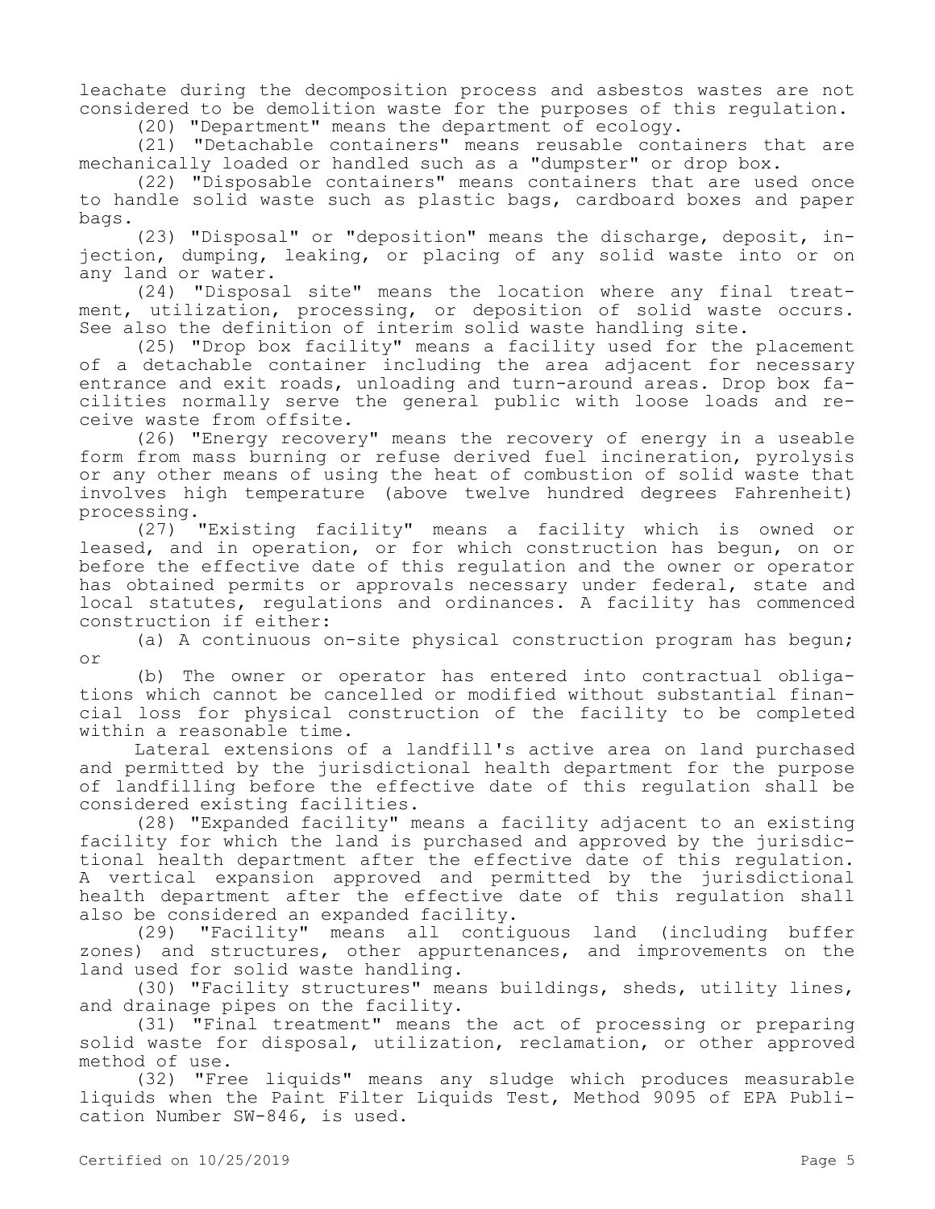leachate during the decomposition process and asbestos wastes are not considered to be demolition waste for the purposes of this regulation.

(20) "Department" means the department of ecology. (21) "Detachable containers" means reusable containers that are

mechanically loaded or handled such as a "dumpster" or drop box.

(22) "Disposable containers" means containers that are used once to handle solid waste such as plastic bags, cardboard boxes and paper bags.

(23) "Disposal" or "deposition" means the discharge, deposit, injection, dumping, leaking, or placing of any solid waste into or on any land or water.

(24) "Disposal site" means the location where any final treatment, utilization, processing, or deposition of solid waste occurs. See also the definition of interim solid waste handling site.

(25) "Drop box facility" means a facility used for the placement of a detachable container including the area adjacent for necessary entrance and exit roads, unloading and turn-around areas. Drop box facilities normally serve the general public with loose loads and receive waste from offsite.

(26) "Energy recovery" means the recovery of energy in a useable form from mass burning or refuse derived fuel incineration, pyrolysis or any other means of using the heat of combustion of solid waste that involves high temperature (above twelve hundred degrees Fahrenheit) processing.<br> $(27)$ 

"Existing facility" means a facility which is owned or leased, and in operation, or for which construction has begun, on or before the effective date of this regulation and the owner or operator has obtained permits or approvals necessary under federal, state and local statutes, regulations and ordinances. A facility has commenced construction if either:

(a) A continuous on-site physical construction program has begun; or

(b) The owner or operator has entered into contractual obligations which cannot be cancelled or modified without substantial financial loss for physical construction of the facility to be completed within a reasonable time.

Lateral extensions of a landfill's active area on land purchased and permitted by the jurisdictional health department for the purpose of landfilling before the effective date of this regulation shall be considered existing facilities.

(28) "Expanded facility" means a facility adjacent to an existing facility for which the land is purchased and approved by the jurisdictional health department after the effective date of this regulation. A vertical expansion approved and permitted by the jurisdictional health department after the effective date of this regulation shall also be considered an expanded facility.

(29) "Facility" means all contiguous land (including buffer zones) and structures, other appurtenances, and improvements on the land used for solid waste handling.

(30) "Facility structures" means buildings, sheds, utility lines, and drainage pipes on the facility.

(31) "Final treatment" means the act of processing or preparing solid waste for disposal, utilization, reclamation, or other approved method of use.

(32) "Free liquids" means any sludge which produces measurable liquids when the Paint Filter Liquids Test, Method 9095 of EPA Publication Number SW-846, is used.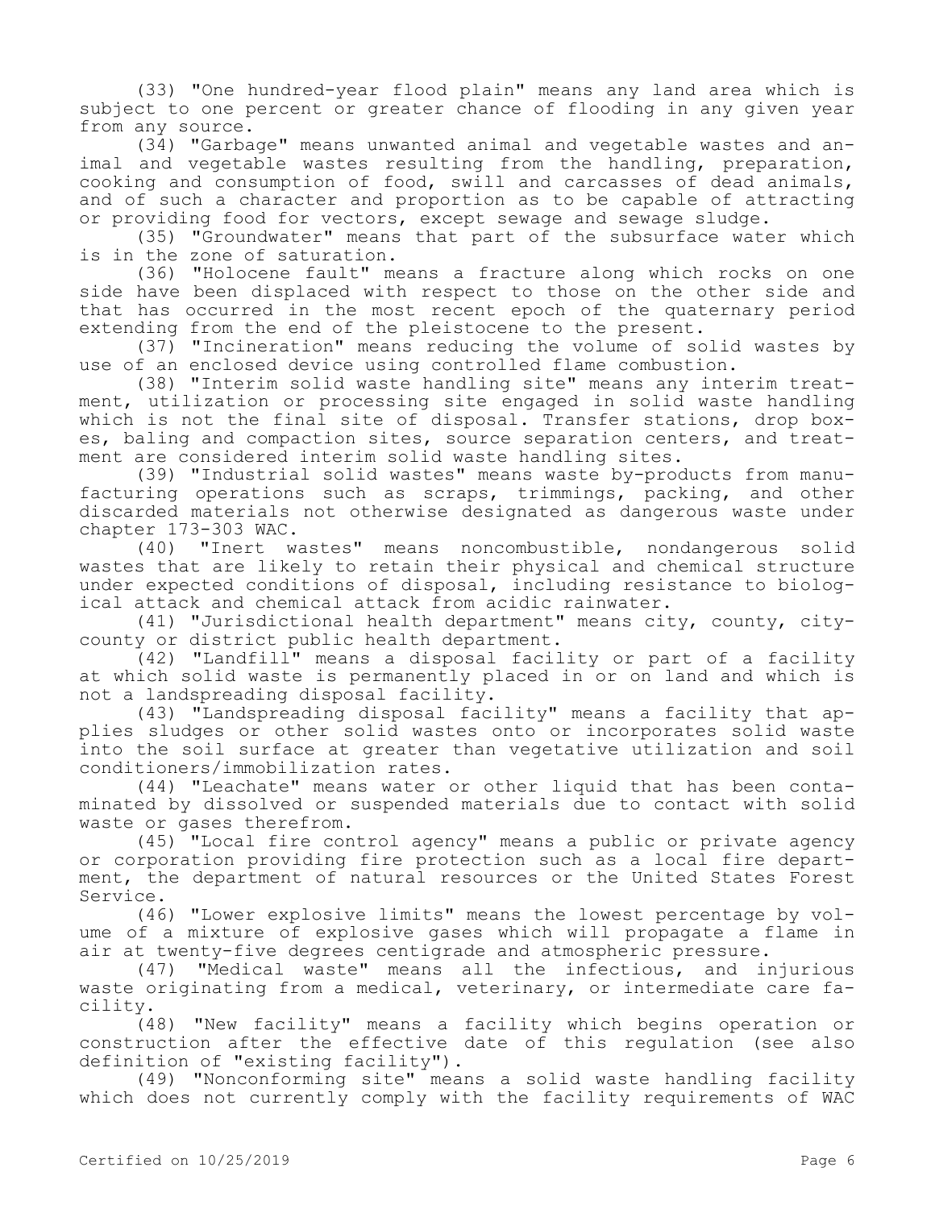(33) "One hundred-year flood plain" means any land area which is subject to one percent or greater chance of flooding in any given year from any source.

(34) "Garbage" means unwanted animal and vegetable wastes and animal and vegetable wastes resulting from the handling, preparation, cooking and consumption of food, swill and carcasses of dead animals, and of such a character and proportion as to be capable of attracting or providing food for vectors, except sewage and sewage sludge.

(35) "Groundwater" means that part of the subsurface water which is in the zone of saturation.

(36) "Holocene fault" means a fracture along which rocks on one side have been displaced with respect to those on the other side and that has occurred in the most recent epoch of the quaternary period extending from the end of the pleistocene to the present.

(37) "Incineration" means reducing the volume of solid wastes by use of an enclosed device using controlled flame combustion.

(38) "Interim solid waste handling site" means any interim treatment, utilization or processing site engaged in solid waste handling which is not the final site of disposal. Transfer stations, drop boxes, baling and compaction sites, source separation centers, and treatment are considered interim solid waste handling sites.

(39) "Industrial solid wastes" means waste by-products from manufacturing operations such as scraps, trimmings, packing, and other discarded materials not otherwise designated as dangerous waste under chapter 173-303 WAC.

(40) "Inert wastes" means noncombustible, nondangerous solid wastes that are likely to retain their physical and chemical structure under expected conditions of disposal, including resistance to biological attack and chemical attack from acidic rainwater.

(41) "Jurisdictional health department" means city, county, citycounty or district public health department.

(42) "Landfill" means a disposal facility or part of a facility at which solid waste is permanently placed in or on land and which is not a landspreading disposal facility.

(43) "Landspreading disposal facility" means a facility that applies sludges or other solid wastes onto or incorporates solid waste into the soil surface at greater than vegetative utilization and soil conditioners/immobilization rates.

(44) "Leachate" means water or other liquid that has been contaminated by dissolved or suspended materials due to contact with solid waste or gases therefrom.

(45) "Local fire control agency" means a public or private agency or corporation providing fire protection such as a local fire department, the department of natural resources or the United States Forest Service.

(46) "Lower explosive limits" means the lowest percentage by volume of a mixture of explosive gases which will propagate a flame in air at twenty-five degrees centigrade and atmospheric pressure.

(47) "Medical waste" means all the infectious, and injurious waste originating from a medical, veterinary, or intermediate care facility.

(48) "New facility" means a facility which begins operation or construction after the effective date of this regulation (see also definition of "existing facility").

(49) "Nonconforming site" means a solid waste handling facility which does not currently comply with the facility requirements of WAC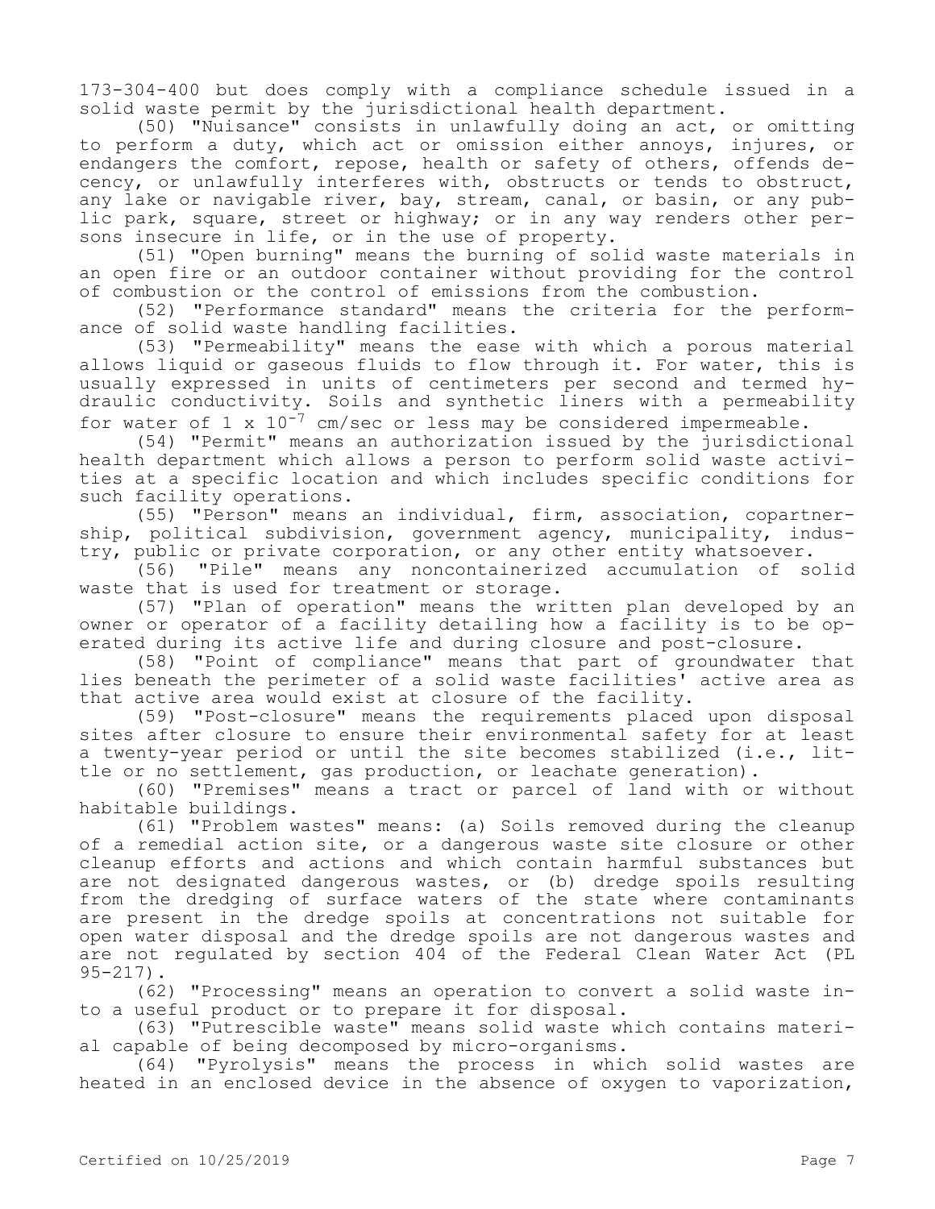173-304-400 but does comply with a compliance schedule issued in a solid waste permit by the jurisdictional health department.

(50) "Nuisance" consists in unlawfully doing an act, or omitting to perform a duty, which act or omission either annoys, injures, or endangers the comfort, repose, health or safety of others, offends decency, or unlawfully interferes with, obstructs or tends to obstruct, any lake or navigable river, bay, stream, canal, or basin, or any public park, square, street or highway; or in any way renders other persons insecure in life, or in the use of property.

(51) "Open burning" means the burning of solid waste materials in an open fire or an outdoor container without providing for the control of combustion or the control of emissions from the combustion.

(52) "Performance standard" means the criteria for the performance of solid waste handling facilities.

(53) "Permeability" means the ease with which a porous material allows liquid or gaseous fluids to flow through it. For water, this is usually expressed in units of centimeters per second and termed hydraulic conductivity. Soils and synthetic liners with a permeability for water of 1 x  $10^{-7}$  cm/sec or less may be considered impermeable.

(54) "Permit" means an authorization issued by the jurisdictional health department which allows a person to perform solid waste activities at a specific location and which includes specific conditions for such facility operations.

(55) "Person" means an individual, firm, association, copartnership, political subdivision, government agency, municipality, industry, public or private corporation, or any other entity whatsoever.

(56) "Pile" means any noncontainerized accumulation of solid waste that is used for treatment or storage.

(57) "Plan of operation" means the written plan developed by an owner or operator of a facility detailing how a facility is to be operated during its active life and during closure and post-closure.

(58) "Point of compliance" means that part of groundwater that lies beneath the perimeter of a solid waste facilities' active area as that active area would exist at closure of the facility.

(59) "Post-closure" means the requirements placed upon disposal sites after closure to ensure their environmental safety for at least a twenty-year period or until the site becomes stabilized (i.e., little or no settlement, gas production, or leachate generation).

(60) "Premises" means a tract or parcel of land with or without habitable buildings.

(61) "Problem wastes" means: (a) Soils removed during the cleanup of a remedial action site, or a dangerous waste site closure or other cleanup efforts and actions and which contain harmful substances but are not designated dangerous wastes, or (b) dredge spoils resulting from the dredging of surface waters of the state where contaminants are present in the dredge spoils at concentrations not suitable for open water disposal and the dredge spoils are not dangerous wastes and are not regulated by section 404 of the Federal Clean Water Act (PL 95-217).

(62) "Processing" means an operation to convert a solid waste into a useful product or to prepare it for disposal.

(63) "Putrescible waste" means solid waste which contains material capable of being decomposed by micro-organisms.

(64) "Pyrolysis" means the process in which solid wastes are heated in an enclosed device in the absence of oxygen to vaporization,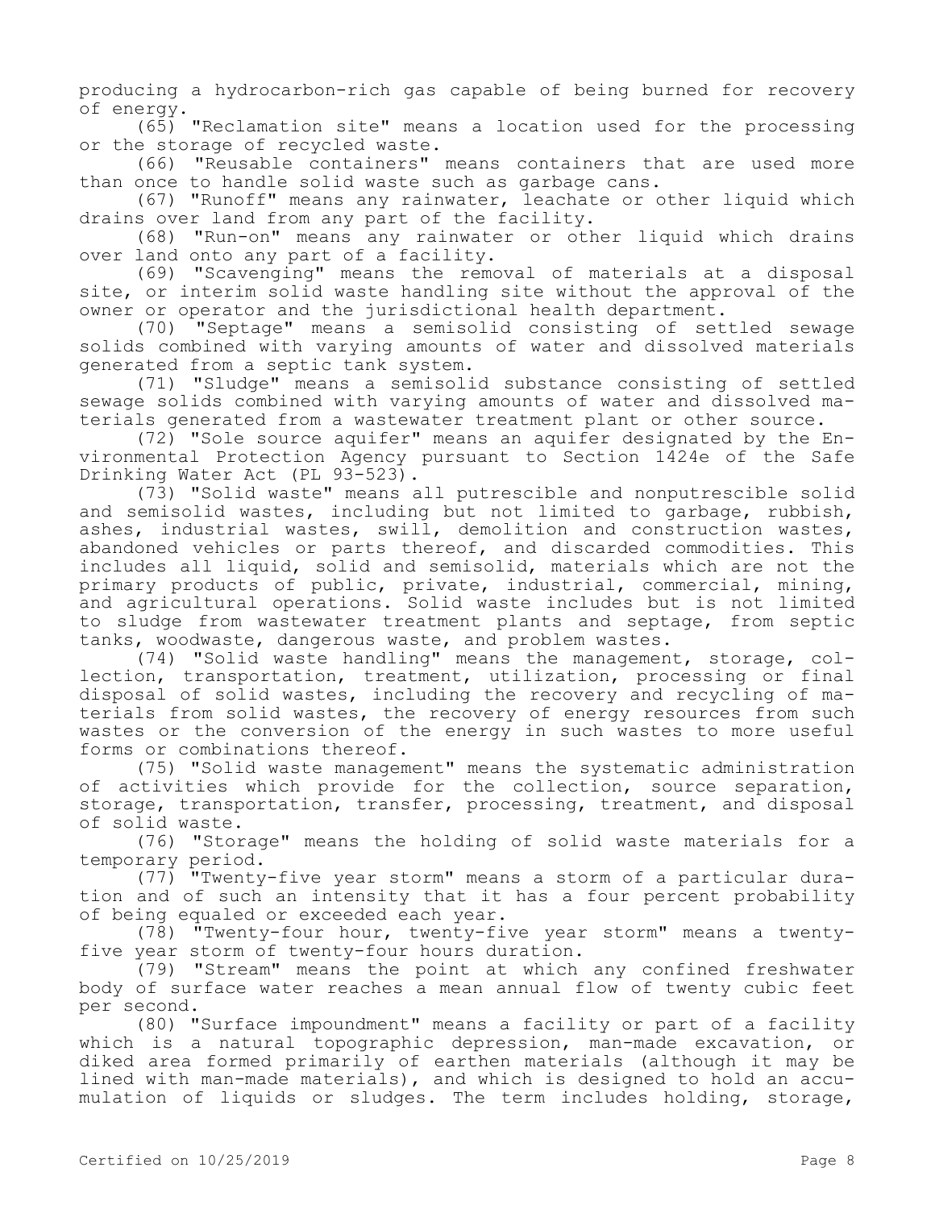producing a hydrocarbon-rich gas capable of being burned for recovery of energy.

(65) "Reclamation site" means a location used for the processing or the storage of recycled waste.

(66) "Reusable containers" means containers that are used more than once to handle solid waste such as garbage cans.

(67) "Runoff" means any rainwater, leachate or other liquid which drains over land from any part of the facility.

(68) "Run-on" means any rainwater or other liquid which drains over land onto any part of a facility.

(69) "Scavenging" means the removal of materials at a disposal site, or interim solid waste handling site without the approval of the owner or operator and the jurisdictional health department.

(70) "Septage" means a semisolid consisting of settled sewage solids combined with varying amounts of water and dissolved materials generated from a septic tank system.

(71) "Sludge" means a semisolid substance consisting of settled sewage solids combined with varying amounts of water and dissolved materials generated from a wastewater treatment plant or other source.

(72) "Sole source aquifer" means an aquifer designated by the Environmental Protection Agency pursuant to Section 1424e of the Safe Drinking Water Act (PL 93-523).

(73) "Solid waste" means all putrescible and nonputrescible solid and semisolid wastes, including but not limited to garbage, rubbish, ashes, industrial wastes, swill, demolition and construction wastes, abandoned vehicles or parts thereof, and discarded commodities. This includes all liquid, solid and semisolid, materials which are not the primary products of public, private, industrial, commercial, mining, and agricultural operations. Solid waste includes but is not limited to sludge from wastewater treatment plants and septage, from septic tanks, woodwaste, dangerous waste, and problem wastes.

(74) "Solid waste handling" means the management, storage, collection, transportation, treatment, utilization, processing or final disposal of solid wastes, including the recovery and recycling of materials from solid wastes, the recovery of energy resources from such wastes or the conversion of the energy in such wastes to more useful forms or combinations thereof.

(75) "Solid waste management" means the systematic administration of activities which provide for the collection, source separation, storage, transportation, transfer, processing, treatment, and disposal of solid waste.

(76) "Storage" means the holding of solid waste materials for a temporary period.

(77) "Twenty-five year storm" means a storm of a particular duration and of such an intensity that it has a four percent probability of being equaled or exceeded each year.

(78) "Twenty-four hour, twenty-five year storm" means a twentyfive year storm of twenty-four hours duration.

(79) "Stream" means the point at which any confined freshwater body of surface water reaches a mean annual flow of twenty cubic feet per second.

(80) "Surface impoundment" means a facility or part of a facility which is a natural topographic depression, man-made excavation, or diked area formed primarily of earthen materials (although it may be lined with man-made materials), and which is designed to hold an accumulation of liquids or sludges. The term includes holding, storage,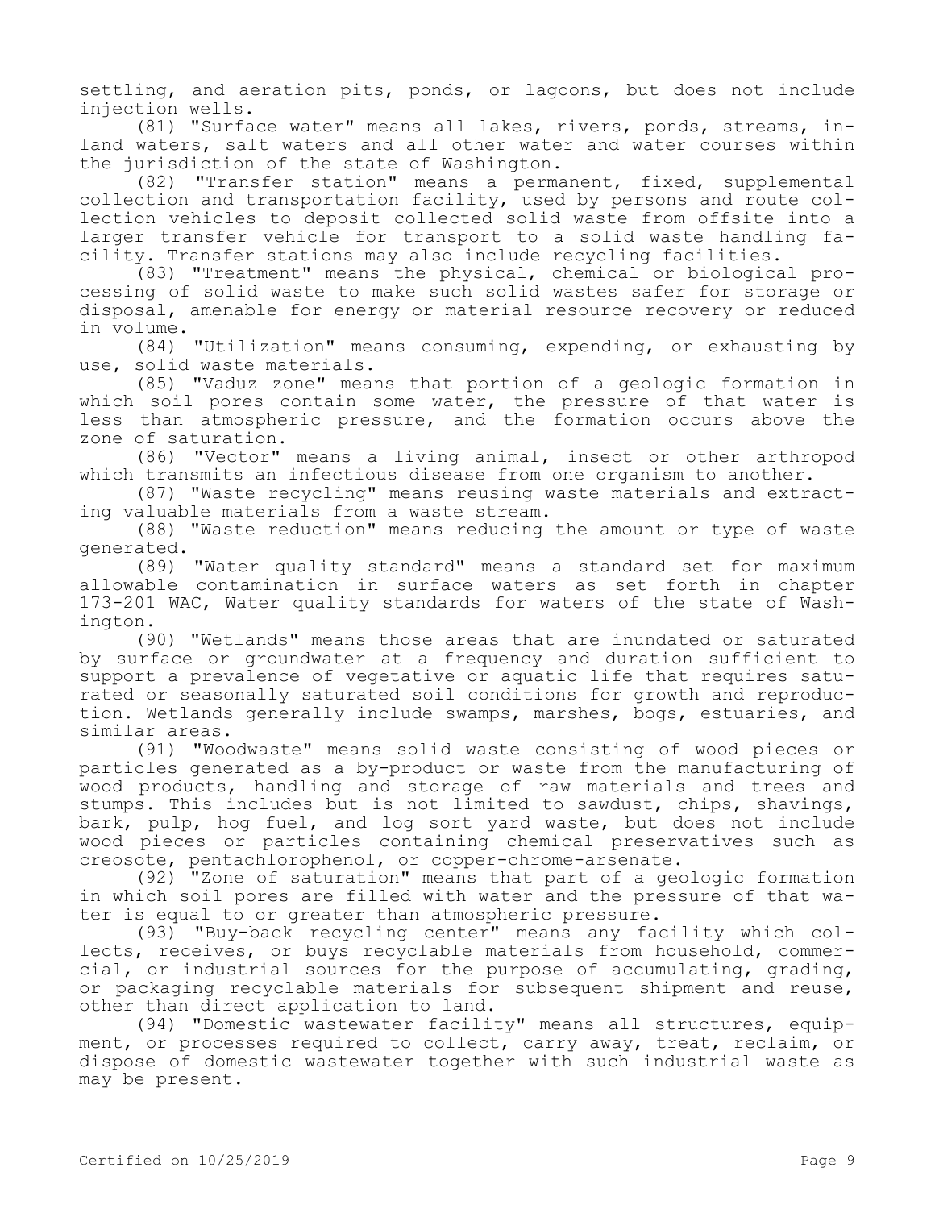settling, and aeration pits, ponds, or lagoons, but does not include injection wells.

(81) "Surface water" means all lakes, rivers, ponds, streams, inland waters, salt waters and all other water and water courses within the jurisdiction of the state of Washington.

(82) "Transfer station" means a permanent, fixed, supplemental collection and transportation facility, used by persons and route collection vehicles to deposit collected solid waste from offsite into a larger transfer vehicle for transport to a solid waste handling facility. Transfer stations may also include recycling facilities.

(83) "Treatment" means the physical, chemical or biological processing of solid waste to make such solid wastes safer for storage or disposal, amenable for energy or material resource recovery or reduced in volume.

(84) "Utilization" means consuming, expending, or exhausting by use, solid waste materials.

(85) "Vaduz zone" means that portion of a geologic formation in which soil pores contain some water, the pressure of that water is less than atmospheric pressure, and the formation occurs above the zone of saturation.

(86) "Vector" means a living animal, insect or other arthropod which transmits an infectious disease from one organism to another.

(87) "Waste recycling" means reusing waste materials and extracting valuable materials from a waste stream.

(88) "Waste reduction" means reducing the amount or type of waste generated.

(89) "Water quality standard" means a standard set for maximum allowable contamination in surface waters as set forth in chapter 173-201 WAC, Water quality standards for waters of the state of Washington.

(90) "Wetlands" means those areas that are inundated or saturated by surface or groundwater at a frequency and duration sufficient to support a prevalence of vegetative or aquatic life that requires saturated or seasonally saturated soil conditions for growth and reproduction. Wetlands generally include swamps, marshes, bogs, estuaries, and similar areas.

(91) "Woodwaste" means solid waste consisting of wood pieces or particles generated as a by-product or waste from the manufacturing of wood products, handling and storage of raw materials and trees and stumps. This includes but is not limited to sawdust, chips, shavings, bark, pulp, hog fuel, and log sort yard waste, but does not include wood pieces or particles containing chemical preservatives such as creosote, pentachlorophenol, or copper-chrome-arsenate.

(92) "Zone of saturation" means that part of a geologic formation in which soil pores are filled with water and the pressure of that water is equal to or greater than atmospheric pressure.

(93) "Buy-back recycling center" means any facility which collects, receives, or buys recyclable materials from household, commercial, or industrial sources for the purpose of accumulating, grading, or packaging recyclable materials for subsequent shipment and reuse, other than direct application to land.

(94) "Domestic wastewater facility" means all structures, equipment, or processes required to collect, carry away, treat, reclaim, or dispose of domestic wastewater together with such industrial waste as may be present.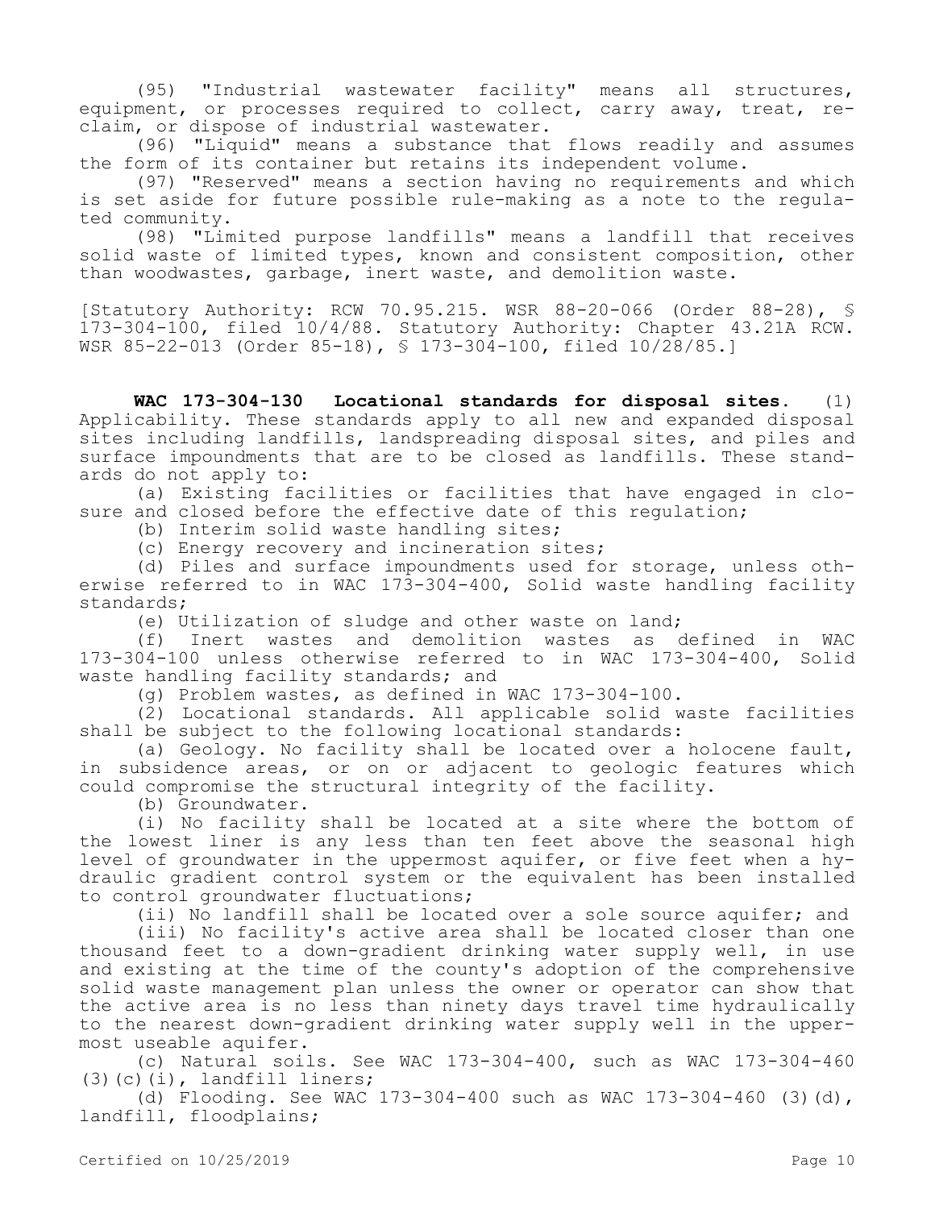(95) "Industrial wastewater facility" means all structures, equipment, or processes required to collect, carry away, treat, reclaim, or dispose of industrial wastewater.

(96) "Liquid" means a substance that flows readily and assumes the form of its container but retains its independent volume.

(97) "Reserved" means a section having no requirements and which is set aside for future possible rule-making as a note to the regulated community.

(98) "Limited purpose landfills" means a landfill that receives solid waste of limited types, known and consistent composition, other than woodwastes, garbage, inert waste, and demolition waste.

[Statutory Authority: RCW 70.95.215. WSR 88-20-066 (Order 88-28), § 173-304-100, filed 10/4/88. Statutory Authority: Chapter 43.21A RCW. WSR 85-22-013 (Order 85-18), § 173-304-100, filed 10/28/85.]

**WAC 173-304-130 Locational standards for disposal sites.** (1) Applicability. These standards apply to all new and expanded disposal sites including landfills, landspreading disposal sites, and piles and surface impoundments that are to be closed as landfills. These standards do not apply to:

(a) Existing facilities or facilities that have engaged in closure and closed before the effective date of this regulation;

(b) Interim solid waste handling sites;

(c) Energy recovery and incineration sites;

(d) Piles and surface impoundments used for storage, unless otherwise referred to in WAC 173-304-400, Solid waste handling facility standards;

(e) Utilization of sludge and other waste on land;

(f) Inert wastes and demolition wastes as defined in WAC 173-304-100 unless otherwise referred to in WAC 173-304-400, Solid waste handling facility standards; and

(g) Problem wastes, as defined in WAC 173-304-100.

(2) Locational standards. All applicable solid waste facilities shall be subject to the following locational standards:

(a) Geology. No facility shall be located over a holocene fault, in subsidence areas, or on or adjacent to geologic features which could compromise the structural integrity of the facility.

(b) Groundwater.

(i) No facility shall be located at a site where the bottom of the lowest liner is any less than ten feet above the seasonal high level of groundwater in the uppermost aquifer, or five feet when a hydraulic gradient control system or the equivalent has been installed to control groundwater fluctuations;

(ii) No landfill shall be located over a sole source aquifer; and

(iii) No facility's active area shall be located closer than one thousand feet to a down-gradient drinking water supply well, in use and existing at the time of the county's adoption of the comprehensive solid waste management plan unless the owner or operator can show that the active area is no less than ninety days travel time hydraulically to the nearest down-gradient drinking water supply well in the uppermost useable aquifer.

(c) Natural soils. See WAC 173-304-400, such as WAC 173-304-460 (3)(c)(i), landfill liners;

(d) Flooding. See WAC  $173-304-400$  such as WAC  $173-304-460$  (3)(d), landfill, floodplains;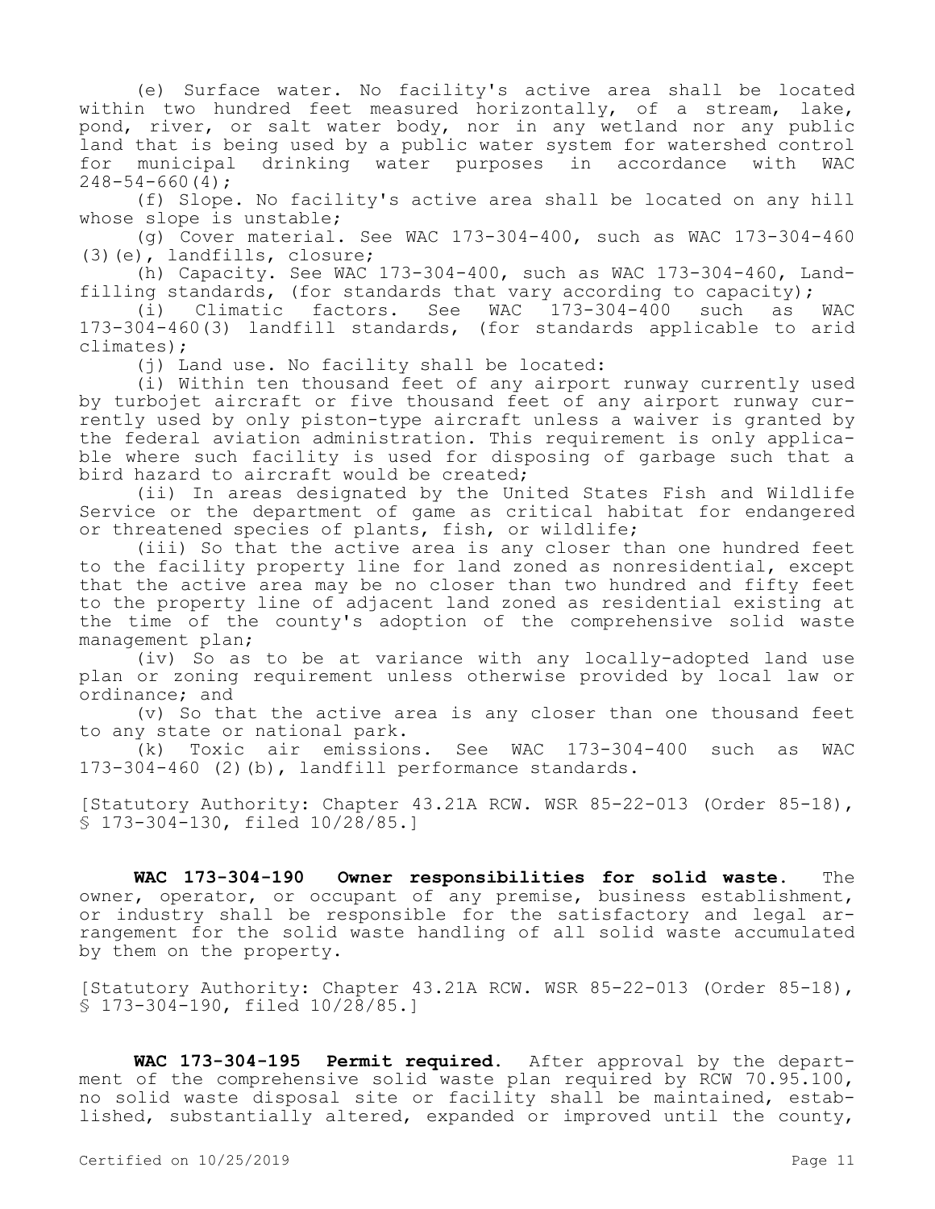(e) Surface water. No facility's active area shall be located within two hundred feet measured horizontally, of a stream, lake, pond, river, or salt water body, nor in any wetland nor any public land that is being used by a public water system for watershed control for municipal drinking water purposes in accordance with WAC  $248 - 54 - 660(4)$ ;

(f) Slope. No facility's active area shall be located on any hill whose slope is unstable;

(g) Cover material. See WAC 173-304-400, such as WAC 173-304-460 (3)(e), landfills, closure;

(h) Capacity. See WAC 173-304-400, such as WAC 173-304-460, Landfilling standards, (for standards that vary according to capacity);

(i) Climatic factors. See WAC 173-304-400 such as WAC 173-304-460(3) landfill standards, (for standards applicable to arid climates);

(j) Land use. No facility shall be located:

(i) Within ten thousand feet of any airport runway currently used by turbojet aircraft or five thousand feet of any airport runway currently used by only piston-type aircraft unless a waiver is granted by the federal aviation administration. This requirement is only applicable where such facility is used for disposing of garbage such that a bird hazard to aircraft would be created;

(ii) In areas designated by the United States Fish and Wildlife Service or the department of game as critical habitat for endangered or threatened species of plants, fish, or wildlife;

(iii) So that the active area is any closer than one hundred feet to the facility property line for land zoned as nonresidential, except that the active area may be no closer than two hundred and fifty feet to the property line of adjacent land zoned as residential existing at the time of the county's adoption of the comprehensive solid waste management plan;

(iv) So as to be at variance with any locally-adopted land use plan or zoning requirement unless otherwise provided by local law or ordinance; and

(v) So that the active area is any closer than one thousand feet to any state or national park.

(k) Toxic air emissions. See WAC 173-304-400 such as WAC 173-304-460 (2)(b), landfill performance standards.

[Statutory Authority: Chapter 43.21A RCW. WSR 85-22-013 (Order 85-18), § 173-304-130, filed 10/28/85.]

**WAC 173-304-190 Owner responsibilities for solid waste.** The owner, operator, or occupant of any premise, business establishment, or industry shall be responsible for the satisfactory and legal arrangement for the solid waste handling of all solid waste accumulated by them on the property.

[Statutory Authority: Chapter 43.21A RCW. WSR 85-22-013 (Order 85-18), § 173-304-190, filed 10/28/85.]

**WAC 173-304-195 Permit required.** After approval by the department of the comprehensive solid waste plan required by RCW 70.95.100, no solid waste disposal site or facility shall be maintained, established, substantially altered, expanded or improved until the county,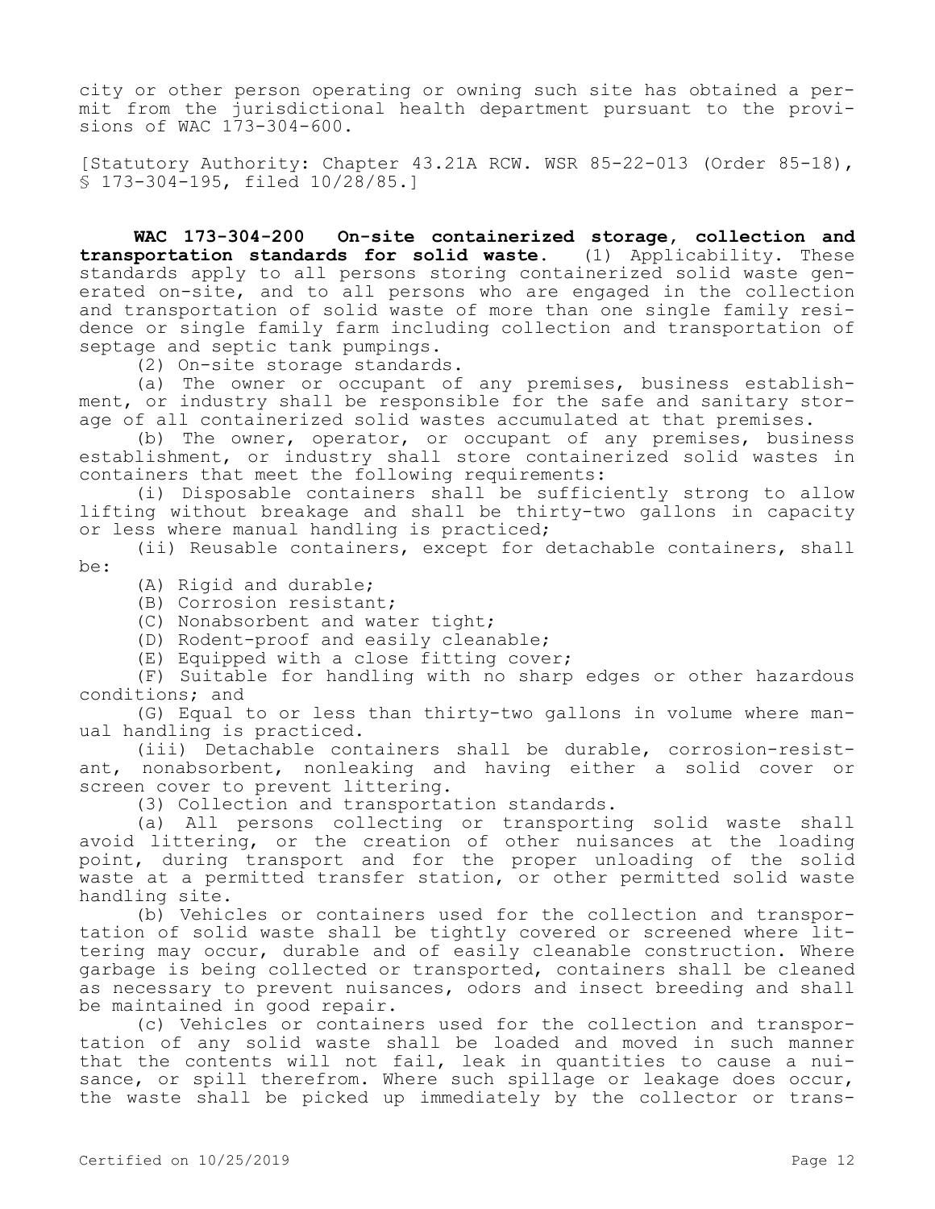city or other person operating or owning such site has obtained a permit from the jurisdictional health department pursuant to the provisions of WAC 173-304-600.

[Statutory Authority: Chapter 43.21A RCW. WSR 85-22-013 (Order 85-18), § 173-304-195, filed 10/28/85.]

**WAC 173-304-200 On-site containerized storage, collection and transportation standards for solid waste.** (1) Applicability. These standards apply to all persons storing containerized solid waste generated on-site, and to all persons who are engaged in the collection and transportation of solid waste of more than one single family residence or single family farm including collection and transportation of septage and septic tank pumpings.

(2) On-site storage standards.

(a) The owner or occupant of any premises, business establishment, or industry shall be responsible for the safe and sanitary storage of all containerized solid wastes accumulated at that premises.

(b) The owner, operator, or occupant of any premises, business establishment, or industry shall store containerized solid wastes in containers that meet the following requirements:

(i) Disposable containers shall be sufficiently strong to allow lifting without breakage and shall be thirty-two gallons in capacity or less where manual handling is practiced;

(ii) Reusable containers, except for detachable containers, shall be:

(A) Rigid and durable;

(B) Corrosion resistant;

(C) Nonabsorbent and water tight;

(D) Rodent-proof and easily cleanable;

(E) Equipped with a close fitting cover;

(F) Suitable for handling with no sharp edges or other hazardous conditions; and

(G) Equal to or less than thirty-two gallons in volume where manual handling is practiced.

(iii) Detachable containers shall be durable, corrosion-resistant, nonabsorbent, nonleaking and having either a solid cover or screen cover to prevent littering.

(3) Collection and transportation standards.

(a) All persons collecting or transporting solid waste shall avoid littering, or the creation of other nuisances at the loading point, during transport and for the proper unloading of the solid waste at a permitted transfer station, or other permitted solid waste handling site.

(b) Vehicles or containers used for the collection and transportation of solid waste shall be tightly covered or screened where littering may occur, durable and of easily cleanable construction. Where garbage is being collected or transported, containers shall be cleaned as necessary to prevent nuisances, odors and insect breeding and shall be maintained in good repair.

(c) Vehicles or containers used for the collection and transportation of any solid waste shall be loaded and moved in such manner that the contents will not fail, leak in quantities to cause a nuisance, or spill therefrom. Where such spillage or leakage does occur, the waste shall be picked up immediately by the collector or trans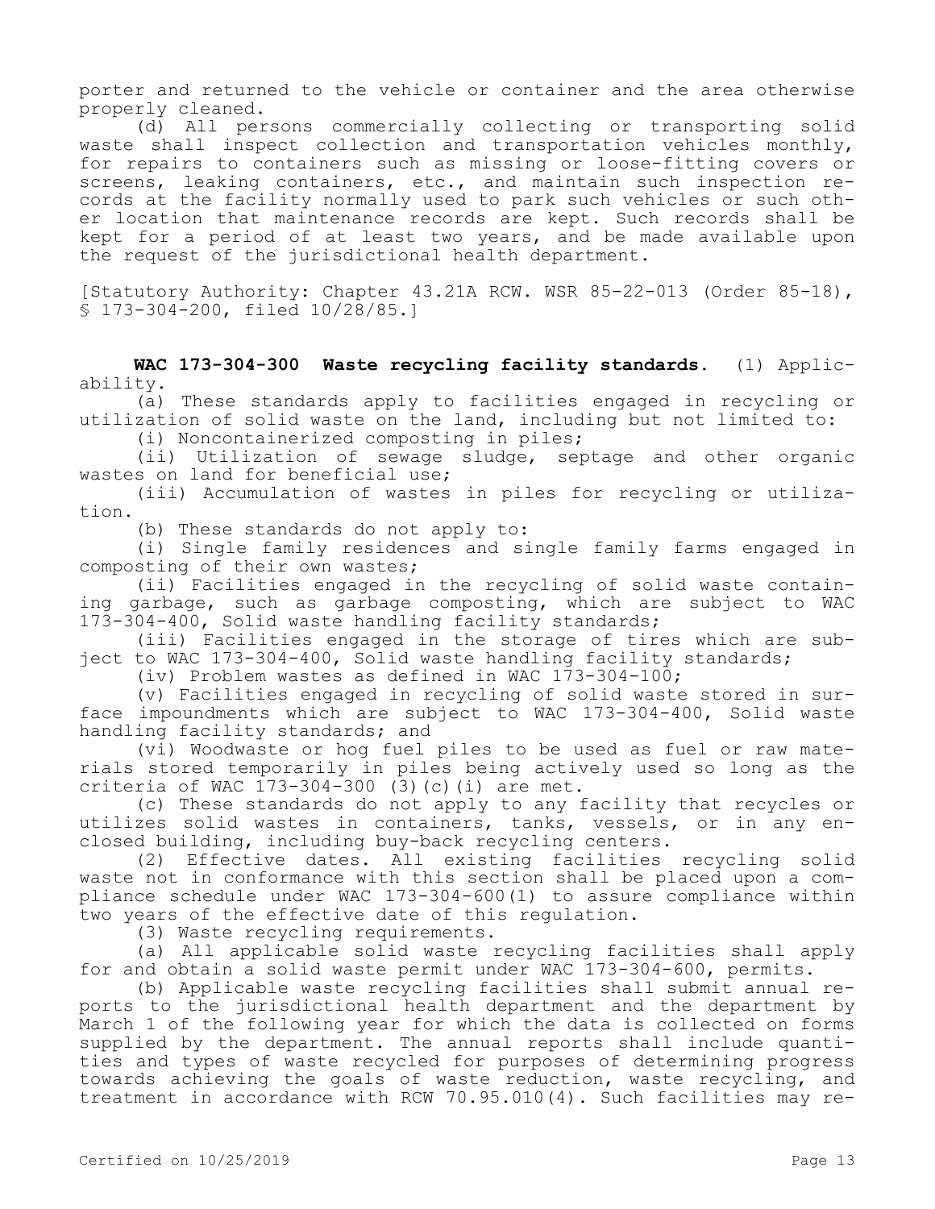porter and returned to the vehicle or container and the area otherwise properly cleaned.

(d) All persons commercially collecting or transporting solid waste shall inspect collection and transportation vehicles monthly, for repairs to containers such as missing or loose-fitting covers or screens, leaking containers, etc., and maintain such inspection records at the facility normally used to park such vehicles or such other location that maintenance records are kept. Such records shall be kept for a period of at least two years, and be made available upon the request of the jurisdictional health department.

[Statutory Authority: Chapter 43.21A RCW. WSR 85-22-013 (Order 85-18), § 173-304-200, filed 10/28/85.]

**WAC 173-304-300 Waste recycling facility standards.** (1) Applicability.

(a) These standards apply to facilities engaged in recycling or utilization of solid waste on the land, including but not limited to:

(i) Noncontainerized composting in piles;

(ii) Utilization of sewage sludge, septage and other organic wastes on land for beneficial use;

(iii) Accumulation of wastes in piles for recycling or utilization.

(b) These standards do not apply to:

(i) Single family residences and single family farms engaged in composting of their own wastes;

(ii) Facilities engaged in the recycling of solid waste containing garbage, such as garbage composting, which are subject to WAC 173-304-400, Solid waste handling facility standards;

(iii) Facilities engaged in the storage of tires which are subject to WAC 173-304-400, Solid waste handling facility standards;

(iv) Problem wastes as defined in WAC  $173-304-100$ ;

(v) Facilities engaged in recycling of solid waste stored in surface impoundments which are subject to WAC 173-304-400, Solid waste handling facility standards; and

(vi) Woodwaste or hog fuel piles to be used as fuel or raw materials stored temporarily in piles being actively used so long as the criteria of WAC 173-304-300 (3)(c)(i) are met.

(c) These standards do not apply to any facility that recycles or utilizes solid wastes in containers, tanks, vessels, or in any enclosed building, including buy-back recycling centers.

(2) Effective dates. All existing facilities recycling solid waste not in conformance with this section shall be placed upon a compliance schedule under WAC 173-304-600(1) to assure compliance within two years of the effective date of this regulation.

(3) Waste recycling requirements.

(a) All applicable solid waste recycling facilities shall apply for and obtain a solid waste permit under WAC 173-304-600, permits.

(b) Applicable waste recycling facilities shall submit annual reports to the jurisdictional health department and the department by March 1 of the following year for which the data is collected on forms supplied by the department. The annual reports shall include quantities and types of waste recycled for purposes of determining progress towards achieving the goals of waste reduction, waste recycling, and treatment in accordance with RCW 70.95.010(4). Such facilities may re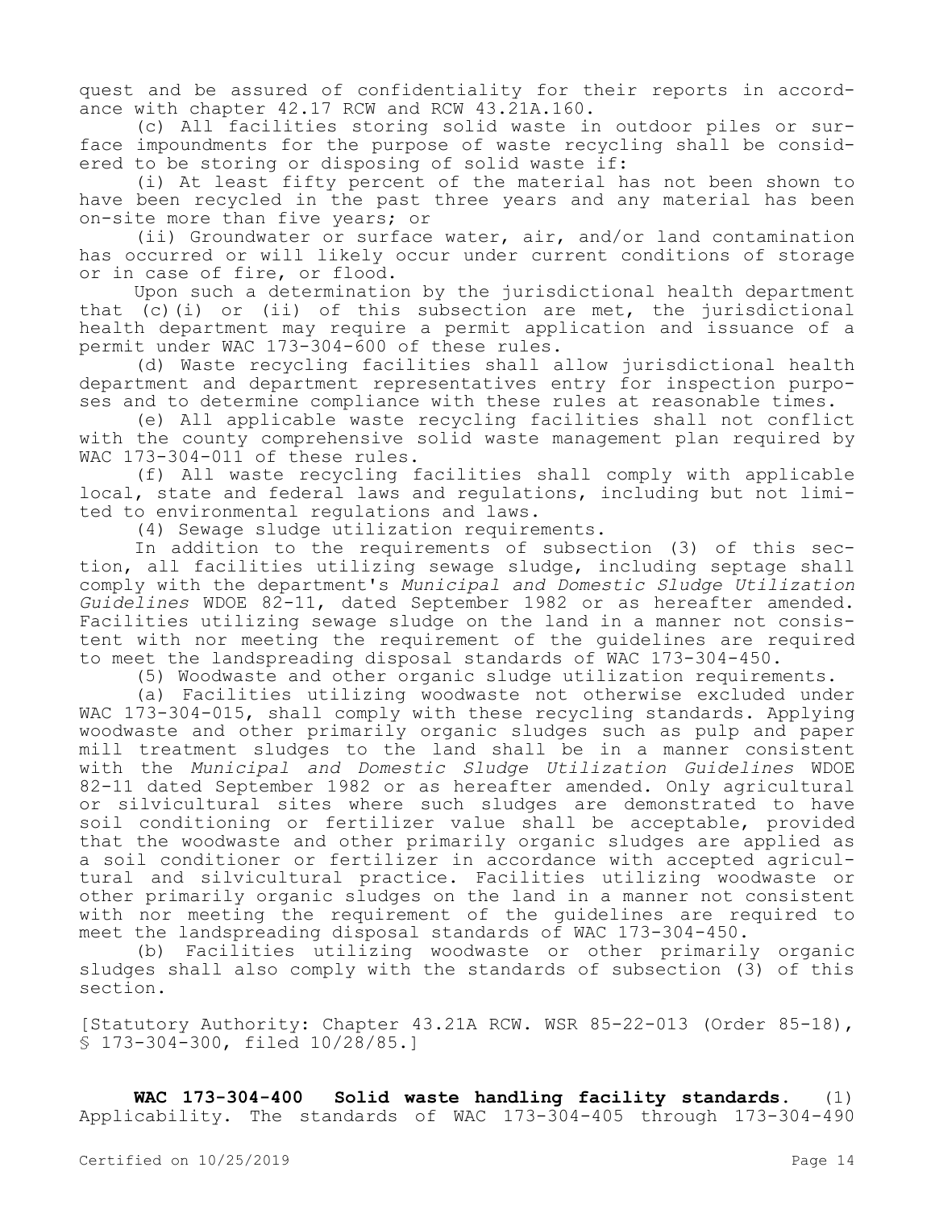quest and be assured of confidentiality for their reports in accordance with chapter 42.17 RCW and RCW 43.21A.160.

(c) All facilities storing solid waste in outdoor piles or surface impoundments for the purpose of waste recycling shall be considered to be storing or disposing of solid waste if:

(i) At least fifty percent of the material has not been shown to have been recycled in the past three years and any material has been on-site more than five years; or

(ii) Groundwater or surface water, air, and/or land contamination has occurred or will likely occur under current conditions of storage or in case of fire, or flood.

Upon such a determination by the jurisdictional health department that  $(c)$  (i) or (ii) of this subsection are met, the jurisdictional health department may require a permit application and issuance of a permit under WAC 173-304-600 of these rules.

(d) Waste recycling facilities shall allow jurisdictional health department and department representatives entry for inspection purposes and to determine compliance with these rules at reasonable times.

(e) All applicable waste recycling facilities shall not conflict with the county comprehensive solid waste management plan required by WAC 173-304-011 of these rules.

(f) All waste recycling facilities shall comply with applicable local, state and federal laws and regulations, including but not limited to environmental regulations and laws.

(4) Sewage sludge utilization requirements.

In addition to the requirements of subsection (3) of this section, all facilities utilizing sewage sludge, including septage shall comply with the department's *Municipal and Domestic Sludge Utilization Guidelines* WDOE 82-11, dated September 1982 or as hereafter amended. Facilities utilizing sewage sludge on the land in a manner not consistent with nor meeting the requirement of the guidelines are required to meet the landspreading disposal standards of WAC 173-304-450.

(5) Woodwaste and other organic sludge utilization requirements.

(a) Facilities utilizing woodwaste not otherwise excluded under WAC 173-304-015, shall comply with these recycling standards. Applying woodwaste and other primarily organic sludges such as pulp and paper mill treatment sludges to the land shall be in a manner consistent with the *Municipal and Domestic Sludge Utilization Guidelines* WDOE 82-11 dated September 1982 or as hereafter amended. Only agricultural or silvicultural sites where such sludges are demonstrated to have soil conditioning or fertilizer value shall be acceptable, provided that the woodwaste and other primarily organic sludges are applied as a soil conditioner or fertilizer in accordance with accepted agricultural and silvicultural practice. Facilities utilizing woodwaste or other primarily organic sludges on the land in a manner not consistent with nor meeting the requirement of the guidelines are required to meet the landspreading disposal standards of WAC 173-304-450.

(b) Facilities utilizing woodwaste or other primarily organic sludges shall also comply with the standards of subsection (3) of this section.

[Statutory Authority: Chapter 43.21A RCW. WSR 85-22-013 (Order 85-18), § 173-304-300, filed 10/28/85.]

**WAC 173-304-400 Solid waste handling facility standards.** (1) Applicability. The standards of WAC 173-304-405 through 173-304-490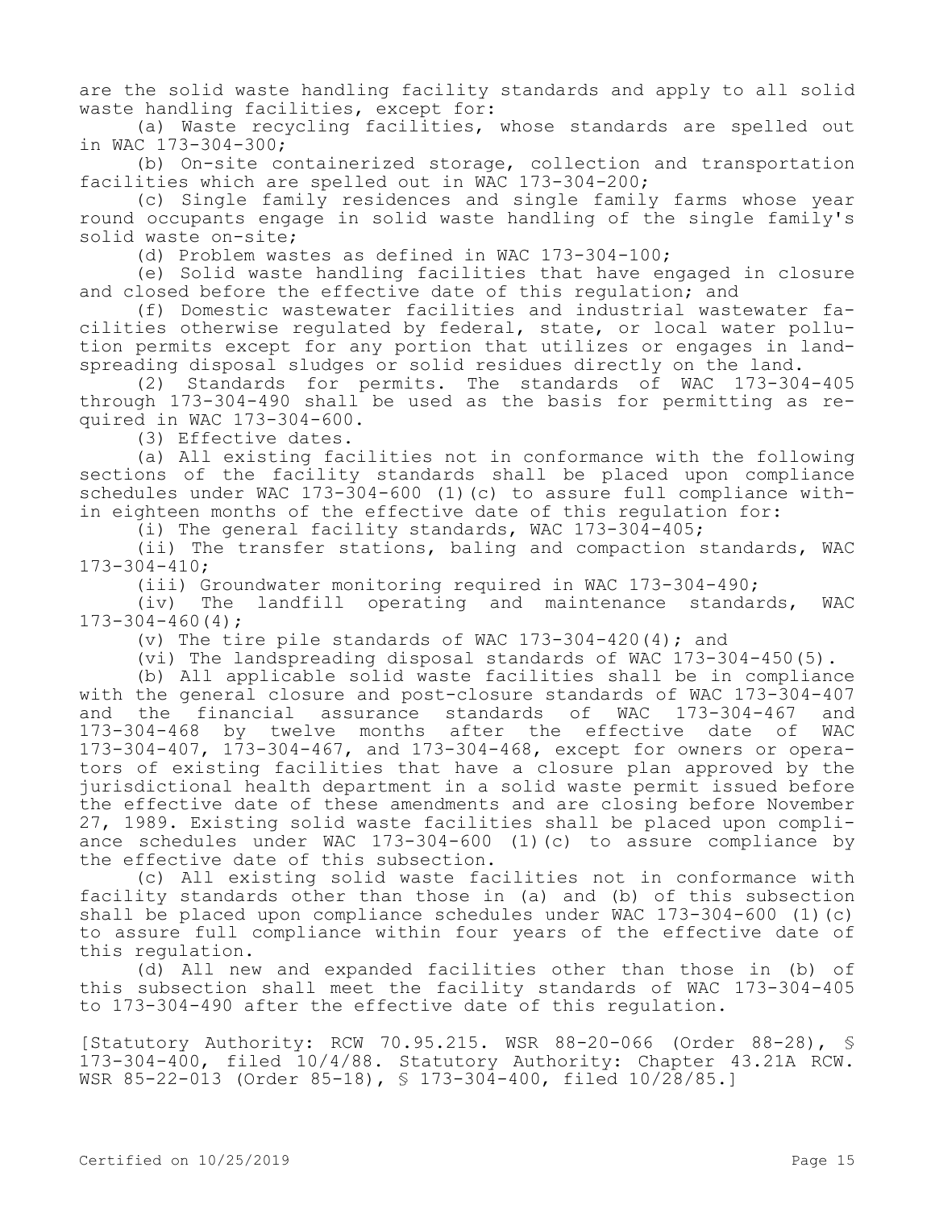are the solid waste handling facility standards and apply to all solid waste handling facilities, except for:

(a) Waste recycling facilities, whose standards are spelled out in WAC 173-304-300;

(b) On-site containerized storage, collection and transportation facilities which are spelled out in WAC 173-304-200;

(c) Single family residences and single family farms whose year round occupants engage in solid waste handling of the single family's solid waste on-site;

(d) Problem wastes as defined in WAC 173-304-100;

(e) Solid waste handling facilities that have engaged in closure and closed before the effective date of this regulation; and

(f) Domestic wastewater facilities and industrial wastewater facilities otherwise regulated by federal, state, or local water pollution permits except for any portion that utilizes or engages in landspreading disposal sludges or solid residues directly on the land.

(2) Standards for permits. The standards of WAC 173-304-405 through 173-304-490 shall be used as the basis for permitting as required in WAC 173-304-600.

(3) Effective dates.

(a) All existing facilities not in conformance with the following sections of the facility standards shall be placed upon compliance schedules under WAC 173-304-600 (1)(c) to assure full compliance within eighteen months of the effective date of this regulation for:

(i) The general facility standards, WAC  $173-304-405$ ;

(ii) The transfer stations, baling and compaction standards, WAC 173-304-410;

(iii) Groundwater monitoring required in WAC 173-304-490;

(iv) The landfill operating and maintenance standards, WAC 173-304-460(4);

(v) The tire pile standards of WAC  $173-304-420(4)$ ; and

(vi) The landspreading disposal standards of WAC 173-304-450(5).

(b) All applicable solid waste facilities shall be in compliance with the general closure and post-closure standards of WAC 173-304-407<br>and the financial assurance standards of WAC 173-304-467 and and the financial assurance standards of WAC 173-304-467 and 173-304-468 by twelve months after the effective date of WAC 173-304-407, 173-304-467, and 173-304-468, except for owners or operators of existing facilities that have a closure plan approved by the jurisdictional health department in a solid waste permit issued before the effective date of these amendments and are closing before November 27, 1989. Existing solid waste facilities shall be placed upon compliance schedules under WAC 173-304-600 (1)(c) to assure compliance by the effective date of this subsection.

(c) All existing solid waste facilities not in conformance with facility standards other than those in (a) and (b) of this subsection shall be placed upon compliance schedules under WAC 173-304-600 (1)(c) to assure full compliance within four years of the effective date of this regulation.

(d) All new and expanded facilities other than those in (b) of this subsection shall meet the facility standards of WAC 173-304-405 to 173-304-490 after the effective date of this regulation.

[Statutory Authority: RCW 70.95.215. WSR 88-20-066 (Order 88-28), § 173-304-400, filed 10/4/88. Statutory Authority: Chapter 43.21A RCW. WSR 85-22-013 (Order 85-18), § 173-304-400, filed 10/28/85.]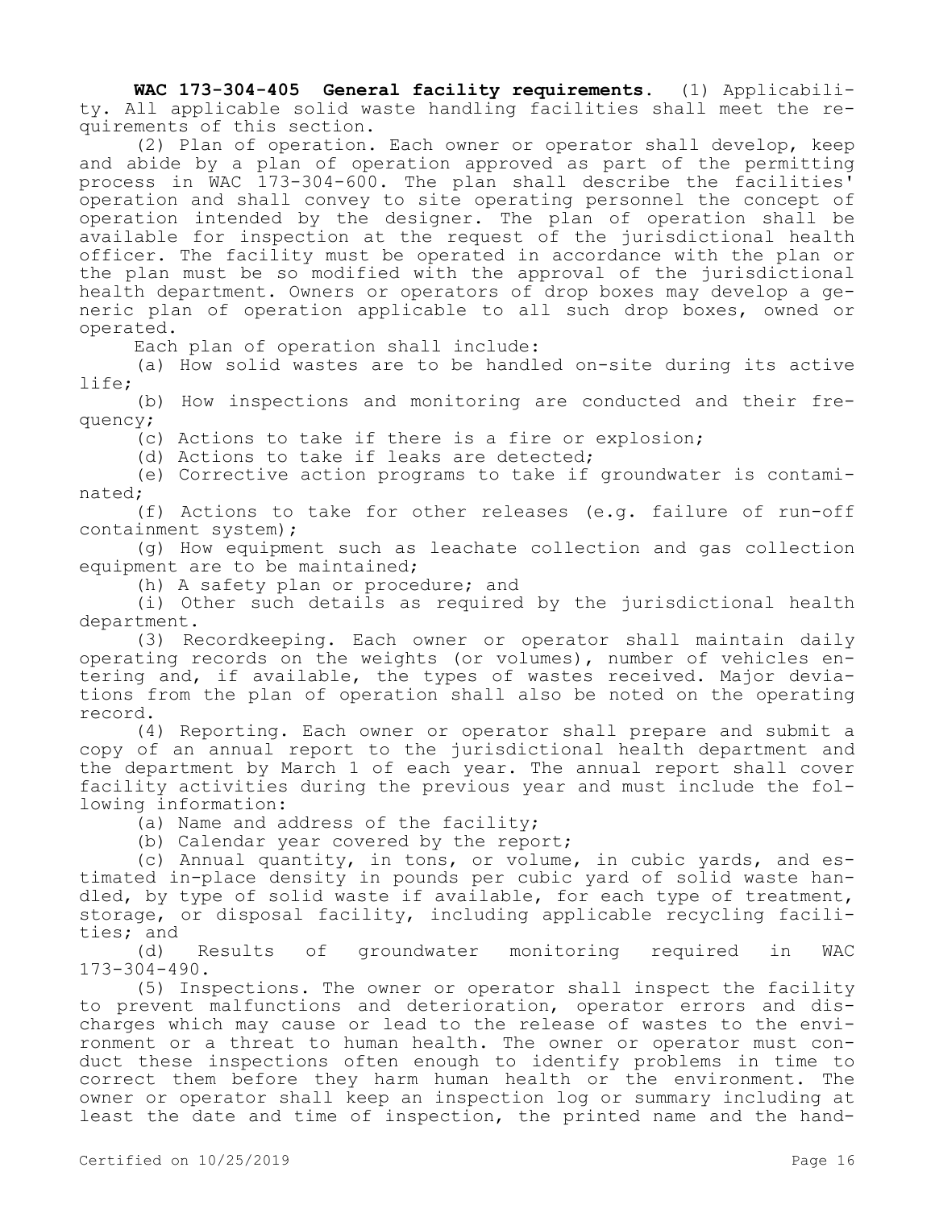**WAC 173-304-405 General facility requirements.** (1) Applicability. All applicable solid waste handling facilities shall meet the requirements of this section.

(2) Plan of operation. Each owner or operator shall develop, keep and abide by a plan of operation approved as part of the permitting process in WAC 173-304-600. The plan shall describe the facilities' operation and shall convey to site operating personnel the concept of operation intended by the designer. The plan of operation shall be available for inspection at the request of the jurisdictional health officer. The facility must be operated in accordance with the plan or the plan must be so modified with the approval of the jurisdictional health department. Owners or operators of drop boxes may develop a generic plan of operation applicable to all such drop boxes, owned or operated.

Each plan of operation shall include:

(a) How solid wastes are to be handled on-site during its active life;

(b) How inspections and monitoring are conducted and their frequency;

(c) Actions to take if there is a fire or explosion;

(d) Actions to take if leaks are detected;

(e) Corrective action programs to take if groundwater is contaminated;

(f) Actions to take for other releases (e.g. failure of run-off containment system);

(g) How equipment such as leachate collection and gas collection equipment are to be maintained;

(h) A safety plan or procedure; and

(i) Other such details as required by the jurisdictional health department.

(3) Recordkeeping. Each owner or operator shall maintain daily operating records on the weights (or volumes), number of vehicles entering and, if available, the types of wastes received. Major deviations from the plan of operation shall also be noted on the operating record.

(4) Reporting. Each owner or operator shall prepare and submit a copy of an annual report to the jurisdictional health department and the department by March 1 of each year. The annual report shall cover facility activities during the previous year and must include the following information:

(a) Name and address of the facility;

(b) Calendar year covered by the report;

(c) Annual quantity, in tons, or volume, in cubic yards, and estimated in-place density in pounds per cubic yard of solid waste handled, by type of solid waste if available, for each type of treatment, storage, or disposal facility, including applicable recycling facilities; and

(d) Results of groundwater monitoring required in WAC 173-304-490.

(5) Inspections. The owner or operator shall inspect the facility to prevent malfunctions and deterioration, operator errors and discharges which may cause or lead to the release of wastes to the environment or a threat to human health. The owner or operator must conduct these inspections often enough to identify problems in time to correct them before they harm human health or the environment. The owner or operator shall keep an inspection log or summary including at least the date and time of inspection, the printed name and the hand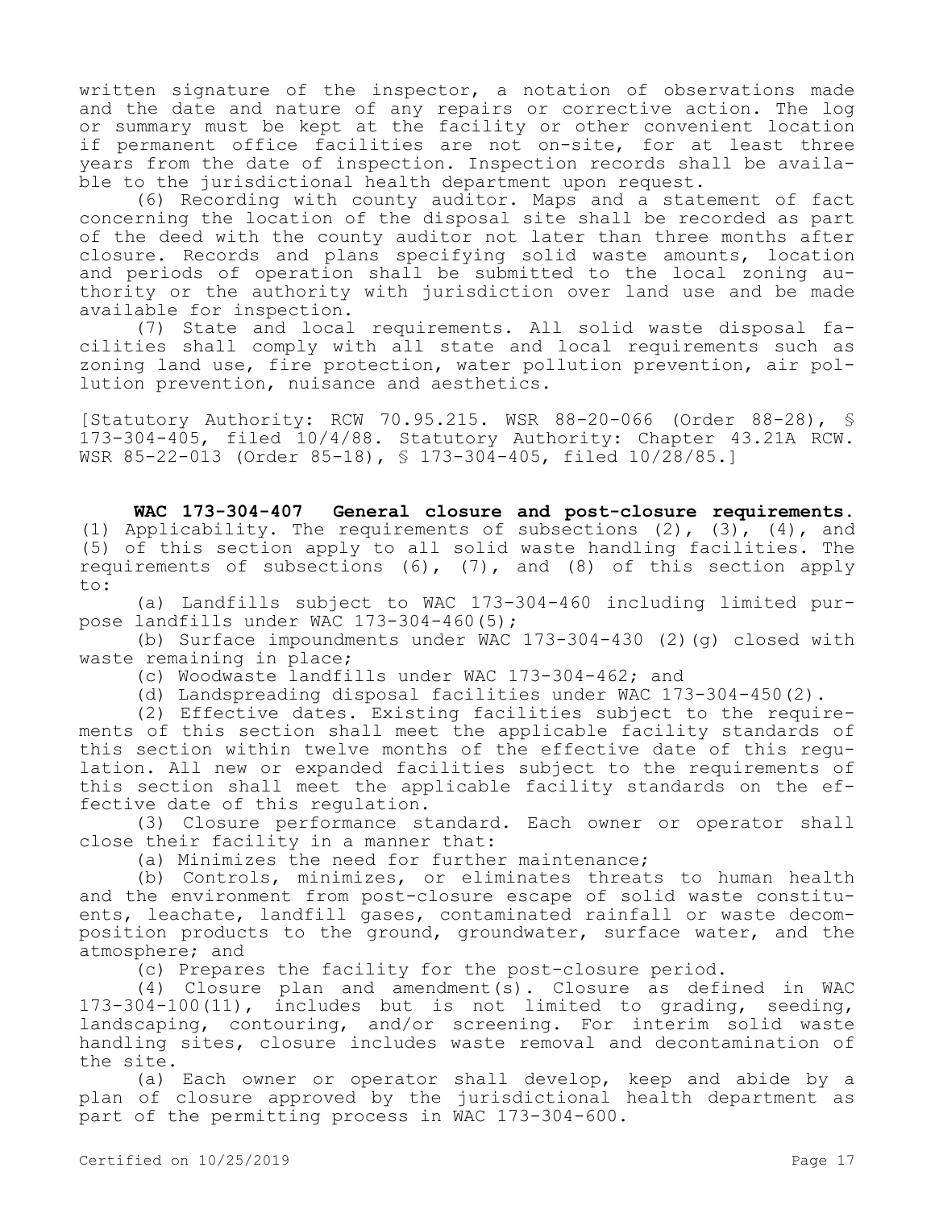written signature of the inspector, a notation of observations made and the date and nature of any repairs or corrective action. The log or summary must be kept at the facility or other convenient location if permanent office facilities are not on-site, for at least three years from the date of inspection. Inspection records shall be available to the jurisdictional health department upon request.

(6) Recording with county auditor. Maps and a statement of fact concerning the location of the disposal site shall be recorded as part of the deed with the county auditor not later than three months after closure. Records and plans specifying solid waste amounts, location and periods of operation shall be submitted to the local zoning authority or the authority with jurisdiction over land use and be made available for inspection.

(7) State and local requirements. All solid waste disposal facilities shall comply with all state and local requirements such as zoning land use, fire protection, water pollution prevention, air pollution prevention, nuisance and aesthetics.

[Statutory Authority: RCW 70.95.215. WSR 88-20-066 (Order 88-28), § 173-304-405, filed 10/4/88. Statutory Authority: Chapter 43.21A RCW. WSR 85-22-013 (Order 85-18), § 173-304-405, filed 10/28/85.]

**WAC 173-304-407 General closure and post-closure requirements.**  (1) Applicability. The requirements of subsections  $(2)$ ,  $(3)$ ,  $(4)$ , and (5) of this section apply to all solid waste handling facilities. The requirements of subsections  $(6)$ ,  $(7)$ , and  $(8)$  of this section apply to:

(a) Landfills subject to WAC 173-304-460 including limited purpose landfills under WAC 173-304-460(5);

(b) Surface impoundments under WAC 173-304-430 (2)(g) closed with waste remaining in place;

(c) Woodwaste landfills under WAC 173-304-462; and

(d) Landspreading disposal facilities under WAC 173-304-450(2).

(2) Effective dates. Existing facilities subject to the requirements of this section shall meet the applicable facility standards of this section within twelve months of the effective date of this regulation. All new or expanded facilities subject to the requirements of this section shall meet the applicable facility standards on the effective date of this regulation.

(3) Closure performance standard. Each owner or operator shall close their facility in a manner that:

(a) Minimizes the need for further maintenance;

(b) Controls, minimizes, or eliminates threats to human health and the environment from post-closure escape of solid waste constituents, leachate, landfill gases, contaminated rainfall or waste decomposition products to the ground, groundwater, surface water, and the atmosphere; and

(c) Prepares the facility for the post-closure period.

(4) Closure plan and amendment(s). Closure as defined in WAC 173-304-100(11), includes but is not limited to grading, seeding, landscaping, contouring, and/or screening. For interim solid waste handling sites, closure includes waste removal and decontamination of the site.

(a) Each owner or operator shall develop, keep and abide by a plan of closure approved by the jurisdictional health department as part of the permitting process in WAC 173-304-600.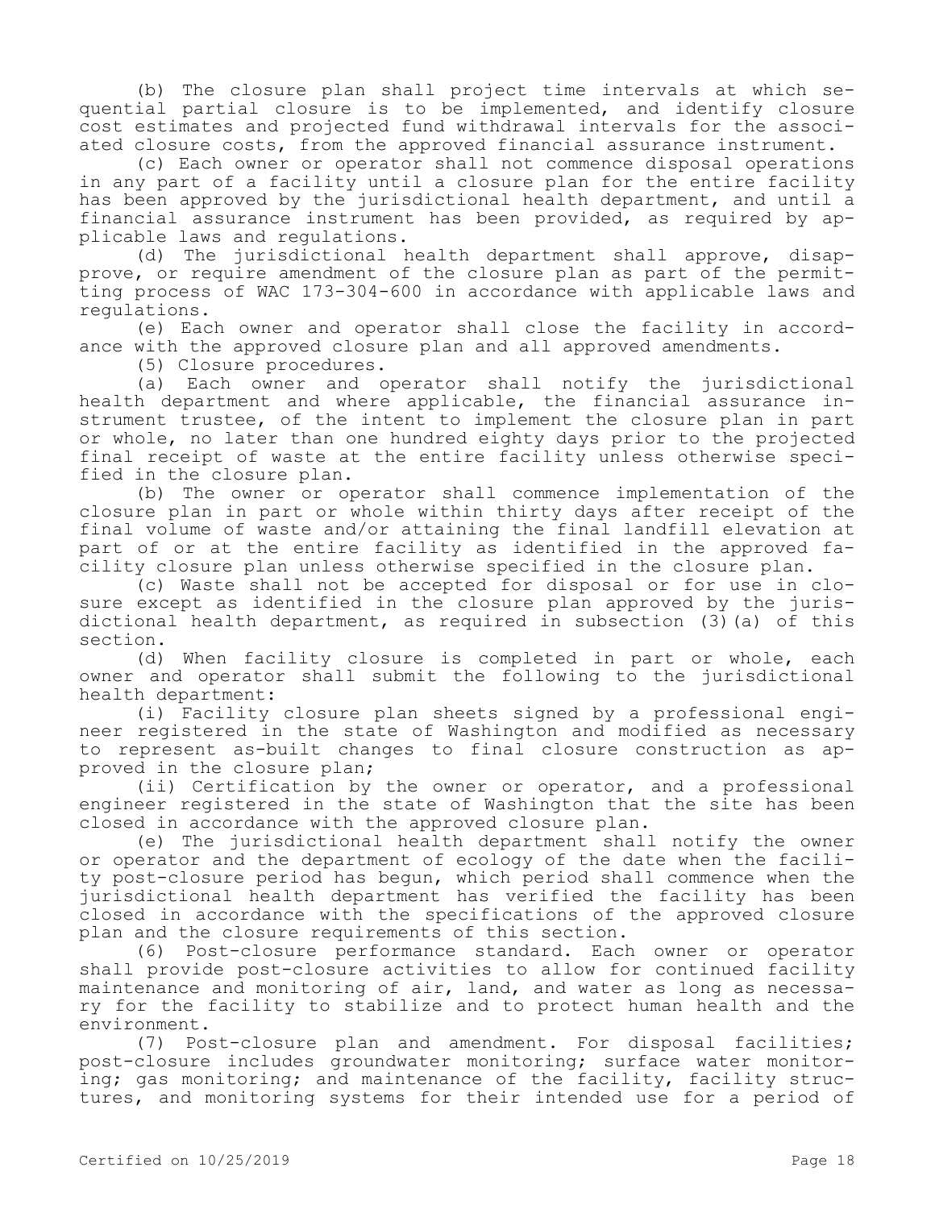(b) The closure plan shall project time intervals at which sequential partial closure is to be implemented, and identify closure cost estimates and projected fund withdrawal intervals for the associated closure costs, from the approved financial assurance instrument.

(c) Each owner or operator shall not commence disposal operations in any part of a facility until a closure plan for the entire facility has been approved by the jurisdictional health department, and until a financial assurance instrument has been provided, as required by applicable laws and regulations.

(d) The jurisdictional health department shall approve, disapprove, or require amendment of the closure plan as part of the permitting process of WAC 173-304-600 in accordance with applicable laws and regulations.

(e) Each owner and operator shall close the facility in accordance with the approved closure plan and all approved amendments.

(5) Closure procedures.

(a) Each owner and operator shall notify the jurisdictional health department and where applicable, the financial assurance instrument trustee, of the intent to implement the closure plan in part or whole, no later than one hundred eighty days prior to the projected final receipt of waste at the entire facility unless otherwise specified in the closure plan.

(b) The owner or operator shall commence implementation of the closure plan in part or whole within thirty days after receipt of the final volume of waste and/or attaining the final landfill elevation at part of or at the entire facility as identified in the approved facility closure plan unless otherwise specified in the closure plan.

(c) Waste shall not be accepted for disposal or for use in closure except as identified in the closure plan approved by the jurisdictional health department, as required in subsection (3)(a) of this section.

(d) When facility closure is completed in part or whole, each owner and operator shall submit the following to the jurisdictional health department:

(i) Facility closure plan sheets signed by a professional engineer registered in the state of Washington and modified as necessary to represent as-built changes to final closure construction as approved in the closure plan;

(ii) Certification by the owner or operator, and a professional engineer registered in the state of Washington that the site has been closed in accordance with the approved closure plan.

(e) The jurisdictional health department shall notify the owner or operator and the department of ecology of the date when the facility post-closure period has begun, which period shall commence when the jurisdictional health department has verified the facility has been closed in accordance with the specifications of the approved closure plan and the closure requirements of this section.

(6) Post-closure performance standard. Each owner or operator shall provide post-closure activities to allow for continued facility maintenance and monitoring of air, land, and water as long as necessary for the facility to stabilize and to protect human health and the environment.

(7) Post-closure plan and amendment. For disposal facilities; post-closure includes groundwater monitoring; surface water monitoring; gas monitoring; and maintenance of the facility, facility structures, and monitoring systems for their intended use for a period of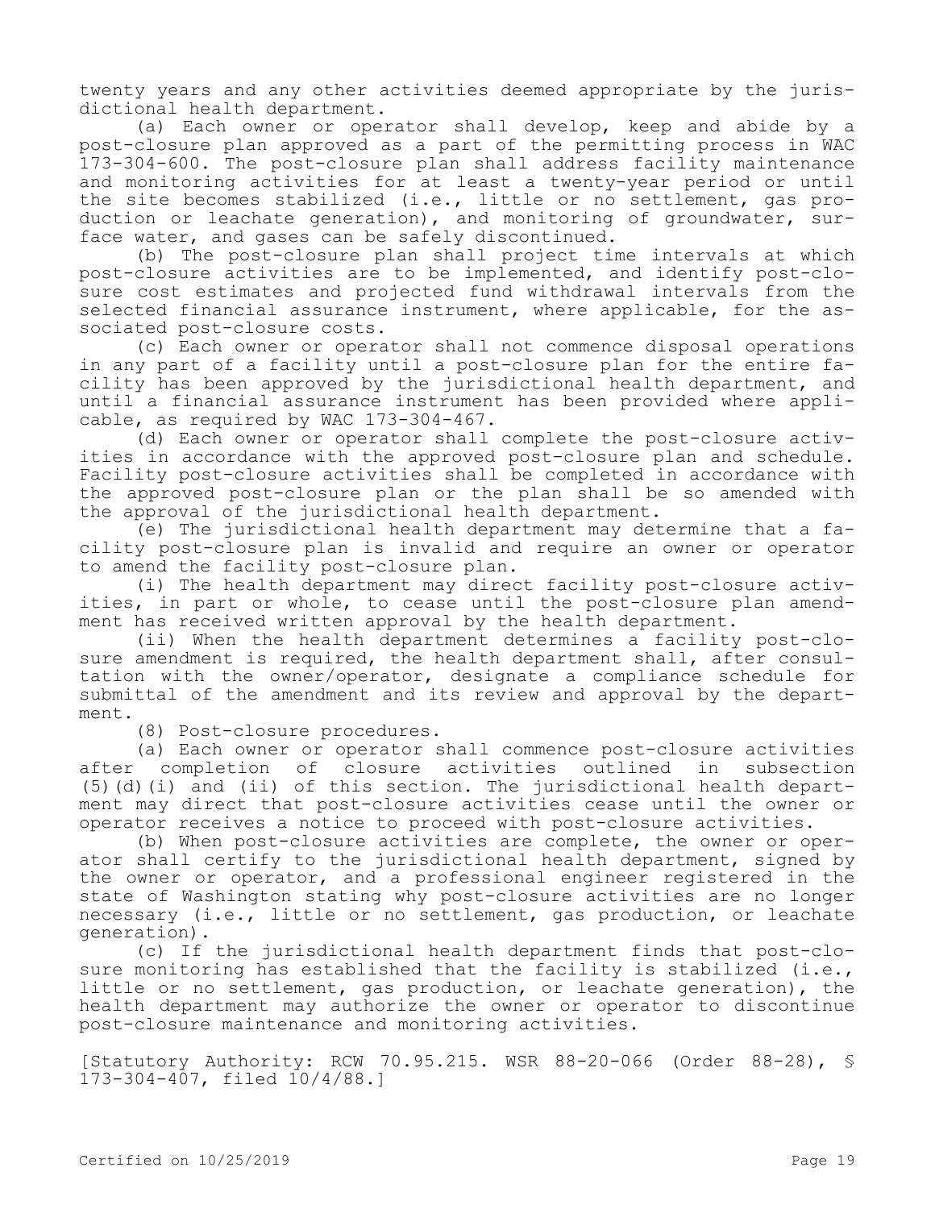twenty years and any other activities deemed appropriate by the jurisdictional health department.

(a) Each owner or operator shall develop, keep and abide by a post-closure plan approved as a part of the permitting process in WAC 173-304-600. The post-closure plan shall address facility maintenance and monitoring activities for at least a twenty-year period or until the site becomes stabilized (i.e., little or no settlement, gas production or leachate generation), and monitoring of groundwater, surface water, and gases can be safely discontinued.

(b) The post-closure plan shall project time intervals at which post-closure activities are to be implemented, and identify post-closure cost estimates and projected fund withdrawal intervals from the selected financial assurance instrument, where applicable, for the associated post-closure costs.

(c) Each owner or operator shall not commence disposal operations in any part of a facility until a post-closure plan for the entire facility has been approved by the jurisdictional health department, and until a financial assurance instrument has been provided where applicable, as required by WAC 173-304-467.

(d) Each owner or operator shall complete the post-closure activities in accordance with the approved post-closure plan and schedule. Facility post-closure activities shall be completed in accordance with the approved post-closure plan or the plan shall be so amended with the approval of the jurisdictional health department.

(e) The jurisdictional health department may determine that a facility post-closure plan is invalid and require an owner or operator to amend the facility post-closure plan.

(i) The health department may direct facility post-closure activities, in part or whole, to cease until the post-closure plan amendment has received written approval by the health department.

(ii) When the health department determines a facility post-closure amendment is required, the health department shall, after consultation with the owner/operator, designate a compliance schedule for submittal of the amendment and its review and approval by the department.

(8) Post-closure procedures.

(a) Each owner or operator shall commence post-closure activities after completion of closure activities outlined in subsection (5)(d)(i) and (ii) of this section. The jurisdictional health department may direct that post-closure activities cease until the owner or operator receives a notice to proceed with post-closure activities.

(b) When post-closure activities are complete, the owner or operator shall certify to the jurisdictional health department, signed by the owner or operator, and a professional engineer registered in the state of Washington stating why post-closure activities are no longer necessary (i.e., little or no settlement, gas production, or leachate generation).

(c) If the jurisdictional health department finds that post-closure monitoring has established that the facility is stabilized (i.e., little or no settlement, gas production, or leachate generation), the health department may authorize the owner or operator to discontinue post-closure maintenance and monitoring activities.

[Statutory Authority: RCW 70.95.215. WSR 88-20-066 (Order 88-28), § 173-304-407, filed 10/4/88.]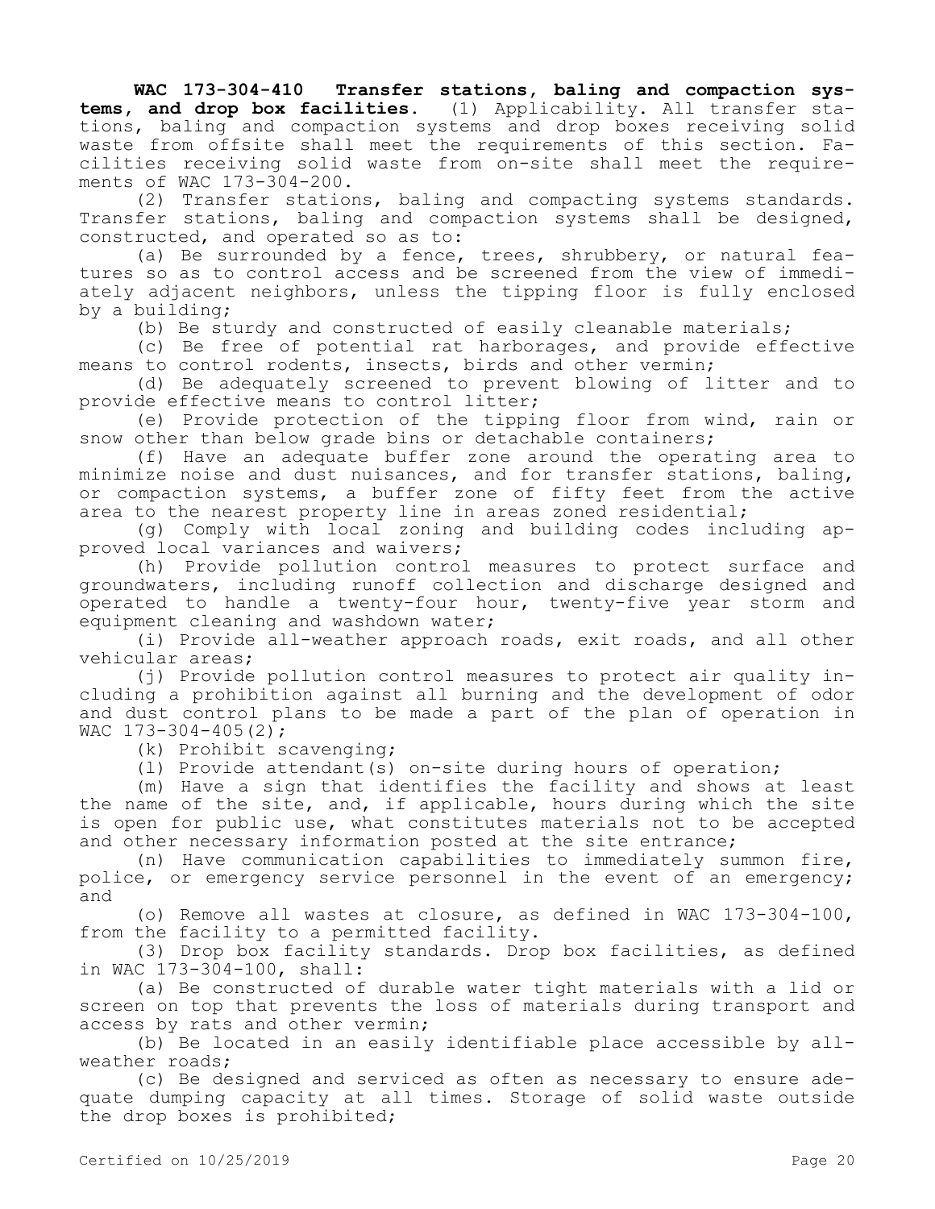**WAC 173-304-410 Transfer stations, baling and compaction systems, and drop box facilities.** (1) Applicability. All transfer stations, baling and compaction systems and drop boxes receiving solid waste from offsite shall meet the requirements of this section. Facilities receiving solid waste from on-site shall meet the requirements of WAC 173-304-200.

(2) Transfer stations, baling and compacting systems standards. Transfer stations, baling and compaction systems shall be designed, constructed, and operated so as to:

(a) Be surrounded by a fence, trees, shrubbery, or natural features so as to control access and be screened from the view of immediately adjacent neighbors, unless the tipping floor is fully enclosed by a building;

(b) Be sturdy and constructed of easily cleanable materials;

(c) Be free of potential rat harborages, and provide effective means to control rodents, insects, birds and other vermin;

(d) Be adequately screened to prevent blowing of litter and to provide effective means to control litter;

(e) Provide protection of the tipping floor from wind, rain or snow other than below grade bins or detachable containers;

(f) Have an adequate buffer zone around the operating area to minimize noise and dust nuisances, and for transfer stations, baling, or compaction systems, a buffer zone of fifty feet from the active area to the nearest property line in areas zoned residential;

(g) Comply with local zoning and building codes including approved local variances and waivers;

(h) Provide pollution control measures to protect surface and groundwaters, including runoff collection and discharge designed and operated to handle a twenty-four hour, twenty-five year storm and equipment cleaning and washdown water;

(i) Provide all-weather approach roads, exit roads, and all other vehicular areas;

(j) Provide pollution control measures to protect air quality including a prohibition against all burning and the development of odor and dust control plans to be made a part of the plan of operation in WAC 173-304-405(2);

(k) Prohibit scavenging;

(l) Provide attendant(s) on-site during hours of operation;

(m) Have a sign that identifies the facility and shows at least the name of the site, and, if applicable, hours during which the site is open for public use, what constitutes materials not to be accepted and other necessary information posted at the site entrance;

(n) Have communication capabilities to immediately summon fire, police, or emergency service personnel in the event of an emergency; and

(o) Remove all wastes at closure, as defined in WAC 173-304-100, from the facility to a permitted facility.

(3) Drop box facility standards. Drop box facilities, as defined in WAC 173-304-100, shall:

(a) Be constructed of durable water tight materials with a lid or screen on top that prevents the loss of materials during transport and access by rats and other vermin;

(b) Be located in an easily identifiable place accessible by allweather roads;

(c) Be designed and serviced as often as necessary to ensure adequate dumping capacity at all times. Storage of solid waste outside the drop boxes is prohibited;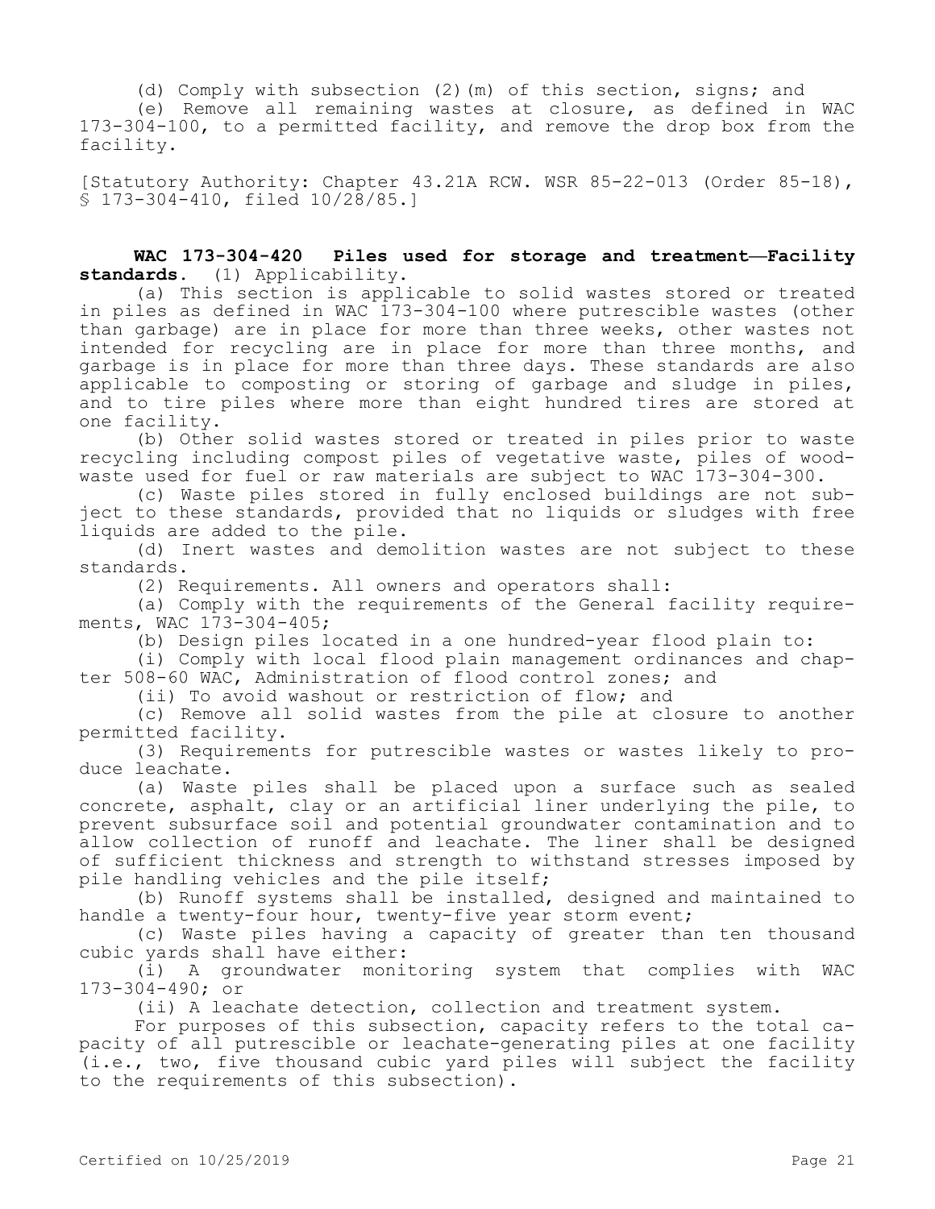(d) Comply with subsection (2)(m) of this section, signs; and (e) Remove all remaining wastes at closure, as defined in WAC 173-304-100, to a permitted facility, and remove the drop box from the facility.

[Statutory Authority: Chapter 43.21A RCW. WSR 85-22-013 (Order 85-18), § 173-304-410, filed 10/28/85.]

## **WAC 173-304-420 Piles used for storage and treatment—Facility standards.** (1) Applicability.

(a) This section is applicable to solid wastes stored or treated in piles as defined in WAC 173-304-100 where putrescible wastes (other than garbage) are in place for more than three weeks, other wastes not intended for recycling are in place for more than three months, and garbage is in place for more than three days. These standards are also applicable to composting or storing of garbage and sludge in piles, and to tire piles where more than eight hundred tires are stored at one facility.

(b) Other solid wastes stored or treated in piles prior to waste recycling including compost piles of vegetative waste, piles of woodwaste used for fuel or raw materials are subject to WAC 173-304-300.

(c) Waste piles stored in fully enclosed buildings are not subject to these standards, provided that no liquids or sludges with free liquids are added to the pile.

(d) Inert wastes and demolition wastes are not subject to these standards.

(2) Requirements. All owners and operators shall:

(a) Comply with the requirements of the General facility requirements, WAC 173-304-405;

(b) Design piles located in a one hundred-year flood plain to:

(i) Comply with local flood plain management ordinances and chapter 508-60 WAC, Administration of flood control zones; and

(ii) To avoid washout or restriction of flow; and

(c) Remove all solid wastes from the pile at closure to another permitted facility.

(3) Requirements for putrescible wastes or wastes likely to produce leachate.

(a) Waste piles shall be placed upon a surface such as sealed concrete, asphalt, clay or an artificial liner underlying the pile, to prevent subsurface soil and potential groundwater contamination and to allow collection of runoff and leachate. The liner shall be designed of sufficient thickness and strength to withstand stresses imposed by pile handling vehicles and the pile itself;

(b) Runoff systems shall be installed, designed and maintained to handle a twenty-four hour, twenty-five year storm event;

(c) Waste piles having a capacity of greater than ten thousand cubic yards shall have either:

(i) A groundwater monitoring system that complies with WAC 173-304-490; or

(ii) A leachate detection, collection and treatment system.

For purposes of this subsection, capacity refers to the total capacity of all putrescible or leachate-generating piles at one facility (i.e., two, five thousand cubic yard piles will subject the facility to the requirements of this subsection).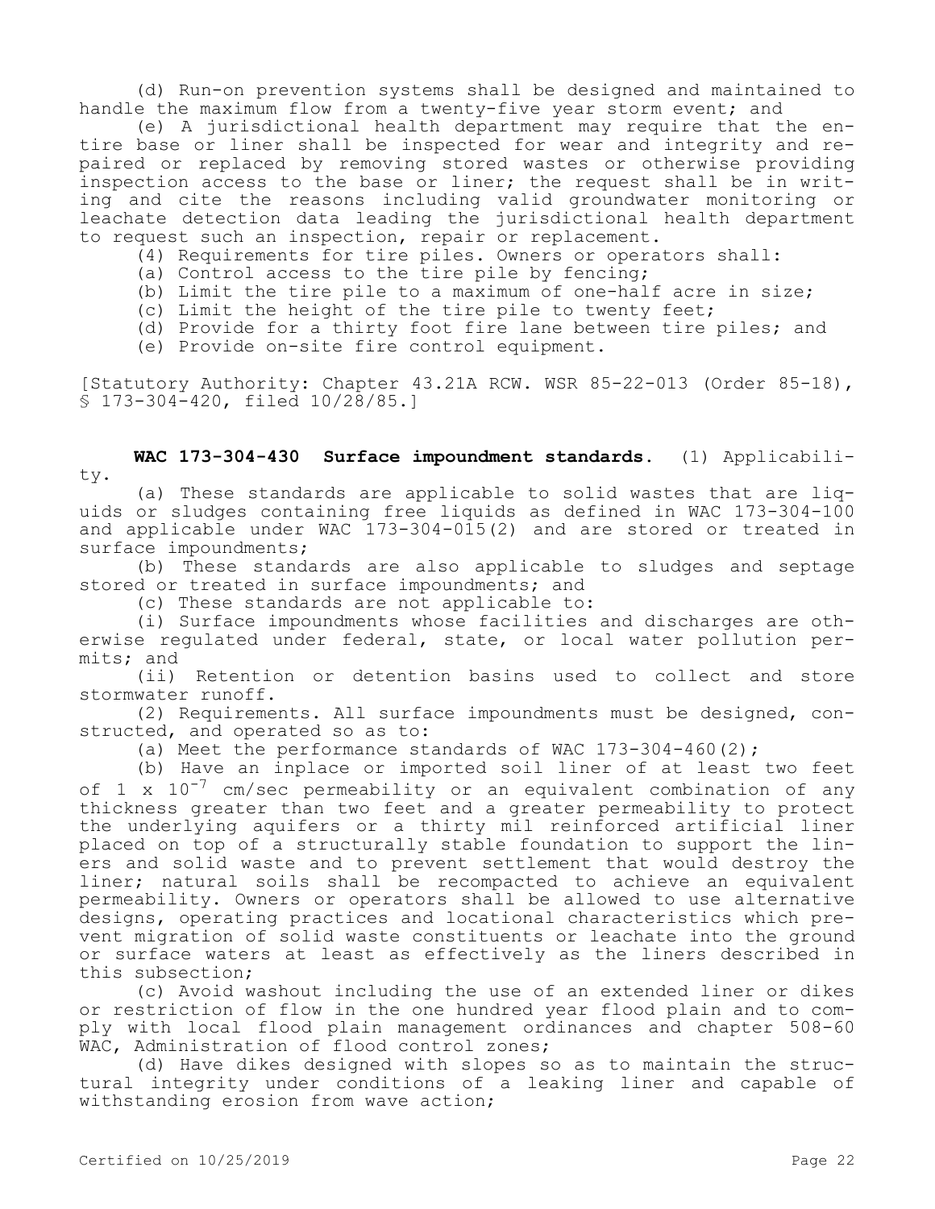(d) Run-on prevention systems shall be designed and maintained to handle the maximum flow from a twenty-five year storm event; and

(e) A jurisdictional health department may require that the entire base or liner shall be inspected for wear and integrity and repaired or replaced by removing stored wastes or otherwise providing inspection access to the base or liner; the request shall be in writing and cite the reasons including valid groundwater monitoring or leachate detection data leading the jurisdictional health department to request such an inspection, repair or replacement.

- (4) Requirements for tire piles. Owners or operators shall:
- (a) Control access to the tire pile by fencing;
- (b) Limit the tire pile to a maximum of one-half acre in size;
- (c) Limit the height of the tire pile to twenty feet;
- (d) Provide for a thirty foot fire lane between tire piles; and
- (e) Provide on-site fire control equipment.

[Statutory Authority: Chapter 43.21A RCW. WSR 85-22-013 (Order 85-18), § 173-304-420, filed 10/28/85.]

**WAC 173-304-430 Surface impoundment standards.** (1) Applicability.

(a) These standards are applicable to solid wastes that are liquids or sludges containing free liquids as defined in WAC 173-304-100 and applicable under WAC 173-304-015(2) and are stored or treated in surface impoundments;

(b) These standards are also applicable to sludges and septage stored or treated in surface impoundments; and

(c) These standards are not applicable to:

(i) Surface impoundments whose facilities and discharges are otherwise regulated under federal, state, or local water pollution permits; and

(ii) Retention or detention basins used to collect and store stormwater runoff.

(2) Requirements. All surface impoundments must be designed, constructed, and operated so as to:

(a) Meet the performance standards of WAC 173-304-460(2);

(b) Have an inplace or imported soil liner of at least two feet of 1 x  $10^{-7}$  cm/sec permeability or an equivalent combination of any thickness greater than two feet and a greater permeability to protect the underlying aquifers or a thirty mil reinforced artificial liner placed on top of a structurally stable foundation to support the liners and solid waste and to prevent settlement that would destroy the liner; natural soils shall be recompacted to achieve an equivalent permeability. Owners or operators shall be allowed to use alternative designs, operating practices and locational characteristics which prevent migration of solid waste constituents or leachate into the ground or surface waters at least as effectively as the liners described in this subsection;

(c) Avoid washout including the use of an extended liner or dikes or restriction of flow in the one hundred year flood plain and to comply with local flood plain management ordinances and chapter 508-60 WAC, Administration of flood control zones;

(d) Have dikes designed with slopes so as to maintain the structural integrity under conditions of a leaking liner and capable of withstanding erosion from wave action;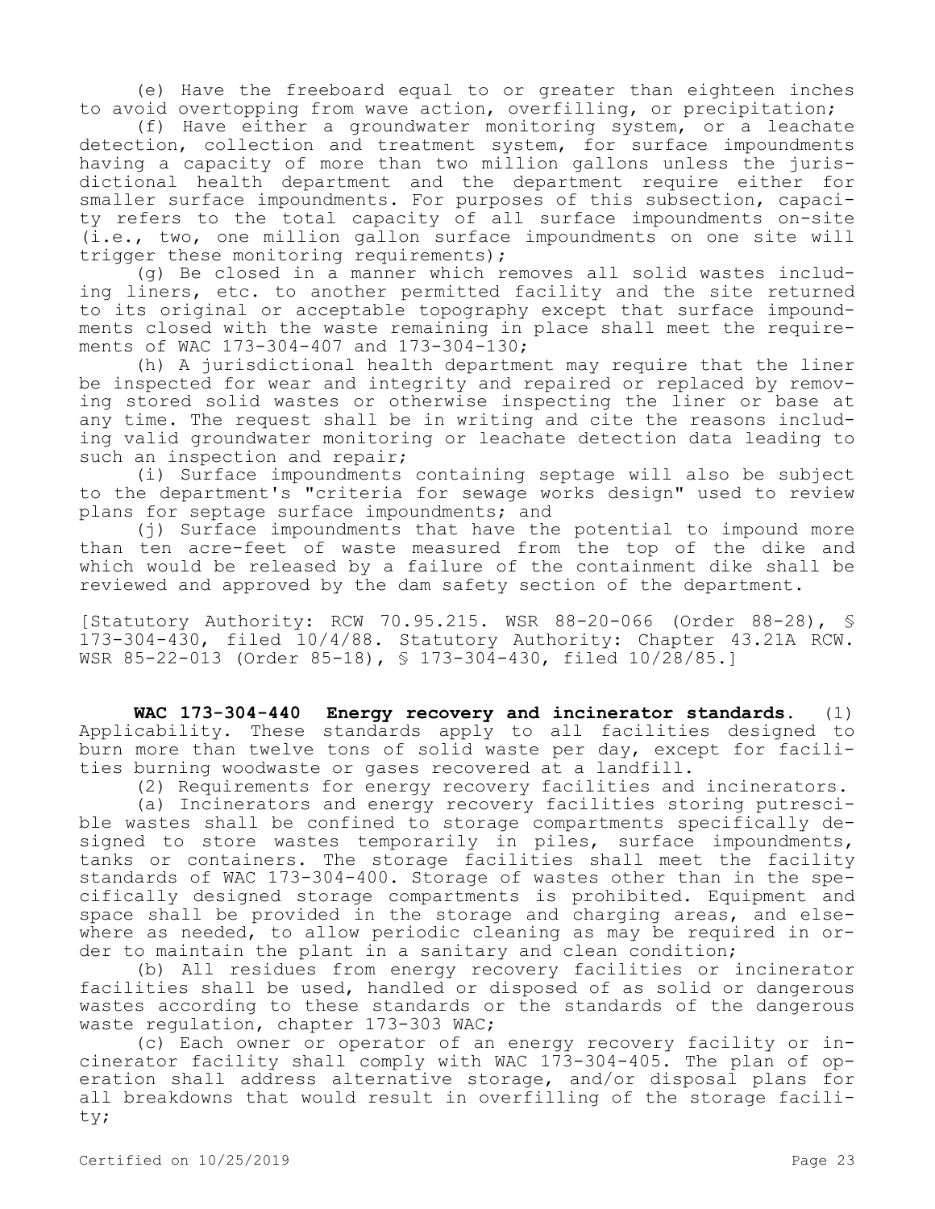(e) Have the freeboard equal to or greater than eighteen inches to avoid overtopping from wave action, overfilling, or precipitation;

(f) Have either a groundwater monitoring system, or a leachate detection, collection and treatment system, for surface impoundments having a capacity of more than two million gallons unless the jurisdictional health department and the department require either for smaller surface impoundments. For purposes of this subsection, capacity refers to the total capacity of all surface impoundments on-site (i.e., two, one million gallon surface impoundments on one site will trigger these monitoring requirements);

(g) Be closed in a manner which removes all solid wastes including liners, etc. to another permitted facility and the site returned to its original or acceptable topography except that surface impoundments closed with the waste remaining in place shall meet the requirements of WAC 173-304-407 and 173-304-130;

(h) A jurisdictional health department may require that the liner be inspected for wear and integrity and repaired or replaced by removing stored solid wastes or otherwise inspecting the liner or base at any time. The request shall be in writing and cite the reasons including valid groundwater monitoring or leachate detection data leading to such an inspection and repair;

(i) Surface impoundments containing septage will also be subject to the department's "criteria for sewage works design" used to review plans for septage surface impoundments; and

(j) Surface impoundments that have the potential to impound more than ten acre-feet of waste measured from the top of the dike and which would be released by a failure of the containment dike shall be reviewed and approved by the dam safety section of the department.

[Statutory Authority: RCW 70.95.215. WSR 88-20-066 (Order 88-28), § 173-304-430, filed 10/4/88. Statutory Authority: Chapter 43.21A RCW. WSR 85-22-013 (Order 85-18), § 173-304-430, filed 10/28/85.]

**WAC 173-304-440 Energy recovery and incinerator standards.** (1) Applicability. These standards apply to all facilities designed to burn more than twelve tons of solid waste per day, except for facilities burning woodwaste or gases recovered at a landfill.

(2) Requirements for energy recovery facilities and incinerators.

(a) Incinerators and energy recovery facilities storing putrescible wastes shall be confined to storage compartments specifically designed to store wastes temporarily in piles, surface impoundments, tanks or containers. The storage facilities shall meet the facility standards of WAC 173-304-400. Storage of wastes other than in the specifically designed storage compartments is prohibited. Equipment and space shall be provided in the storage and charging areas, and elsewhere as needed, to allow periodic cleaning as may be required in order to maintain the plant in a sanitary and clean condition;

(b) All residues from energy recovery facilities or incinerator facilities shall be used, handled or disposed of as solid or dangerous wastes according to these standards or the standards of the dangerous waste regulation, chapter 173-303 WAC;

(c) Each owner or operator of an energy recovery facility or incinerator facility shall comply with WAC 173-304-405. The plan of operation shall address alternative storage, and/or disposal plans for all breakdowns that would result in overfilling of the storage facility;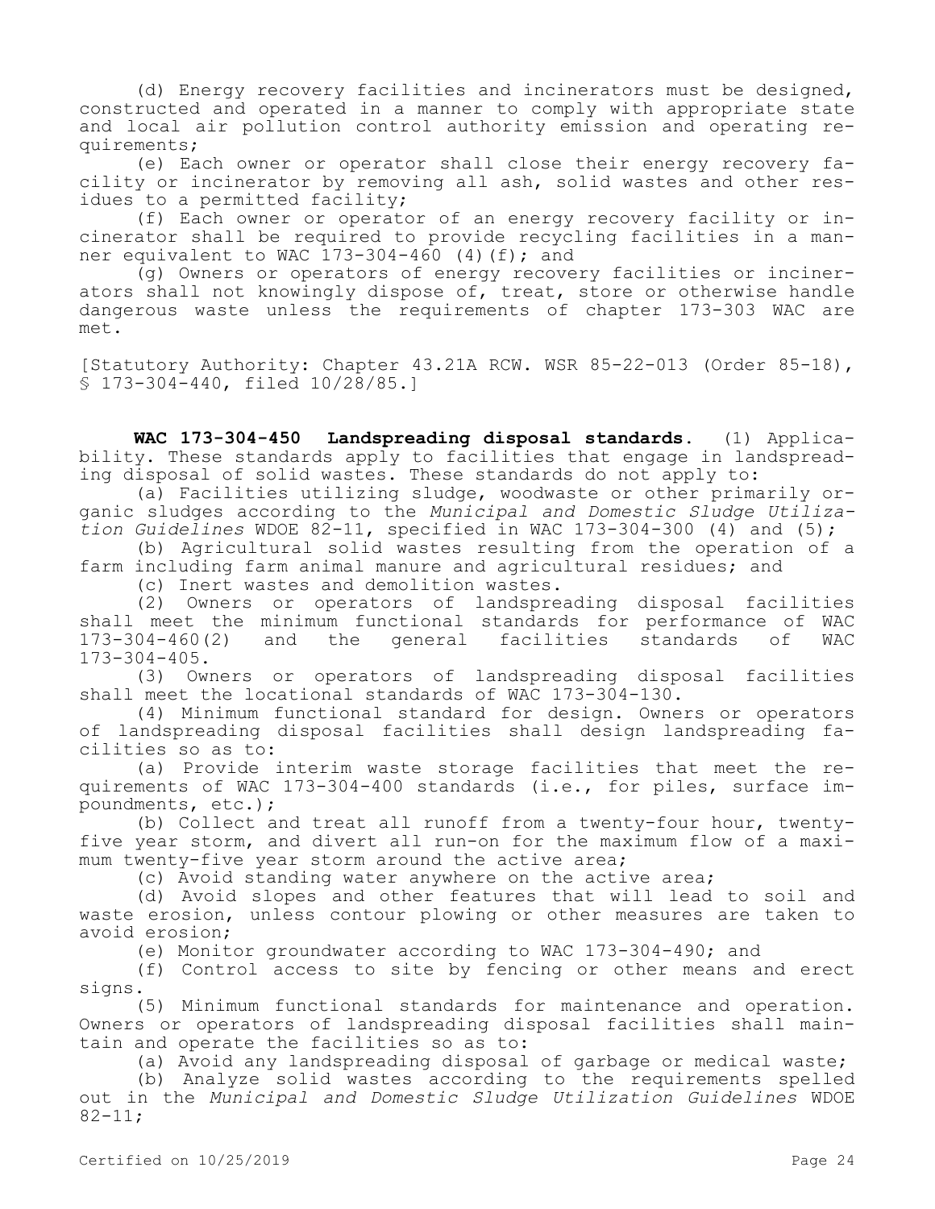(d) Energy recovery facilities and incinerators must be designed, constructed and operated in a manner to comply with appropriate state and local air pollution control authority emission and operating requirements;

(e) Each owner or operator shall close their energy recovery facility or incinerator by removing all ash, solid wastes and other residues to a permitted facility;

(f) Each owner or operator of an energy recovery facility or incinerator shall be required to provide recycling facilities in a manner equivalent to WAC  $173-304-460$  (4)(f); and

(g) Owners or operators of energy recovery facilities or incinerators shall not knowingly dispose of, treat, store or otherwise handle dangerous waste unless the requirements of chapter 173-303 WAC are met.

[Statutory Authority: Chapter 43.21A RCW. WSR 85-22-013 (Order 85-18), § 173-304-440, filed 10/28/85.]

**WAC 173-304-450 Landspreading disposal standards.** (1) Applicability. These standards apply to facilities that engage in landspreading disposal of solid wastes. These standards do not apply to:

(a) Facilities utilizing sludge, woodwaste or other primarily organic sludges according to the *Municipal and Domestic Sludge Utilization Guidelines* WDOE 82-11, specified in WAC 173-304-300 (4) and (5);

(b) Agricultural solid wastes resulting from the operation of a farm including farm animal manure and agricultural residues; and

(c) Inert wastes and demolition wastes.

(2) Owners or operators of landspreading disposal facilities shall meet the minimum functional standards for performance of WAC<br>173-304-460(2) and the general facilities standards of WAC qeneral facilities standards of WAC 173-304-405.

(3) Owners or operators of landspreading disposal facilities shall meet the locational standards of WAC 173-304-130.

(4) Minimum functional standard for design. Owners or operators of landspreading disposal facilities shall design landspreading facilities so as to:

(a) Provide interim waste storage facilities that meet the requirements of WAC 173-304-400 standards (i.e., for piles, surface impoundments, etc.);

(b) Collect and treat all runoff from a twenty-four hour, twentyfive year storm, and divert all run-on for the maximum flow of a maximum twenty-five year storm around the active area;

(c) Avoid standing water anywhere on the active area;

(d) Avoid slopes and other features that will lead to soil and waste erosion, unless contour plowing or other measures are taken to avoid erosion;

(e) Monitor groundwater according to WAC 173-304-490; and

(f) Control access to site by fencing or other means and erect signs.

(5) Minimum functional standards for maintenance and operation. Owners or operators of landspreading disposal facilities shall maintain and operate the facilities so as to:

(a) Avoid any landspreading disposal of garbage or medical waste;

(b) Analyze solid wastes according to the requirements spelled out in the *Municipal and Domestic Sludge Utilization Guidelines* WDOE  $82 - 11;$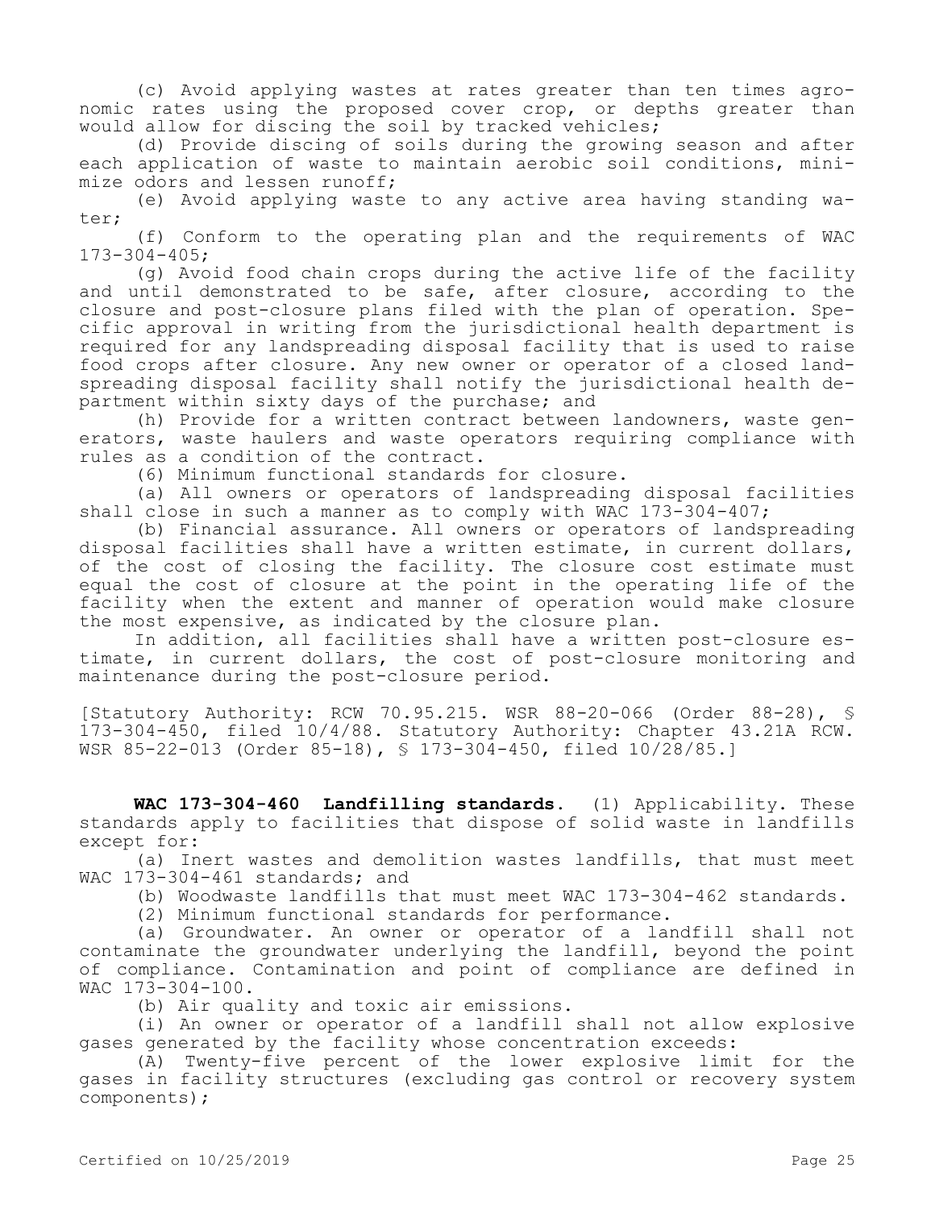(c) Avoid applying wastes at rates greater than ten times agronomic rates using the proposed cover crop, or depths greater than would allow for discing the soil by tracked vehicles;

(d) Provide discing of soils during the growing season and after each application of waste to maintain aerobic soil conditions, minimize odors and lessen runoff;

(e) Avoid applying waste to any active area having standing water;

(f) Conform to the operating plan and the requirements of WAC 173-304-405;

(g) Avoid food chain crops during the active life of the facility and until demonstrated to be safe, after closure, according to the closure and post-closure plans filed with the plan of operation. Specific approval in writing from the jurisdictional health department is required for any landspreading disposal facility that is used to raise food crops after closure. Any new owner or operator of a closed landspreading disposal facility shall notify the jurisdictional health department within sixty days of the purchase; and

(h) Provide for a written contract between landowners, waste generators, waste haulers and waste operators requiring compliance with rules as a condition of the contract.

(6) Minimum functional standards for closure.

(a) All owners or operators of landspreading disposal facilities shall close in such a manner as to comply with WAC 173-304-407;

(b) Financial assurance. All owners or operators of landspreading disposal facilities shall have a written estimate, in current dollars, of the cost of closing the facility. The closure cost estimate must equal the cost of closure at the point in the operating life of the facility when the extent and manner of operation would make closure the most expensive, as indicated by the closure plan.

In addition, all facilities shall have a written post-closure estimate, in current dollars, the cost of post-closure monitoring and maintenance during the post-closure period.

[Statutory Authority: RCW 70.95.215. WSR 88-20-066 (Order 88-28), § 173-304-450, filed 10/4/88. Statutory Authority: Chapter 43.21A RCW. WSR 85-22-013 (Order 85-18), § 173-304-450, filed 10/28/85.]

**WAC 173-304-460 Landfilling standards.** (1) Applicability. These standards apply to facilities that dispose of solid waste in landfills except for:

(a) Inert wastes and demolition wastes landfills, that must meet WAC 173-304-461 standards; and

(b) Woodwaste landfills that must meet WAC 173-304-462 standards.

(2) Minimum functional standards for performance.

(a) Groundwater. An owner or operator of a landfill shall not contaminate the groundwater underlying the landfill, beyond the point of compliance. Contamination and point of compliance are defined in WAC 173-304-100.

(b) Air quality and toxic air emissions.

(i) An owner or operator of a landfill shall not allow explosive gases generated by the facility whose concentration exceeds:

(A) Twenty-five percent of the lower explosive limit for the gases in facility structures (excluding gas control or recovery system components);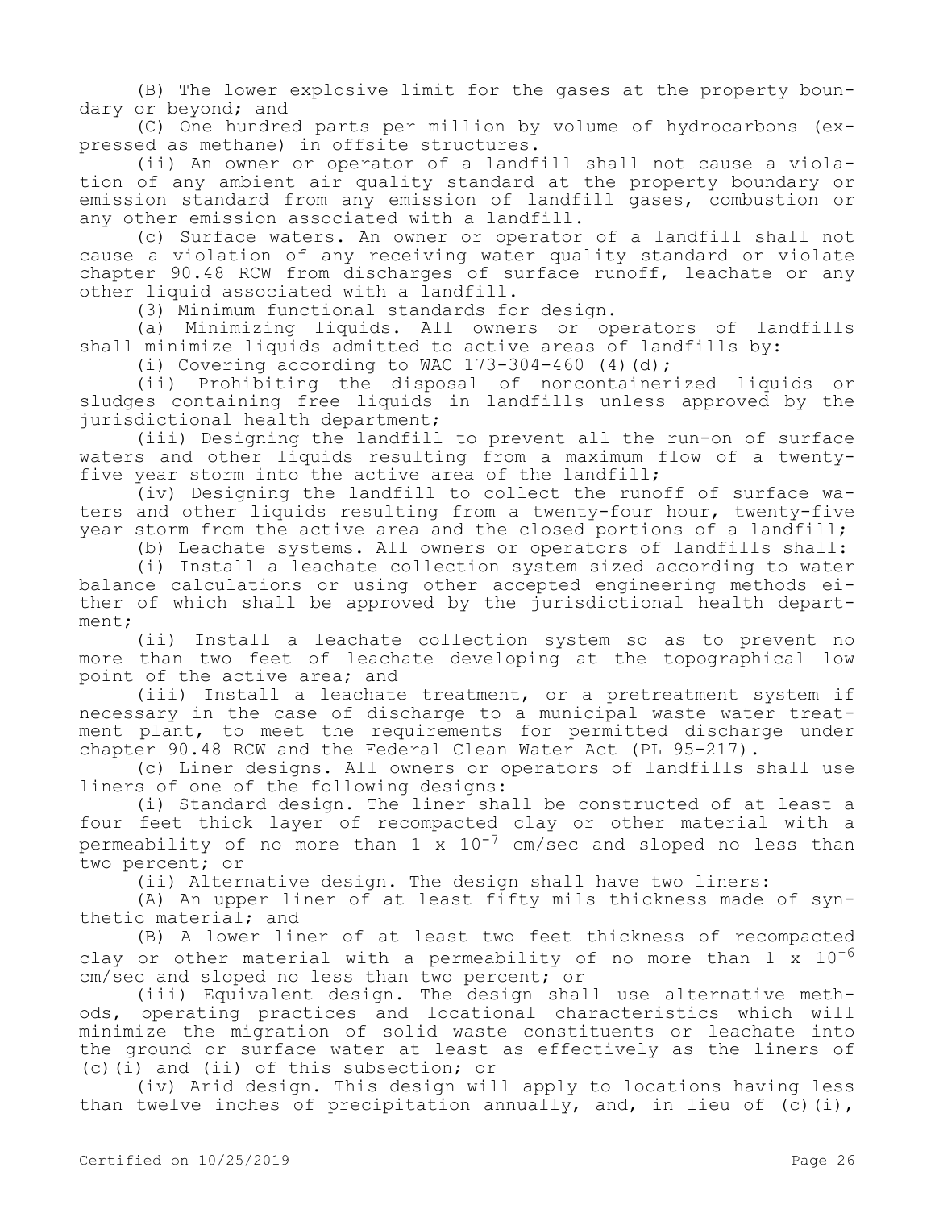(B) The lower explosive limit for the gases at the property boundary or beyond; and

(C) One hundred parts per million by volume of hydrocarbons (expressed as methane) in offsite structures.

(ii) An owner or operator of a landfill shall not cause a violation of any ambient air quality standard at the property boundary or emission standard from any emission of landfill gases, combustion or any other emission associated with a landfill.

(c) Surface waters. An owner or operator of a landfill shall not cause a violation of any receiving water quality standard or violate chapter 90.48 RCW from discharges of surface runoff, leachate or any other liquid associated with a landfill.

(3) Minimum functional standards for design.

(a) Minimizing liquids. All owners or operators of landfills shall minimize liquids admitted to active areas of landfills by:

(i) Covering according to WAC  $173-304-460$  (4)(d);

(ii) Prohibiting the disposal of noncontainerized liquids or sludges containing free liquids in landfills unless approved by the jurisdictional health department;

(iii) Designing the landfill to prevent all the run-on of surface waters and other liquids resulting from a maximum flow of a twentyfive year storm into the active area of the landfill;

(iv) Designing the landfill to collect the runoff of surface waters and other liquids resulting from a twenty-four hour, twenty-five year storm from the active area and the closed portions of a landfill;

(b) Leachate systems. All owners or operators of landfills shall:

(i) Install a leachate collection system sized according to water balance calculations or using other accepted engineering methods either of which shall be approved by the jurisdictional health department;

(ii) Install a leachate collection system so as to prevent no more than two feet of leachate developing at the topographical low point of the active area; and

(iii) Install a leachate treatment, or a pretreatment system if necessary in the case of discharge to a municipal waste water treatment plant, to meet the requirements for permitted discharge under chapter 90.48 RCW and the Federal Clean Water Act (PL 95-217).

(c) Liner designs. All owners or operators of landfills shall use liners of one of the following designs:

(i) Standard design. The liner shall be constructed of at least a four feet thick layer of recompacted clay or other material with a permeability of no more than  $1 \times 10^{-7}$  cm/sec and sloped no less than two percent; or

(ii) Alternative design. The design shall have two liners:

(A) An upper liner of at least fifty mils thickness made of synthetic material; and

(B) A lower liner of at least two feet thickness of recompacted clay or other material with a permeability of no more than  $1 \times 10^{-6}$ cm/sec and sloped no less than two percent; or

(iii) Equivalent design. The design shall use alternative methods, operating practices and locational characteristics which will minimize the migration of solid waste constituents or leachate into the ground or surface water at least as effectively as the liners of (c)(i) and (ii) of this subsection; or

(iv) Arid design. This design will apply to locations having less than twelve inches of precipitation annually, and, in lieu of  $(c)$  (i),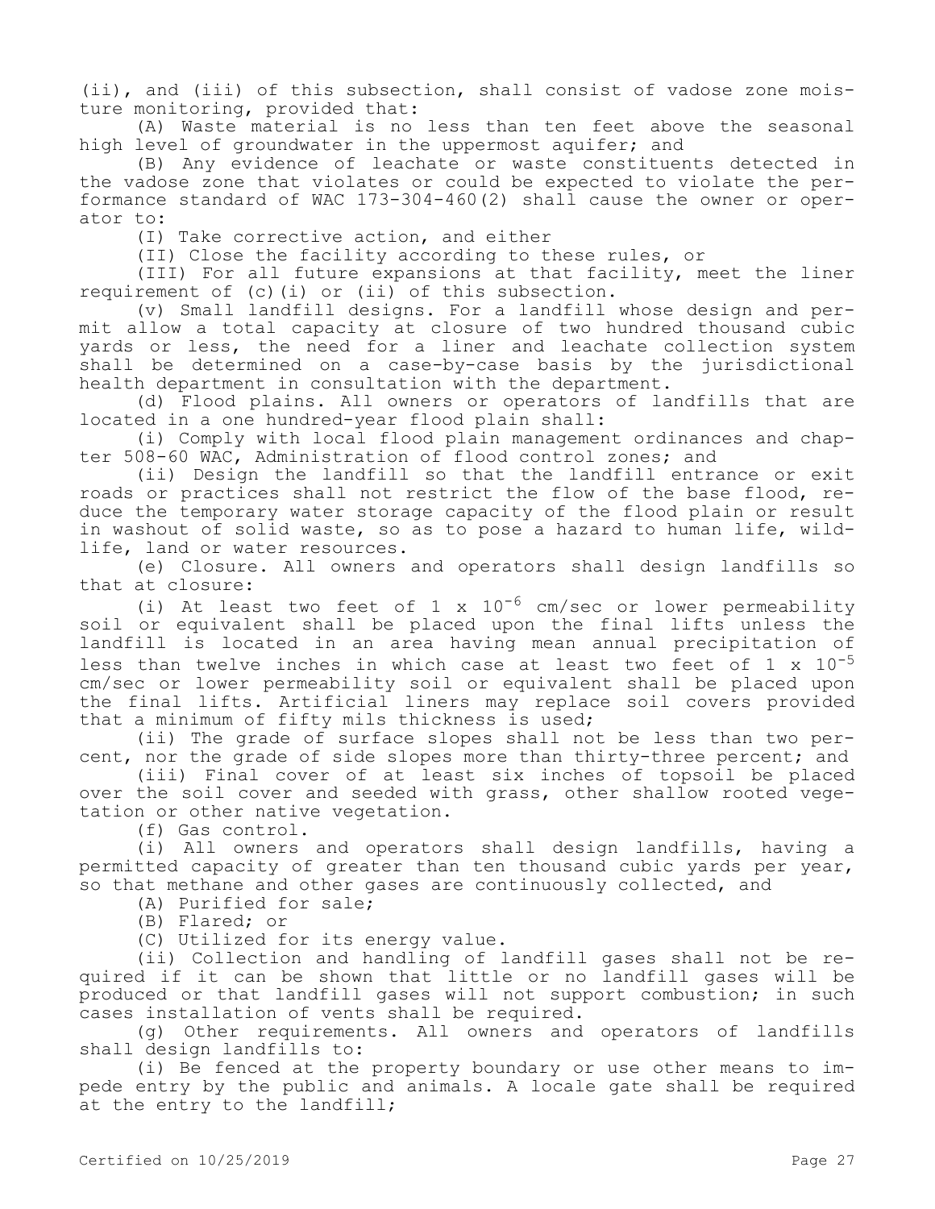(ii), and (iii) of this subsection, shall consist of vadose zone moisture monitoring, provided that:

(A) Waste material is no less than ten feet above the seasonal high level of groundwater in the uppermost aquifer; and

(B) Any evidence of leachate or waste constituents detected in the vadose zone that violates or could be expected to violate the performance standard of WAC 173-304-460(2) shall cause the owner or operator to:

(I) Take corrective action, and either

(II) Close the facility according to these rules, or

(III) For all future expansions at that facility, meet the liner requirement of (c)(i) or (ii) of this subsection.

(v) Small landfill designs. For a landfill whose design and permit allow a total capacity at closure of two hundred thousand cubic yards or less, the need for a liner and leachate collection system shall be determined on a case-by-case basis by the jurisdictional health department in consultation with the department.

(d) Flood plains. All owners or operators of landfills that are located in a one hundred-year flood plain shall:

(i) Comply with local flood plain management ordinances and chapter 508-60 WAC, Administration of flood control zones; and

(ii) Design the landfill so that the landfill entrance or exit roads or practices shall not restrict the flow of the base flood, reduce the temporary water storage capacity of the flood plain or result in washout of solid waste, so as to pose a hazard to human life, wildlife, land or water resources.

(e) Closure. All owners and operators shall design landfills so that at closure:

(i) At least two feet of 1 x  $10^{-6}$  cm/sec or lower permeability soil or equivalent shall be placed upon the final lifts unless the landfill is located in an area having mean annual precipitation of less than twelve inches in which case at least two feet of  $1 \times 10^{-5}$ cm/sec or lower permeability soil or equivalent shall be placed upon the final lifts. Artificial liners may replace soil covers provided that a minimum of fifty mils thickness is used;

(ii) The grade of surface slopes shall not be less than two percent, nor the grade of side slopes more than thirty-three percent; and

(iii) Final cover of at least six inches of topsoil be placed over the soil cover and seeded with grass, other shallow rooted vegetation or other native vegetation.

(f) Gas control.

(i) All owners and operators shall design landfills, having a permitted capacity of greater than ten thousand cubic yards per year, so that methane and other gases are continuously collected, and

(A) Purified for sale;

(B) Flared; or

(C) Utilized for its energy value.

(ii) Collection and handling of landfill gases shall not be required if it can be shown that little or no landfill gases will be produced or that landfill gases will not support combustion; in such cases installation of vents shall be required.

(g) Other requirements. All owners and operators of landfills shall design landfills to:

(i) Be fenced at the property boundary or use other means to impede entry by the public and animals. A locale gate shall be required at the entry to the landfill;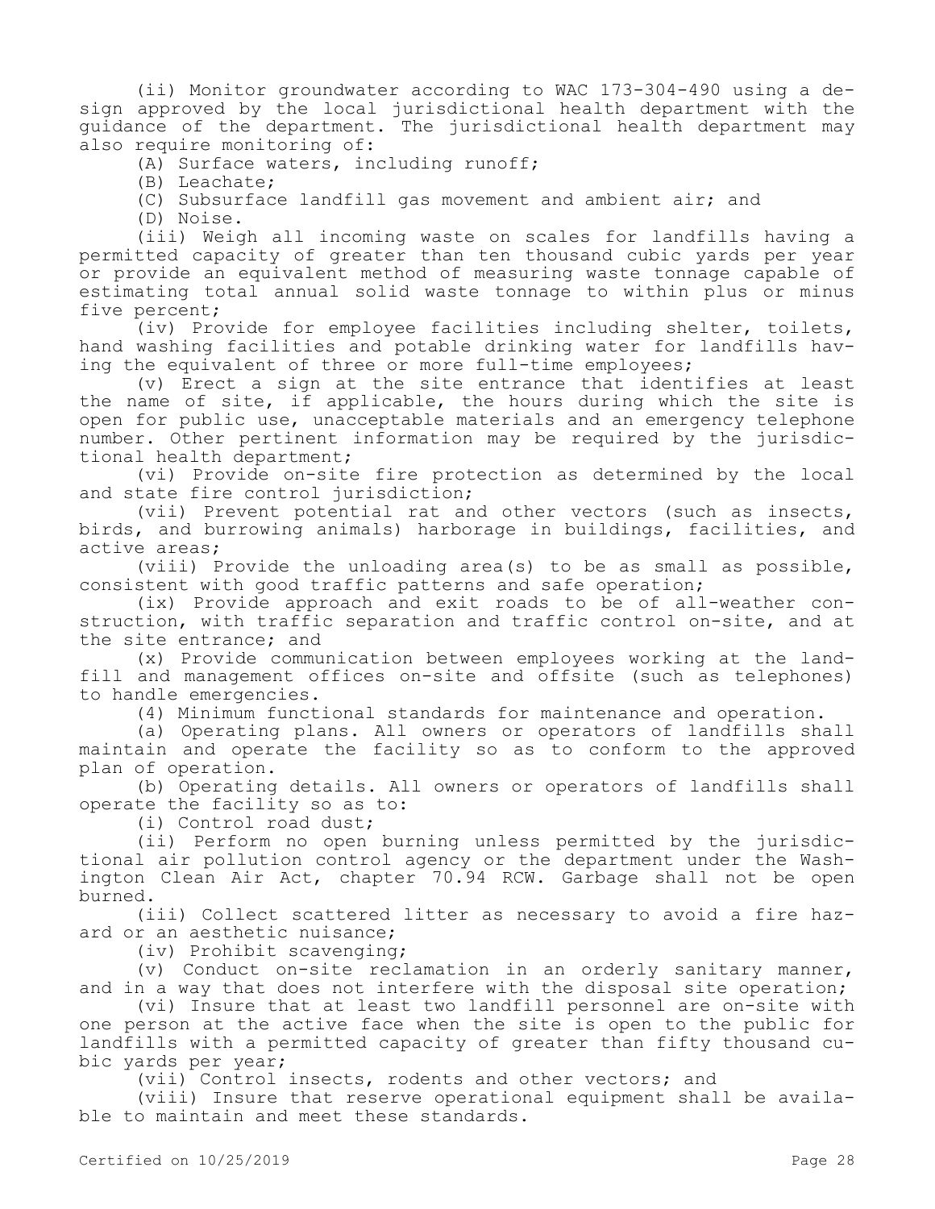(ii) Monitor groundwater according to WAC 173-304-490 using a design approved by the local jurisdictional health department with the guidance of the department. The jurisdictional health department may also require monitoring of:

(A) Surface waters, including runoff;

(B) Leachate;

(C) Subsurface landfill gas movement and ambient air; and

(D) Noise.

(iii) Weigh all incoming waste on scales for landfills having a permitted capacity of greater than ten thousand cubic yards per year or provide an equivalent method of measuring waste tonnage capable of estimating total annual solid waste tonnage to within plus or minus five percent;

(iv) Provide for employee facilities including shelter, toilets, hand washing facilities and potable drinking water for landfills having the equivalent of three or more full-time employees;

(v) Erect a sign at the site entrance that identifies at least the name of site, if applicable, the hours during which the site is open for public use, unacceptable materials and an emergency telephone number. Other pertinent information may be required by the jurisdictional health department;

(vi) Provide on-site fire protection as determined by the local and state fire control jurisdiction;

(vii) Prevent potential rat and other vectors (such as insects, birds, and burrowing animals) harborage in buildings, facilities, and active areas;

(viii) Provide the unloading area(s) to be as small as possible, consistent with good traffic patterns and safe operation;

(ix) Provide approach and exit roads to be of all-weather construction, with traffic separation and traffic control on-site, and at the site entrance; and

(x) Provide communication between employees working at the landfill and management offices on-site and offsite (such as telephones) to handle emergencies.

(4) Minimum functional standards for maintenance and operation.

(a) Operating plans. All owners or operators of landfills shall maintain and operate the facility so as to conform to the approved plan of operation.

(b) Operating details. All owners or operators of landfills shall operate the facility so as to:

(i) Control road dust;

(ii) Perform no open burning unless permitted by the jurisdictional air pollution control agency or the department under the Washington Clean Air Act, chapter 70.94 RCW. Garbage shall not be open burned.

(iii) Collect scattered litter as necessary to avoid a fire hazard or an aesthetic nuisance;

(iv) Prohibit scavenging;

(v) Conduct on-site reclamation in an orderly sanitary manner, and in a way that does not interfere with the disposal site operation;

(vi) Insure that at least two landfill personnel are on-site with one person at the active face when the site is open to the public for landfills with a permitted capacity of greater than fifty thousand cubic yards per year;

(vii) Control insects, rodents and other vectors; and

(viii) Insure that reserve operational equipment shall be available to maintain and meet these standards.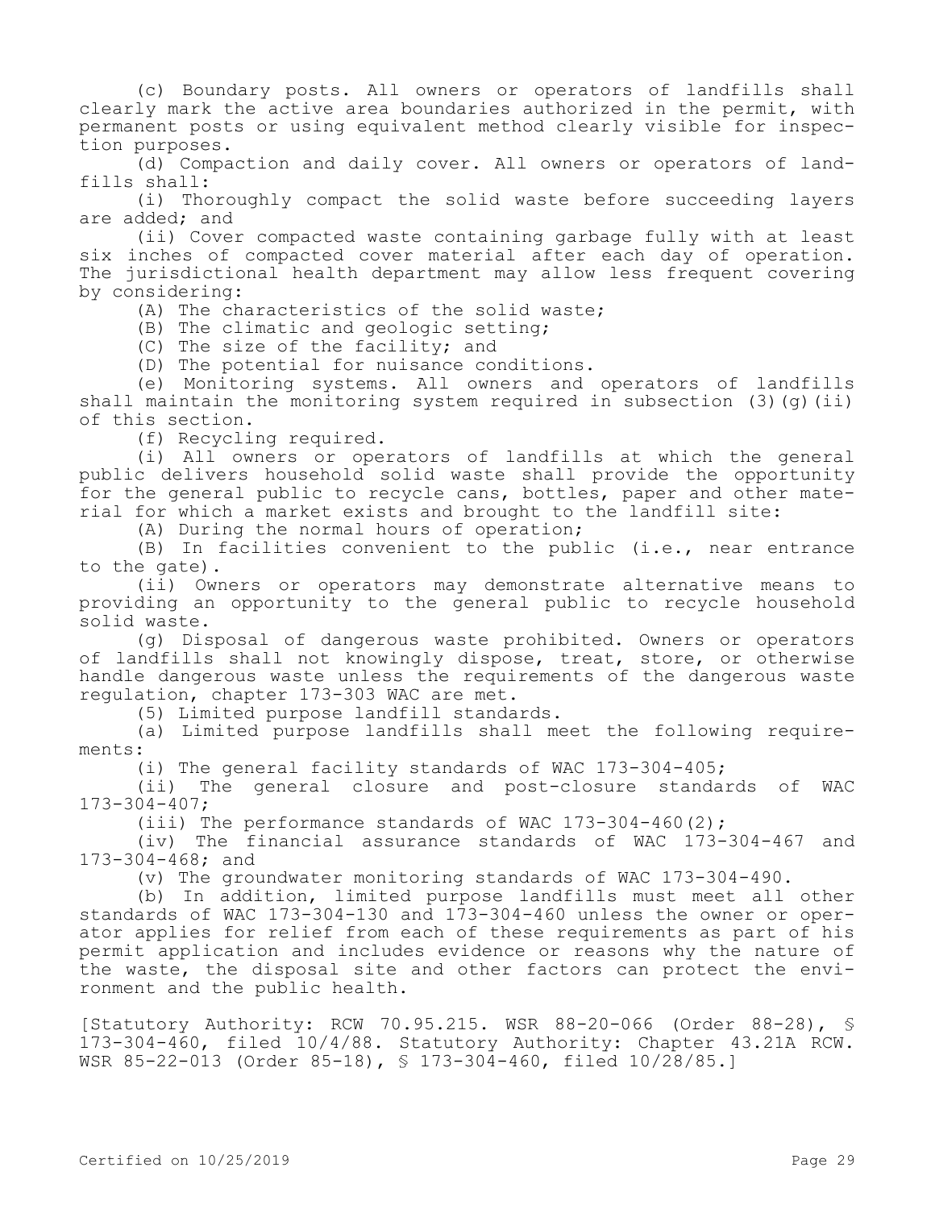(c) Boundary posts. All owners or operators of landfills shall clearly mark the active area boundaries authorized in the permit, with permanent posts or using equivalent method clearly visible for inspection purposes.

(d) Compaction and daily cover. All owners or operators of landfills shall:

(i) Thoroughly compact the solid waste before succeeding layers are added; and

(ii) Cover compacted waste containing garbage fully with at least six inches of compacted cover material after each day of operation. The jurisdictional health department may allow less frequent covering by considering:

(A) The characteristics of the solid waste;

(B) The climatic and geologic setting;

(C) The size of the facility; and

(D) The potential for nuisance conditions.

(e) Monitoring systems. All owners and operators of landfills shall maintain the monitoring system required in subsection  $(3)(q)(ii)$ of this section.

(f) Recycling required.

(i) All owners or operators of landfills at which the general public delivers household solid waste shall provide the opportunity for the general public to recycle cans, bottles, paper and other material for which a market exists and brought to the landfill site:

(A) During the normal hours of operation;

(B) In facilities convenient to the public (i.e., near entrance to the gate).

(ii) Owners or operators may demonstrate alternative means to providing an opportunity to the general public to recycle household solid waste.

(g) Disposal of dangerous waste prohibited. Owners or operators of landfills shall not knowingly dispose, treat, store, or otherwise handle dangerous waste unless the requirements of the dangerous waste regulation, chapter 173-303 WAC are met.

(5) Limited purpose landfill standards.

(a) Limited purpose landfills shall meet the following requirements:

(i) The general facility standards of WAC 173-304-405;

(ii) The general closure and post-closure standards of WAC 173-304-407;

(iii) The performance standards of WAC 173-304-460(2);

(iv) The financial assurance standards of WAC 173-304-467 and 173-304-468; and

(v) The groundwater monitoring standards of WAC 173-304-490.

(b) In addition, limited purpose landfills must meet all other standards of WAC 173-304-130 and 173-304-460 unless the owner or operator applies for relief from each of these requirements as part of his permit application and includes evidence or reasons why the nature of the waste, the disposal site and other factors can protect the environment and the public health.

[Statutory Authority: RCW 70.95.215. WSR 88-20-066 (Order 88-28), § 173-304-460, filed 10/4/88. Statutory Authority: Chapter 43.21A RCW. WSR 85-22-013 (Order 85-18), § 173-304-460, filed 10/28/85.]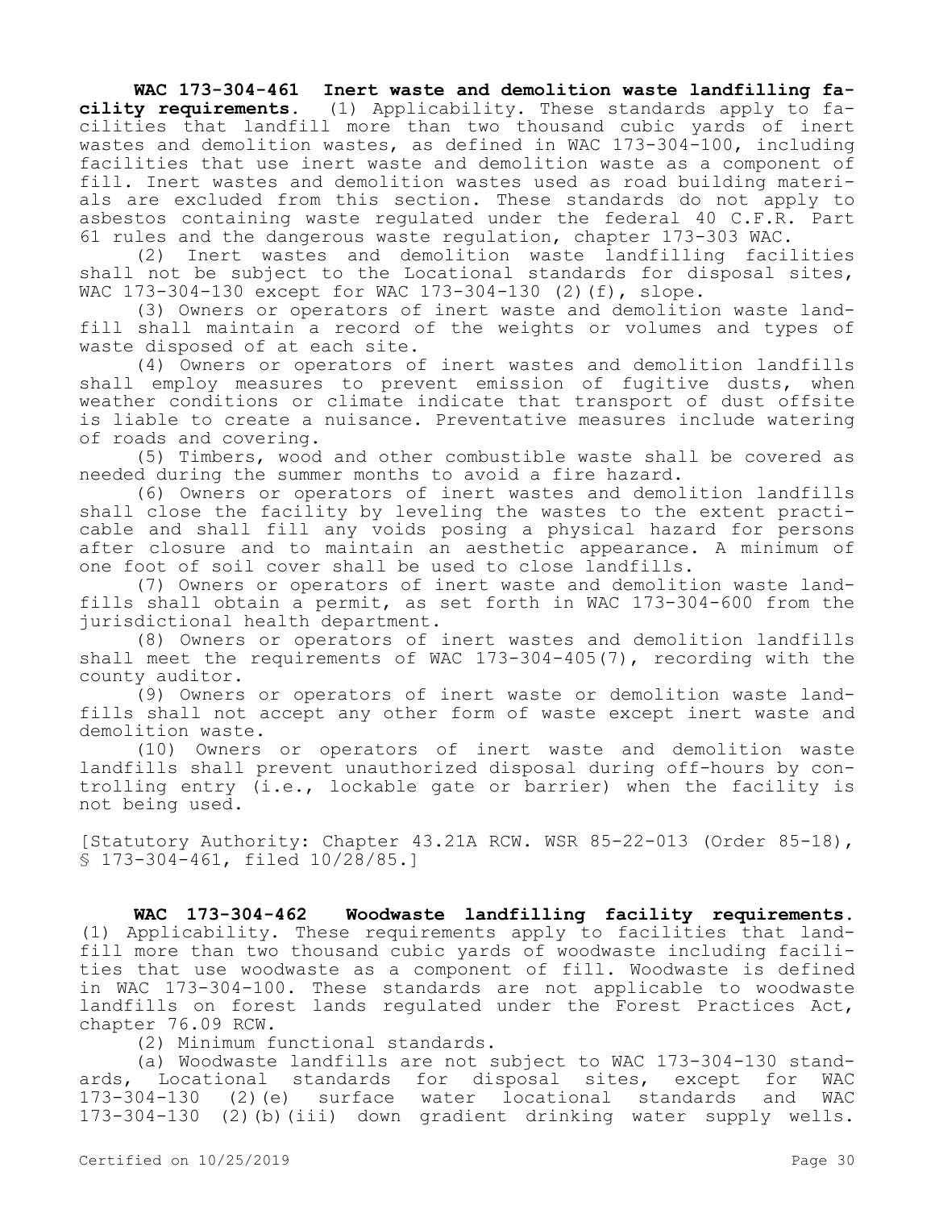### **WAC 173-304-461 Inert waste and demolition waste landfilling fa-**

**cility requirements.** (1) Applicability. These standards apply to facilities that landfill more than two thousand cubic yards of inert wastes and demolition wastes, as defined in WAC 173-304-100, including facilities that use inert waste and demolition waste as a component of fill. Inert wastes and demolition wastes used as road building materials are excluded from this section. These standards do not apply to asbestos containing waste regulated under the federal 40 C.F.R. Part

61 rules and the dangerous waste regulation, chapter 173-303 WAC. Inert wastes and demolition waste landfilling facilities shall not be subject to the Locational standards for disposal sites, WAC 173-304-130 except for WAC 173-304-130 (2)(f), slope.

(3) Owners or operators of inert waste and demolition waste landfill shall maintain a record of the weights or volumes and types of waste disposed of at each site.

(4) Owners or operators of inert wastes and demolition landfills shall employ measures to prevent emission of fugitive dusts, when weather conditions or climate indicate that transport of dust offsite is liable to create a nuisance. Preventative measures include watering of roads and covering.

(5) Timbers, wood and other combustible waste shall be covered as needed during the summer months to avoid a fire hazard.

(6) Owners or operators of inert wastes and demolition landfills shall close the facility by leveling the wastes to the extent practicable and shall fill any voids posing a physical hazard for persons after closure and to maintain an aesthetic appearance. A minimum of one foot of soil cover shall be used to close landfills.

(7) Owners or operators of inert waste and demolition waste landfills shall obtain a permit, as set forth in WAC 173-304-600 from the jurisdictional health department.

(8) Owners or operators of inert wastes and demolition landfills shall meet the requirements of WAC 173-304-405(7), recording with the county auditor.

(9) Owners or operators of inert waste or demolition waste landfills shall not accept any other form of waste except inert waste and demolition waste.

(10) Owners or operators of inert waste and demolition waste landfills shall prevent unauthorized disposal during off-hours by controlling entry (i.e., lockable gate or barrier) when the facility is not being used.

[Statutory Authority: Chapter 43.21A RCW. WSR 85-22-013 (Order 85-18), § 173-304-461, filed 10/28/85.]

**WAC 173-304-462 Woodwaste landfilling facility requirements.**  (1) Applicability. These requirements apply to facilities that landfill more than two thousand cubic yards of woodwaste including facilities that use woodwaste as a component of fill. Woodwaste is defined in WAC 173-304-100. These standards are not applicable to woodwaste landfills on forest lands regulated under the Forest Practices Act, chapter 76.09 RCW.

(2) Minimum functional standards.

(a) Woodwaste landfills are not subject to WAC 173-304-130 standards, Locational standards for disposal sites, except for WAC 173-304-130 (2)(e) surface water locational standards and WAC 173-304-130 (2)(b)(iii) down gradient drinking water supply wells.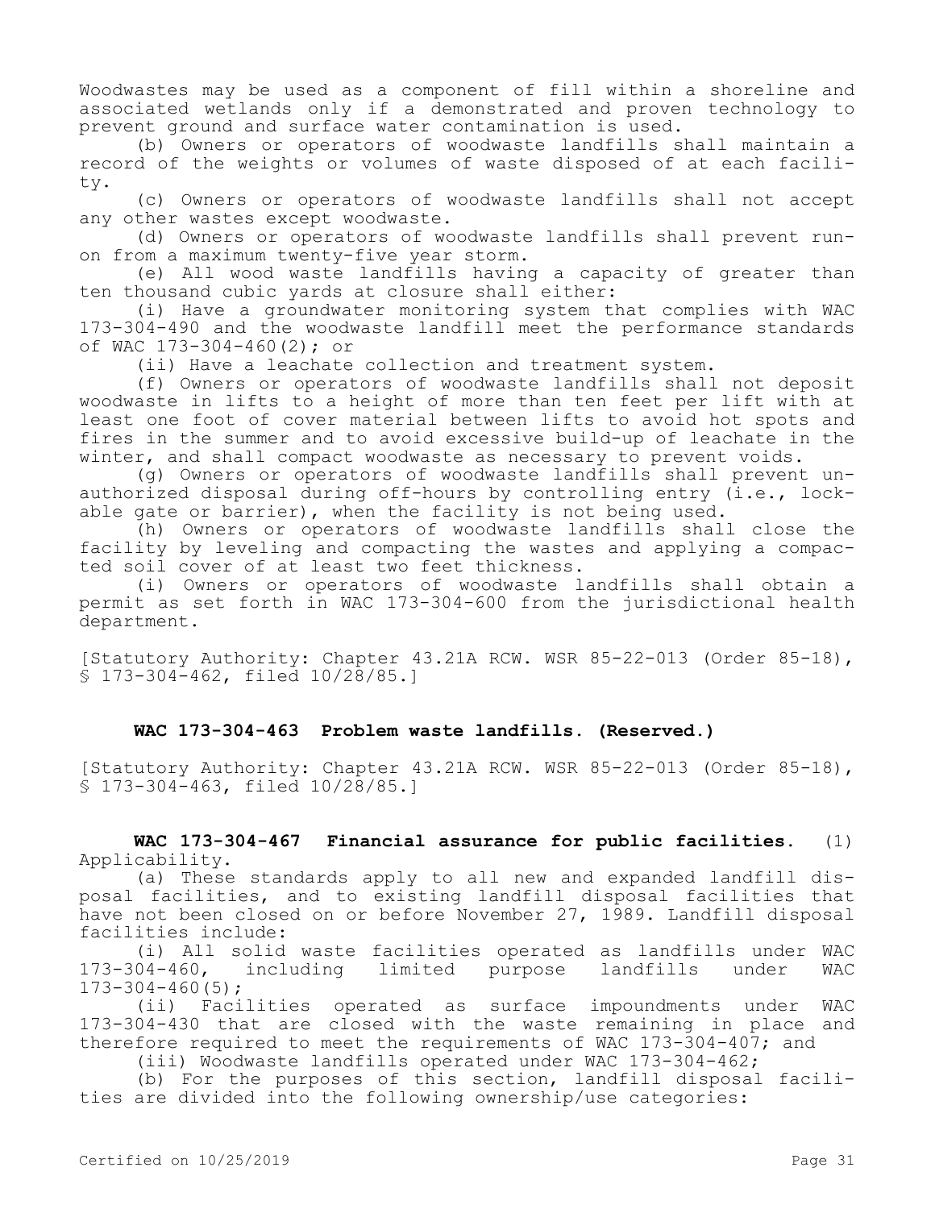Woodwastes may be used as a component of fill within a shoreline and associated wetlands only if a demonstrated and proven technology to prevent ground and surface water contamination is used.

(b) Owners or operators of woodwaste landfills shall maintain a record of the weights or volumes of waste disposed of at each facility.

(c) Owners or operators of woodwaste landfills shall not accept any other wastes except woodwaste.

(d) Owners or operators of woodwaste landfills shall prevent runon from a maximum twenty-five year storm.

(e) All wood waste landfills having a capacity of greater than ten thousand cubic yards at closure shall either:

(i) Have a groundwater monitoring system that complies with WAC 173-304-490 and the woodwaste landfill meet the performance standards of WAC 173-304-460(2); or

(ii) Have a leachate collection and treatment system.

(f) Owners or operators of woodwaste landfills shall not deposit woodwaste in lifts to a height of more than ten feet per lift with at least one foot of cover material between lifts to avoid hot spots and fires in the summer and to avoid excessive build-up of leachate in the winter, and shall compact woodwaste as necessary to prevent voids.

(g) Owners or operators of woodwaste landfills shall prevent unauthorized disposal during off-hours by controlling entry (i.e., lockable gate or barrier), when the facility is not being used.

(h) Owners or operators of woodwaste landfills shall close the facility by leveling and compacting the wastes and applying a compacted soil cover of at least two feet thickness.

(i) Owners or operators of woodwaste landfills shall obtain a permit as set forth in WAC 173-304-600 from the jurisdictional health department.

[Statutory Authority: Chapter 43.21A RCW. WSR 85-22-013 (Order 85-18), § 173-304-462, filed 10/28/85.]

### **WAC 173-304-463 Problem waste landfills. (Reserved.)**

[Statutory Authority: Chapter 43.21A RCW. WSR 85-22-013 (Order 85-18), § 173-304-463, filed 10/28/85.]

**WAC 173-304-467 Financial assurance for public facilities.** (1) Applicability.

(a) These standards apply to all new and expanded landfill disposal facilities, and to existing landfill disposal facilities that have not been closed on or before November 27, 1989. Landfill disposal facilities include:

(i) All solid waste facilities operated as landfills under WAC<br>173-304-460, including limited purpose landfills under WAC including limited purpose landfills under WAC  $173 - 304 - 460(5)$ ;

(ii) Facilities operated as surface impoundments under WAC 173-304-430 that are closed with the waste remaining in place and therefore required to meet the requirements of WAC  $173-304-407$ ; and

(iii) Woodwaste landfills operated under WAC 173-304-462;

(b) For the purposes of this section, landfill disposal facilities are divided into the following ownership/use categories: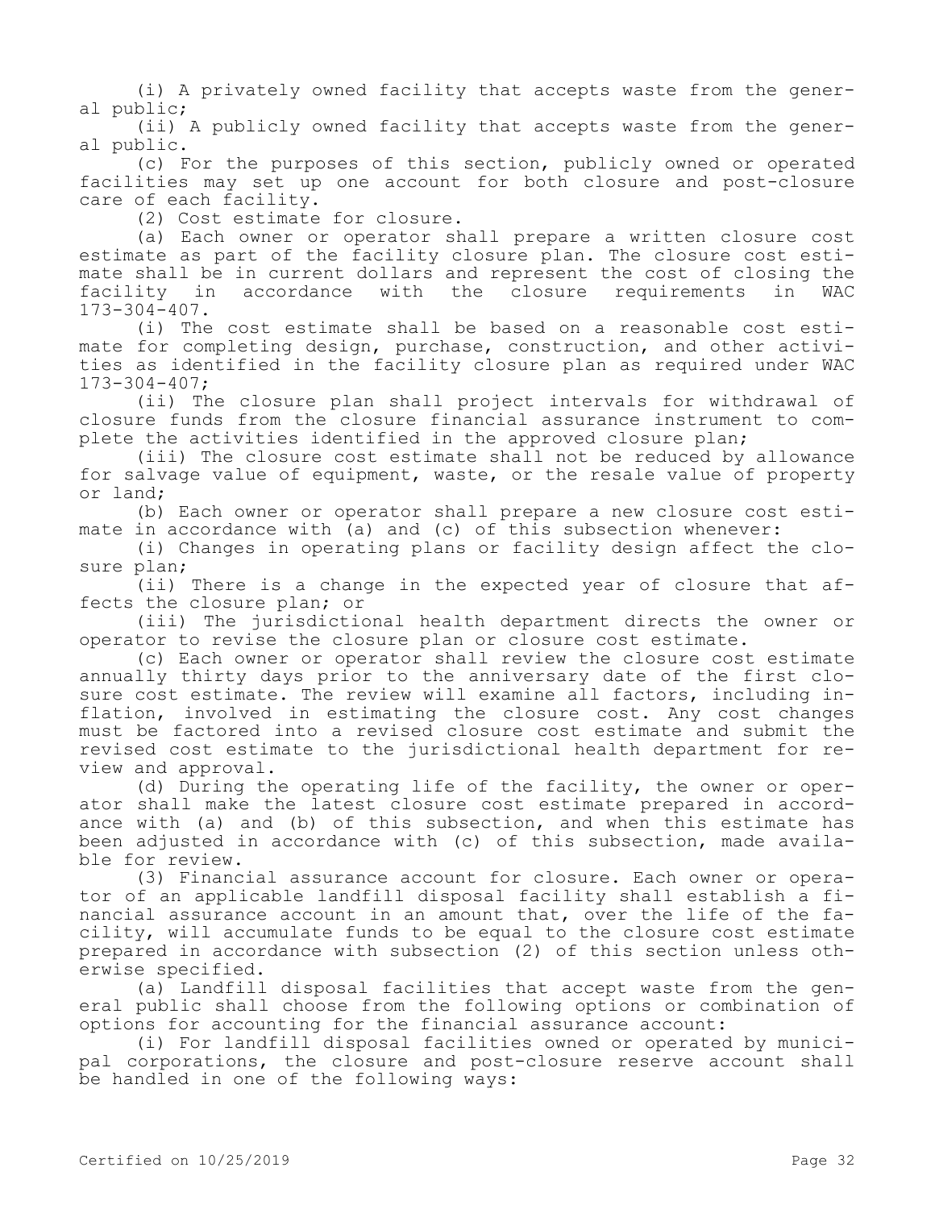(i) A privately owned facility that accepts waste from the general public;

(ii) A publicly owned facility that accepts waste from the general public.

(c) For the purposes of this section, publicly owned or operated facilities may set up one account for both closure and post-closure care of each facility.

(2) Cost estimate for closure.

(a) Each owner or operator shall prepare a written closure cost estimate as part of the facility closure plan. The closure cost estimate shall be in current dollars and represent the cost of closing the facility in accordance with the closure requirements in WAC 173-304-407.

(i) The cost estimate shall be based on a reasonable cost estimate for completing design, purchase, construction, and other activities as identified in the facility closure plan as required under WAC 173-304-407;

(ii) The closure plan shall project intervals for withdrawal of closure funds from the closure financial assurance instrument to complete the activities identified in the approved closure plan;

(iii) The closure cost estimate shall not be reduced by allowance for salvage value of equipment, waste, or the resale value of property or land;

(b) Each owner or operator shall prepare a new closure cost estimate in accordance with (a) and (c) of this subsection whenever:

(i) Changes in operating plans or facility design affect the closure plan;

(ii) There is a change in the expected year of closure that affects the closure plan; or

(iii) The jurisdictional health department directs the owner or operator to revise the closure plan or closure cost estimate.

(c) Each owner or operator shall review the closure cost estimate annually thirty days prior to the anniversary date of the first closure cost estimate. The review will examine all factors, including inflation, involved in estimating the closure cost. Any cost changes must be factored into a revised closure cost estimate and submit the revised cost estimate to the jurisdictional health department for review and approval.

(d) During the operating life of the facility, the owner or operator shall make the latest closure cost estimate prepared in accordance with (a) and (b) of this subsection, and when this estimate has been adjusted in accordance with (c) of this subsection, made available for review.

(3) Financial assurance account for closure. Each owner or operator of an applicable landfill disposal facility shall establish a financial assurance account in an amount that, over the life of the facility, will accumulate funds to be equal to the closure cost estimate prepared in accordance with subsection (2) of this section unless otherwise specified.

(a) Landfill disposal facilities that accept waste from the general public shall choose from the following options or combination of options for accounting for the financial assurance account:

(i) For landfill disposal facilities owned or operated by municipal corporations, the closure and post-closure reserve account shall be handled in one of the following ways: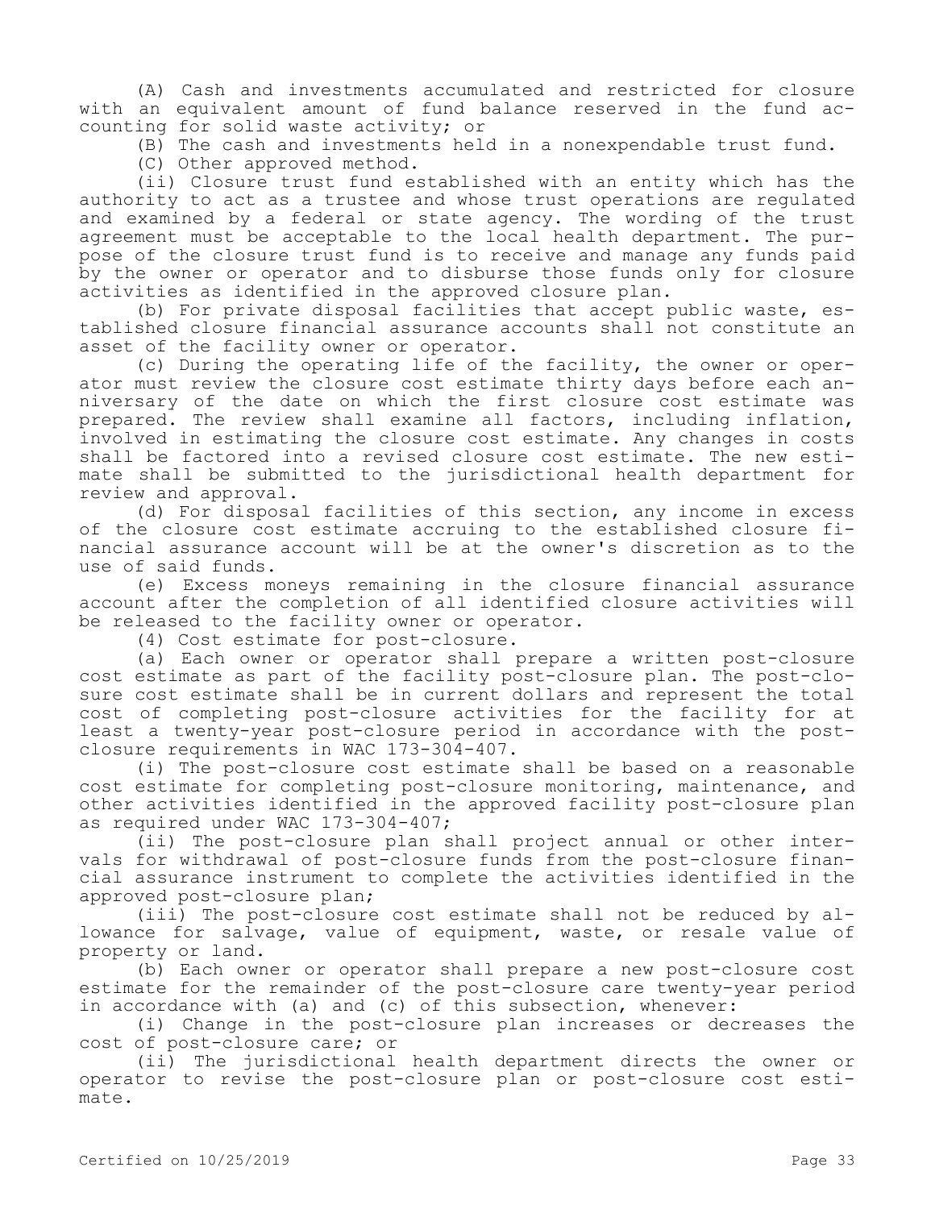(A) Cash and investments accumulated and restricted for closure with an equivalent amount of fund balance reserved in the fund accounting for solid waste activity; or

(B) The cash and investments held in a nonexpendable trust fund.

(C) Other approved method.

(ii) Closure trust fund established with an entity which has the authority to act as a trustee and whose trust operations are regulated and examined by a federal or state agency. The wording of the trust agreement must be acceptable to the local health department. The purpose of the closure trust fund is to receive and manage any funds paid by the owner or operator and to disburse those funds only for closure activities as identified in the approved closure plan.

(b) For private disposal facilities that accept public waste, established closure financial assurance accounts shall not constitute an asset of the facility owner or operator.

(c) During the operating life of the facility, the owner or operator must review the closure cost estimate thirty days before each anniversary of the date on which the first closure cost estimate was prepared. The review shall examine all factors, including inflation, involved in estimating the closure cost estimate. Any changes in costs shall be factored into a revised closure cost estimate. The new estimate shall be submitted to the jurisdictional health department for review and approval.

(d) For disposal facilities of this section, any income in excess of the closure cost estimate accruing to the established closure financial assurance account will be at the owner's discretion as to the use of said funds.

(e) Excess moneys remaining in the closure financial assurance account after the completion of all identified closure activities will be released to the facility owner or operator.

(4) Cost estimate for post-closure.

(a) Each owner or operator shall prepare a written post-closure cost estimate as part of the facility post-closure plan. The post-closure cost estimate shall be in current dollars and represent the total cost of completing post-closure activities for the facility for at least a twenty-year post-closure period in accordance with the postclosure requirements in WAC 173-304-407.

(i) The post-closure cost estimate shall be based on a reasonable cost estimate for completing post-closure monitoring, maintenance, and other activities identified in the approved facility post-closure plan as required under WAC 173-304-407;

(ii) The post-closure plan shall project annual or other intervals for withdrawal of post-closure funds from the post-closure financial assurance instrument to complete the activities identified in the approved post-closure plan;

(iii) The post-closure cost estimate shall not be reduced by allowance for salvage, value of equipment, waste, or resale value of property or land.

(b) Each owner or operator shall prepare a new post-closure cost estimate for the remainder of the post-closure care twenty-year period in accordance with (a) and (c) of this subsection, whenever:

(i) Change in the post-closure plan increases or decreases the cost of post-closure care; or

(ii) The jurisdictional health department directs the owner or operator to revise the post-closure plan or post-closure cost estimate.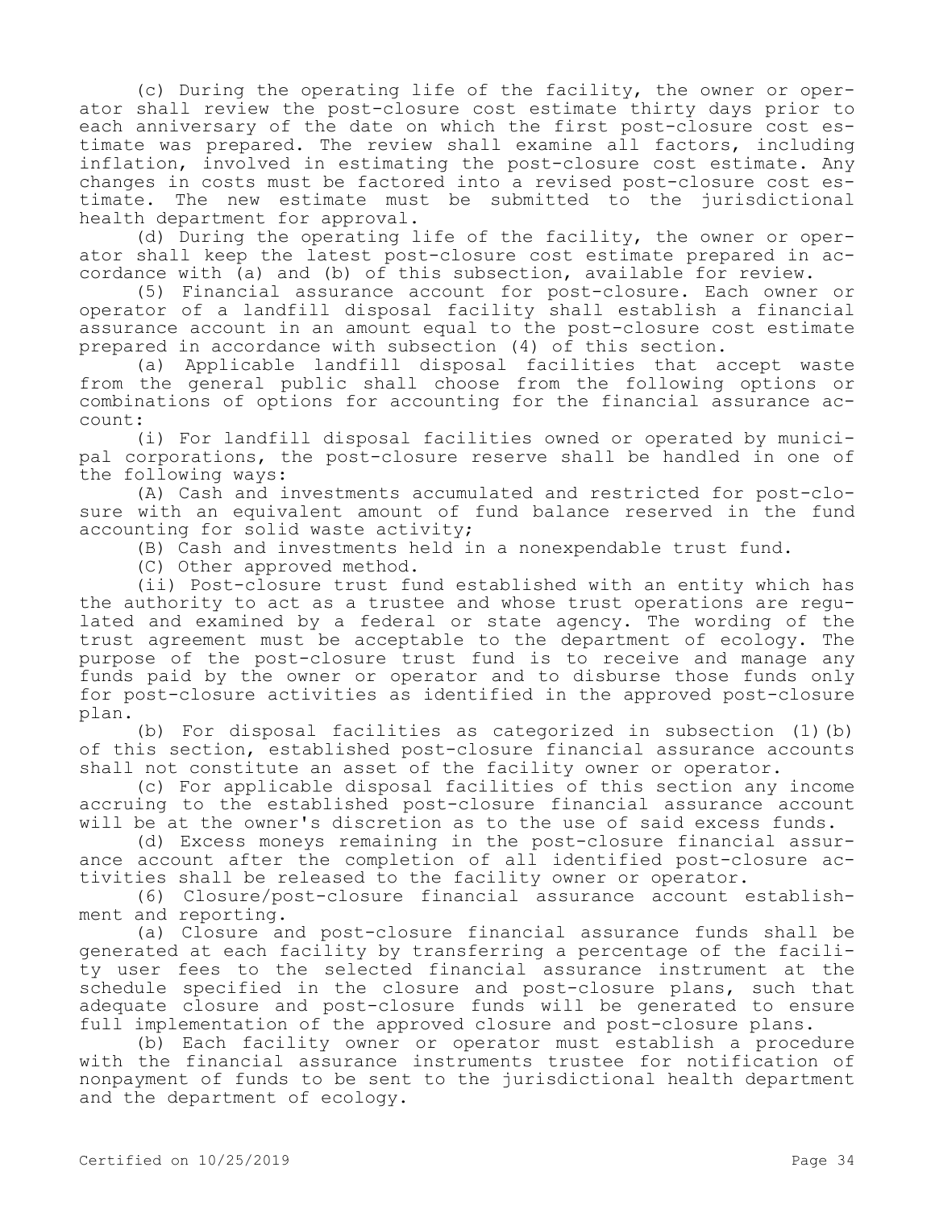(c) During the operating life of the facility, the owner or operator shall review the post-closure cost estimate thirty days prior to each anniversary of the date on which the first post-closure cost estimate was prepared. The review shall examine all factors, including inflation, involved in estimating the post-closure cost estimate. Any changes in costs must be factored into a revised post-closure cost estimate. The new estimate must be submitted to the jurisdictional health department for approval.

(d) During the operating life of the facility, the owner or operator shall keep the latest post-closure cost estimate prepared in accordance with (a) and (b) of this subsection, available for review.

(5) Financial assurance account for post-closure. Each owner or operator of a landfill disposal facility shall establish a financial assurance account in an amount equal to the post-closure cost estimate prepared in accordance with subsection (4) of this section.

(a) Applicable landfill disposal facilities that accept waste from the general public shall choose from the following options or combinations of options for accounting for the financial assurance account:

(i) For landfill disposal facilities owned or operated by municipal corporations, the post-closure reserve shall be handled in one of the following ways:

(A) Cash and investments accumulated and restricted for post-closure with an equivalent amount of fund balance reserved in the fund accounting for solid waste activity;

(B) Cash and investments held in a nonexpendable trust fund.

(C) Other approved method.

(ii) Post-closure trust fund established with an entity which has the authority to act as a trustee and whose trust operations are regulated and examined by a federal or state agency. The wording of the trust agreement must be acceptable to the department of ecology. The purpose of the post-closure trust fund is to receive and manage any funds paid by the owner or operator and to disburse those funds only for post-closure activities as identified in the approved post-closure plan.

(b) For disposal facilities as categorized in subsection (1)(b) of this section, established post-closure financial assurance accounts shall not constitute an asset of the facility owner or operator.

(c) For applicable disposal facilities of this section any income accruing to the established post-closure financial assurance account will be at the owner's discretion as to the use of said excess funds.

(d) Excess moneys remaining in the post-closure financial assurance account after the completion of all identified post-closure activities shall be released to the facility owner or operator.

(6) Closure/post-closure financial assurance account establishment and reporting.

(a) Closure and post-closure financial assurance funds shall be generated at each facility by transferring a percentage of the facility user fees to the selected financial assurance instrument at the schedule specified in the closure and post-closure plans, such that adequate closure and post-closure funds will be generated to ensure full implementation of the approved closure and post-closure plans.

(b) Each facility owner or operator must establish a procedure with the financial assurance instruments trustee for notification of nonpayment of funds to be sent to the jurisdictional health department and the department of ecology.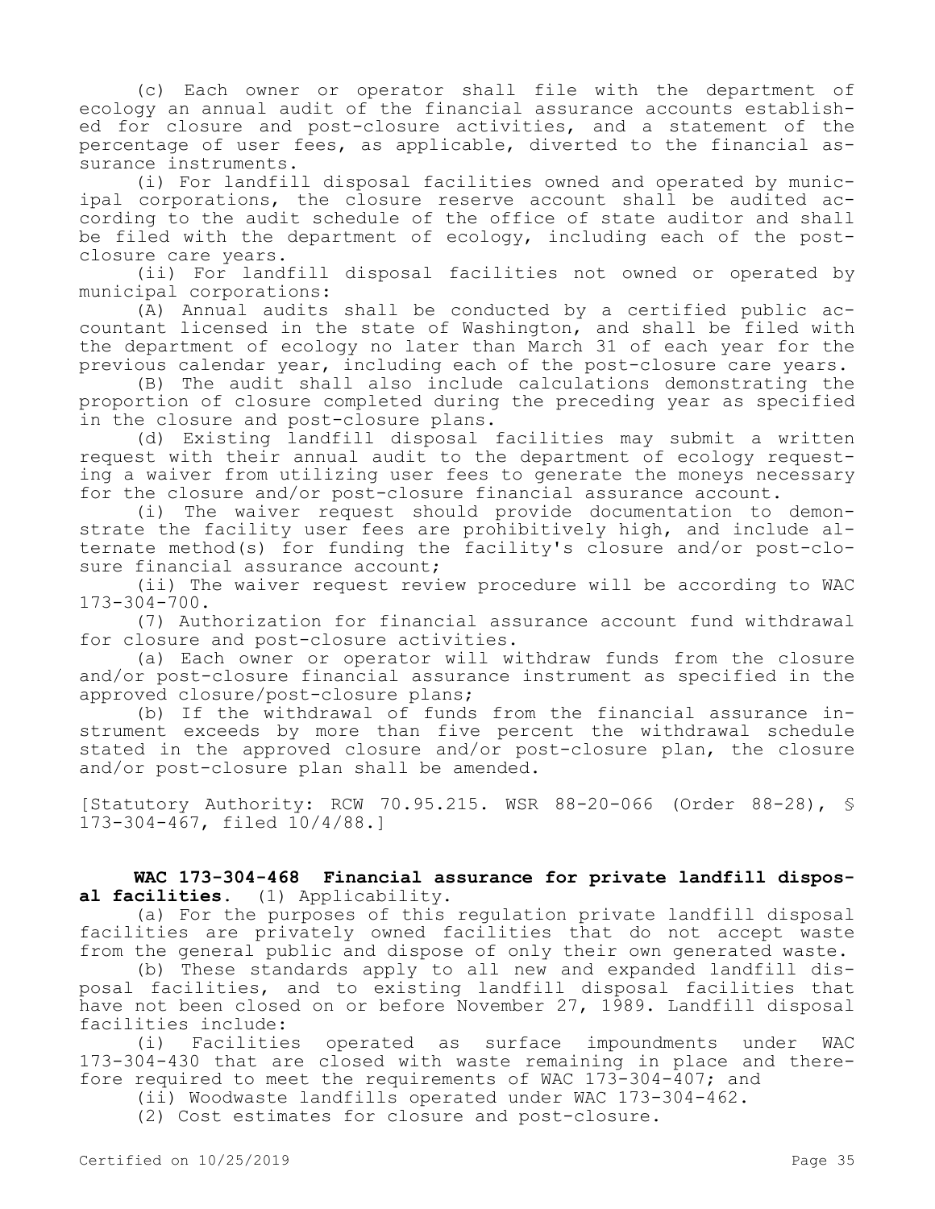(c) Each owner or operator shall file with the department of ecology an annual audit of the financial assurance accounts established for closure and post-closure activities, and a statement of the percentage of user fees, as applicable, diverted to the financial assurance instruments.

(i) For landfill disposal facilities owned and operated by municipal corporations, the closure reserve account shall be audited according to the audit schedule of the office of state auditor and shall be filed with the department of ecology, including each of the postclosure care years.

(ii) For landfill disposal facilities not owned or operated by municipal corporations:

(A) Annual audits shall be conducted by a certified public accountant licensed in the state of Washington, and shall be filed with the department of ecology no later than March 31 of each year for the previous calendar year, including each of the post-closure care years.

(B) The audit shall also include calculations demonstrating the proportion of closure completed during the preceding year as specified in the closure and post-closure plans.

(d) Existing landfill disposal facilities may submit a written request with their annual audit to the department of ecology requesting a waiver from utilizing user fees to generate the moneys necessary for the closure and/or post-closure financial assurance account.

(i) The waiver request should provide documentation to demonstrate the facility user fees are prohibitively high, and include alternate method(s) for funding the facility's closure and/or post-closure financial assurance account;

(ii) The waiver request review procedure will be according to WAC 173-304-700.

(7) Authorization for financial assurance account fund withdrawal for closure and post-closure activities.

(a) Each owner or operator will withdraw funds from the closure and/or post-closure financial assurance instrument as specified in the approved closure/post-closure plans;

(b) If the withdrawal of funds from the financial assurance instrument exceeds by more than five percent the withdrawal schedule stated in the approved closure and/or post-closure plan, the closure and/or post-closure plan shall be amended.

[Statutory Authority: RCW 70.95.215. WSR 88-20-066 (Order 88-28), § 173-304-467, filed 10/4/88.]

# **WAC 173-304-468 Financial assurance for private landfill disposal facilities.** (1) Applicability.

(a) For the purposes of this regulation private landfill disposal facilities are privately owned facilities that do not accept waste from the general public and dispose of only their own generated waste.

(b) These standards apply to all new and expanded landfill disposal facilities, and to existing landfill disposal facilities that have not been closed on or before November 27, 1989. Landfill disposal facilities include:

(i) Facilities operated as surface impoundments under WAC 173-304-430 that are closed with waste remaining in place and therefore required to meet the requirements of WAC 173-304-407; and

(ii) Woodwaste landfills operated under WAC 173-304-462.

(2) Cost estimates for closure and post-closure.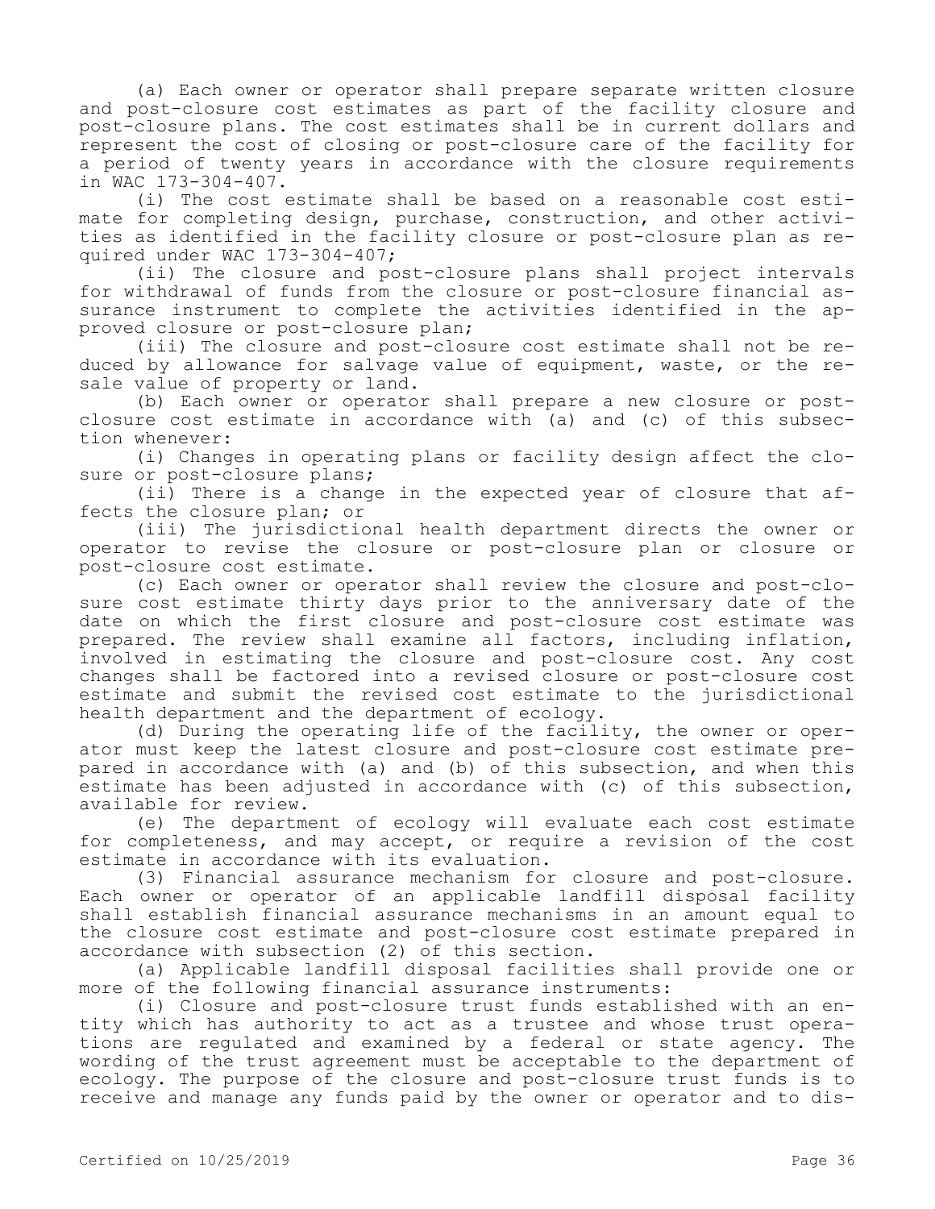(a) Each owner or operator shall prepare separate written closure and post-closure cost estimates as part of the facility closure and post-closure plans. The cost estimates shall be in current dollars and represent the cost of closing or post-closure care of the facility for a period of twenty years in accordance with the closure requirements in WAC 173-304-407.

(i) The cost estimate shall be based on a reasonable cost estimate for completing design, purchase, construction, and other activities as identified in the facility closure or post-closure plan as required under WAC 173-304-407;

(ii) The closure and post-closure plans shall project intervals for withdrawal of funds from the closure or post-closure financial assurance instrument to complete the activities identified in the approved closure or post-closure plan;

(iii) The closure and post-closure cost estimate shall not be reduced by allowance for salvage value of equipment, waste, or the resale value of property or land.

(b) Each owner or operator shall prepare a new closure or postclosure cost estimate in accordance with (a) and (c) of this subsection whenever:

(i) Changes in operating plans or facility design affect the closure or post-closure plans;

(ii) There is a change in the expected year of closure that affects the closure plan; or

(iii) The jurisdictional health department directs the owner or operator to revise the closure or post-closure plan or closure or post-closure cost estimate.

(c) Each owner or operator shall review the closure and post-closure cost estimate thirty days prior to the anniversary date of the date on which the first closure and post-closure cost estimate was prepared. The review shall examine all factors, including inflation, involved in estimating the closure and post-closure cost. Any cost changes shall be factored into a revised closure or post-closure cost estimate and submit the revised cost estimate to the jurisdictional health department and the department of ecology.

(d) During the operating life of the facility, the owner or operator must keep the latest closure and post-closure cost estimate prepared in accordance with (a) and (b) of this subsection, and when this estimate has been adjusted in accordance with (c) of this subsection, available for review.

(e) The department of ecology will evaluate each cost estimate for completeness, and may accept, or require a revision of the cost estimate in accordance with its evaluation.

(3) Financial assurance mechanism for closure and post-closure. Each owner or operator of an applicable landfill disposal facility shall establish financial assurance mechanisms in an amount equal to the closure cost estimate and post-closure cost estimate prepared in accordance with subsection (2) of this section.

(a) Applicable landfill disposal facilities shall provide one or more of the following financial assurance instruments:

(i) Closure and post-closure trust funds established with an entity which has authority to act as a trustee and whose trust operations are regulated and examined by a federal or state agency. The wording of the trust agreement must be acceptable to the department of ecology. The purpose of the closure and post-closure trust funds is to receive and manage any funds paid by the owner or operator and to dis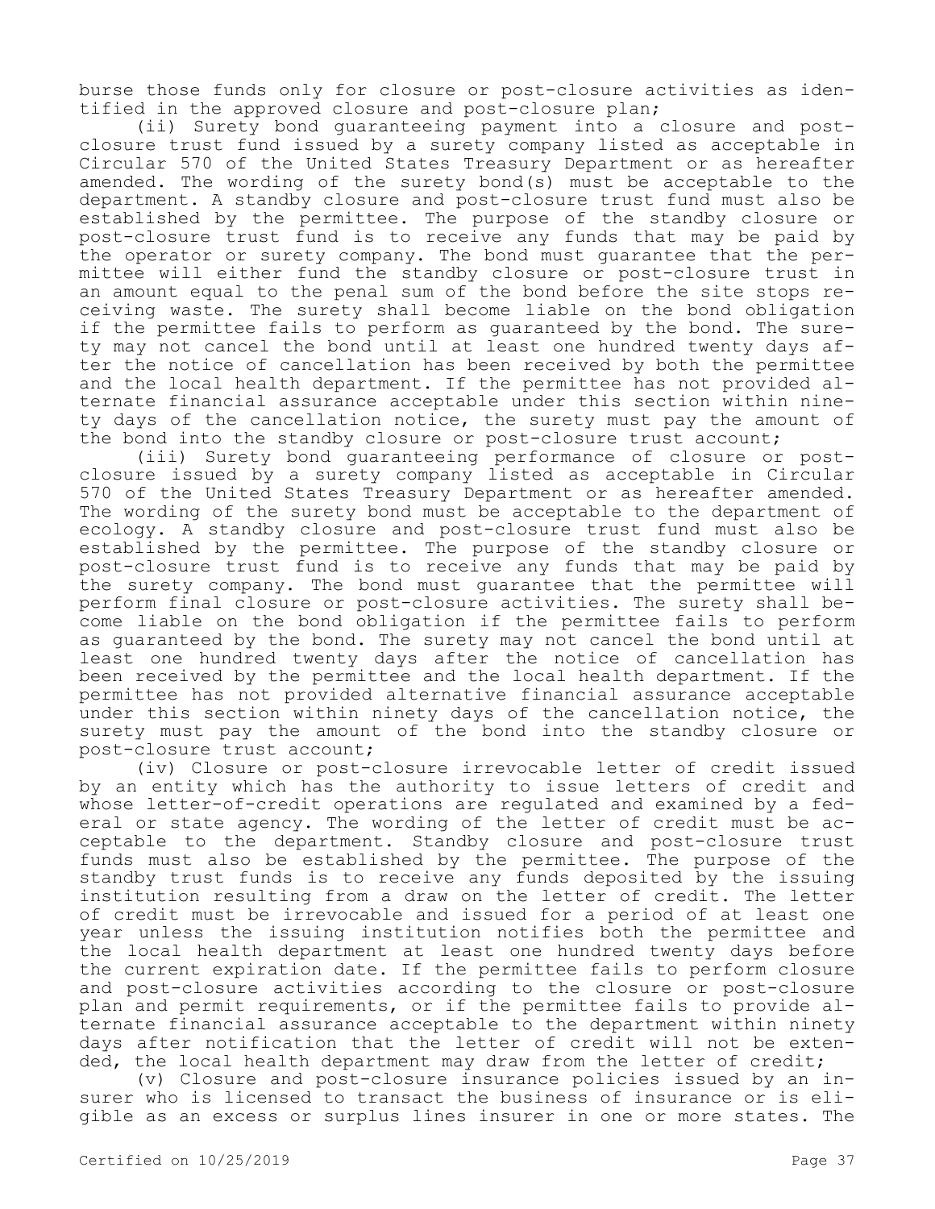burse those funds only for closure or post-closure activities as identified in the approved closure and post-closure plan;

(ii) Surety bond guaranteeing payment into a closure and postclosure trust fund issued by a surety company listed as acceptable in Circular 570 of the United States Treasury Department or as hereafter amended. The wording of the surety bond(s) must be acceptable to the department. A standby closure and post-closure trust fund must also be established by the permittee. The purpose of the standby closure or post-closure trust fund is to receive any funds that may be paid by the operator or surety company. The bond must guarantee that the permittee will either fund the standby closure or post-closure trust in an amount equal to the penal sum of the bond before the site stops receiving waste. The surety shall become liable on the bond obligation if the permittee fails to perform as guaranteed by the bond. The surety may not cancel the bond until at least one hundred twenty days after the notice of cancellation has been received by both the permittee and the local health department. If the permittee has not provided alternate financial assurance acceptable under this section within ninety days of the cancellation notice, the surety must pay the amount of the bond into the standby closure or post-closure trust account;

(iii) Surety bond guaranteeing performance of closure or postclosure issued by a surety company listed as acceptable in Circular 570 of the United States Treasury Department or as hereafter amended. The wording of the surety bond must be acceptable to the department of ecology. A standby closure and post-closure trust fund must also be established by the permittee. The purpose of the standby closure or post-closure trust fund is to receive any funds that may be paid by the surety company. The bond must guarantee that the permittee will perform final closure or post-closure activities. The surety shall become liable on the bond obligation if the permittee fails to perform as guaranteed by the bond. The surety may not cancel the bond until at least one hundred twenty days after the notice of cancellation has been received by the permittee and the local health department. If the permittee has not provided alternative financial assurance acceptable under this section within ninety days of the cancellation notice, the surety must pay the amount of the bond into the standby closure or post-closure trust account;

(iv) Closure or post-closure irrevocable letter of credit issued by an entity which has the authority to issue letters of credit and whose letter-of-credit operations are regulated and examined by a federal or state agency. The wording of the letter of credit must be acceptable to the department. Standby closure and post-closure trust funds must also be established by the permittee. The purpose of the standby trust funds is to receive any funds deposited by the issuing institution resulting from a draw on the letter of credit. The letter of credit must be irrevocable and issued for a period of at least one year unless the issuing institution notifies both the permittee and the local health department at least one hundred twenty days before the current expiration date. If the permittee fails to perform closure and post-closure activities according to the closure or post-closure plan and permit requirements, or if the permittee fails to provide alternate financial assurance acceptable to the department within ninety days after notification that the letter of credit will not be extended, the local health department may draw from the letter of credit;

(v) Closure and post-closure insurance policies issued by an insurer who is licensed to transact the business of insurance or is eligible as an excess or surplus lines insurer in one or more states. The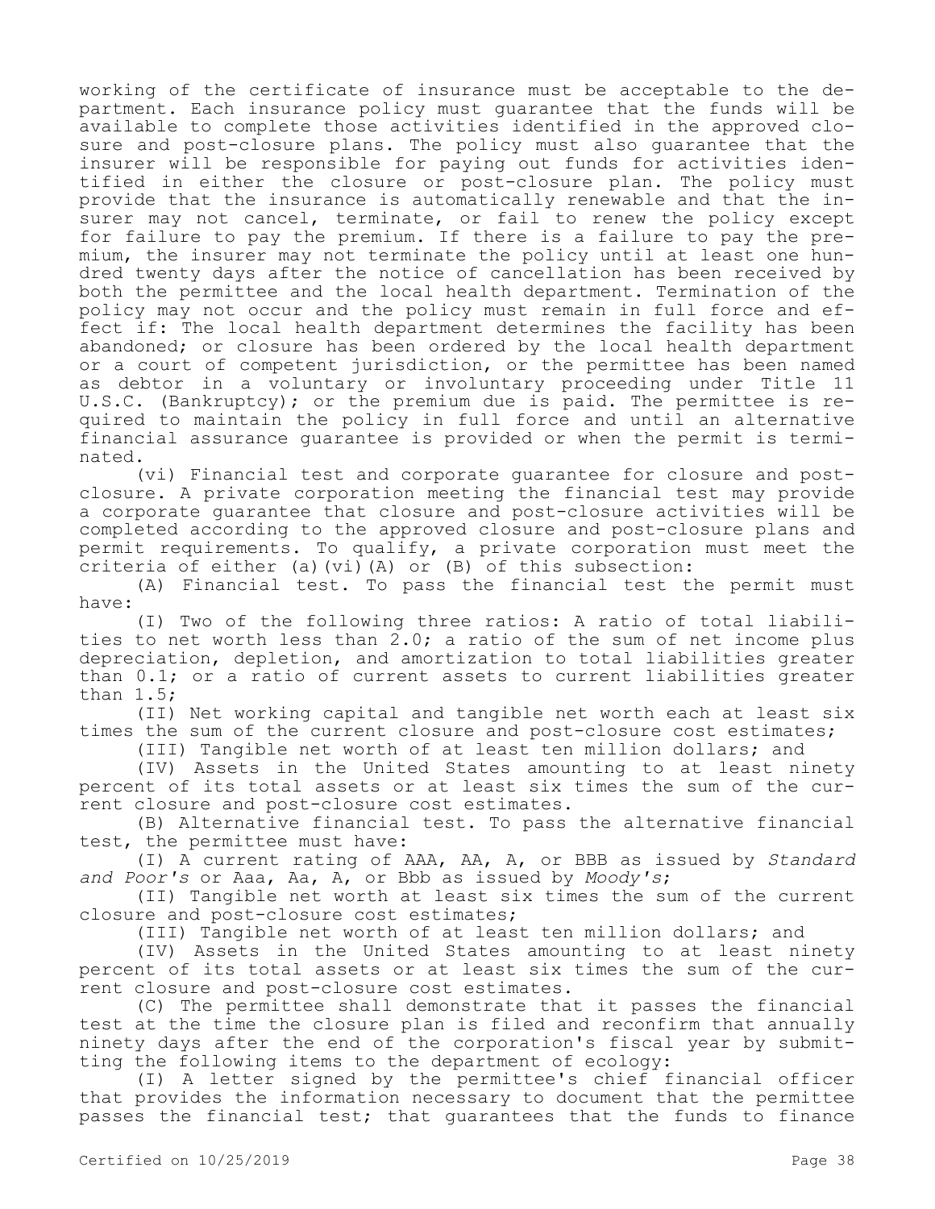working of the certificate of insurance must be acceptable to the department. Each insurance policy must guarantee that the funds will be available to complete those activities identified in the approved closure and post-closure plans. The policy must also guarantee that the insurer will be responsible for paying out funds for activities identified in either the closure or post-closure plan. The policy must provide that the insurance is automatically renewable and that the insurer may not cancel, terminate, or fail to renew the policy except for failure to pay the premium. If there is a failure to pay the premium, the insurer may not terminate the policy until at least one hundred twenty days after the notice of cancellation has been received by both the permittee and the local health department. Termination of the policy may not occur and the policy must remain in full force and effect if: The local health department determines the facility has been abandoned; or closure has been ordered by the local health department or a court of competent jurisdiction, or the permittee has been named as debtor in a voluntary or involuntary proceeding under Title 11 U.S.C. (Bankruptcy); or the premium due is paid. The permittee is required to maintain the policy in full force and until an alternative financial assurance guarantee is provided or when the permit is terminated.

(vi) Financial test and corporate guarantee for closure and postclosure. A private corporation meeting the financial test may provide a corporate guarantee that closure and post-closure activities will be completed according to the approved closure and post-closure plans and permit requirements. To qualify, a private corporation must meet the criteria of either (a)(vi)(A) or (B) of this subsection:

(A) Financial test. To pass the financial test the permit must have:

(I) Two of the following three ratios: A ratio of total liabilities to net worth less than 2.0; a ratio of the sum of net income plus depreciation, depletion, and amortization to total liabilities greater than 0.1; or a ratio of current assets to current liabilities greater than 1.5;

(II) Net working capital and tangible net worth each at least six times the sum of the current closure and post-closure cost estimates;

(III) Tangible net worth of at least ten million dollars; and

(IV) Assets in the United States amounting to at least ninety percent of its total assets or at least six times the sum of the current closure and post-closure cost estimates.

(B) Alternative financial test. To pass the alternative financial test, the permittee must have:

(I) A current rating of AAA, AA, A, or BBB as issued by *Standard and Poor's* or Aaa, Aa, A, or Bbb as issued by *Moody's*;

(II) Tangible net worth at least six times the sum of the current closure and post-closure cost estimates;

(III) Tangible net worth of at least ten million dollars; and

(IV) Assets in the United States amounting to at least ninety percent of its total assets or at least six times the sum of the current closure and post-closure cost estimates.

(C) The permittee shall demonstrate that it passes the financial test at the time the closure plan is filed and reconfirm that annually ninety days after the end of the corporation's fiscal year by submitting the following items to the department of ecology:

(I) A letter signed by the permittee's chief financial officer that provides the information necessary to document that the permittee passes the financial test; that guarantees that the funds to finance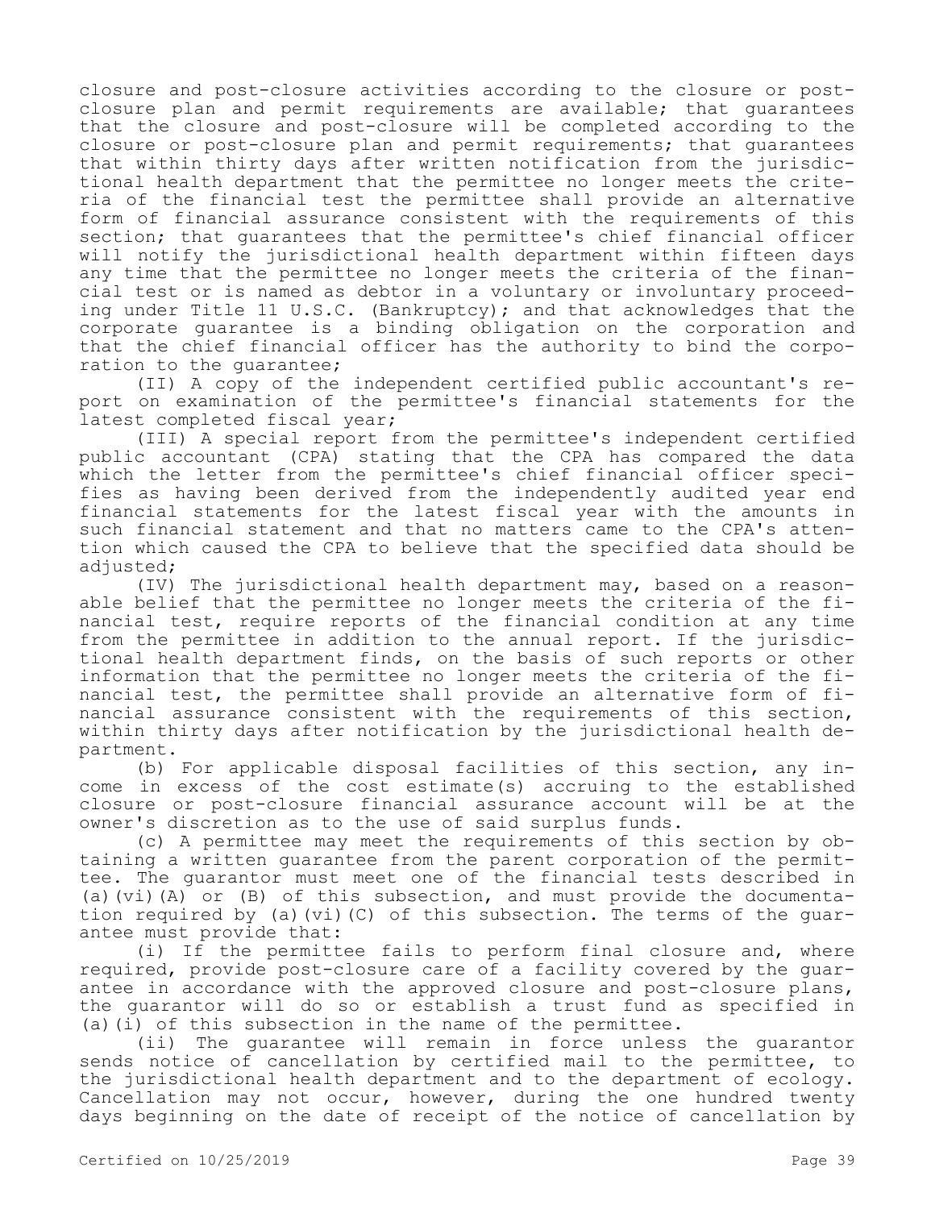closure and post-closure activities according to the closure or postclosure plan and permit requirements are available; that guarantees that the closure and post-closure will be completed according to the closure or post-closure plan and permit requirements; that guarantees that within thirty days after written notification from the jurisdictional health department that the permittee no longer meets the criteria of the financial test the permittee shall provide an alternative form of financial assurance consistent with the requirements of this section; that guarantees that the permittee's chief financial officer will notify the jurisdictional health department within fifteen days any time that the permittee no longer meets the criteria of the financial test or is named as debtor in a voluntary or involuntary proceeding under Title 11 U.S.C. (Bankruptcy); and that acknowledges that the corporate guarantee is a binding obligation on the corporation and that the chief financial officer has the authority to bind the corporation to the guarantee;

(II) A copy of the independent certified public accountant's report on examination of the permittee's financial statements for the latest completed fiscal year;

(III) A special report from the permittee's independent certified public accountant (CPA) stating that the CPA has compared the data which the letter from the permittee's chief financial officer specifies as having been derived from the independently audited year end financial statements for the latest fiscal year with the amounts in such financial statement and that no matters came to the CPA's attention which caused the CPA to believe that the specified data should be adjusted;

(IV) The jurisdictional health department may, based on a reasonable belief that the permittee no longer meets the criteria of the financial test, require reports of the financial condition at any time from the permittee in addition to the annual report. If the jurisdictional health department finds, on the basis of such reports or other information that the permittee no longer meets the criteria of the financial test, the permittee shall provide an alternative form of financial assurance consistent with the requirements of this section, within thirty days after notification by the jurisdictional health department.

(b) For applicable disposal facilities of this section, any income in excess of the cost estimate(s) accruing to the established closure or post-closure financial assurance account will be at the owner's discretion as to the use of said surplus funds.

(c) A permittee may meet the requirements of this section by obtaining a written guarantee from the parent corporation of the permittee. The guarantor must meet one of the financial tests described in (a)(vi)(A) or (B) of this subsection, and must provide the documentation required by (a)(vi)(C) of this subsection. The terms of the guarantee must provide that:

(i) If the permittee fails to perform final closure and, where required, provide post-closure care of a facility covered by the guarantee in accordance with the approved closure and post-closure plans, the guarantor will do so or establish a trust fund as specified in (a)(i) of this subsection in the name of the permittee.

(ii) The guarantee will remain in force unless the guarantor sends notice of cancellation by certified mail to the permittee, to the jurisdictional health department and to the department of ecology. Cancellation may not occur, however, during the one hundred twenty days beginning on the date of receipt of the notice of cancellation by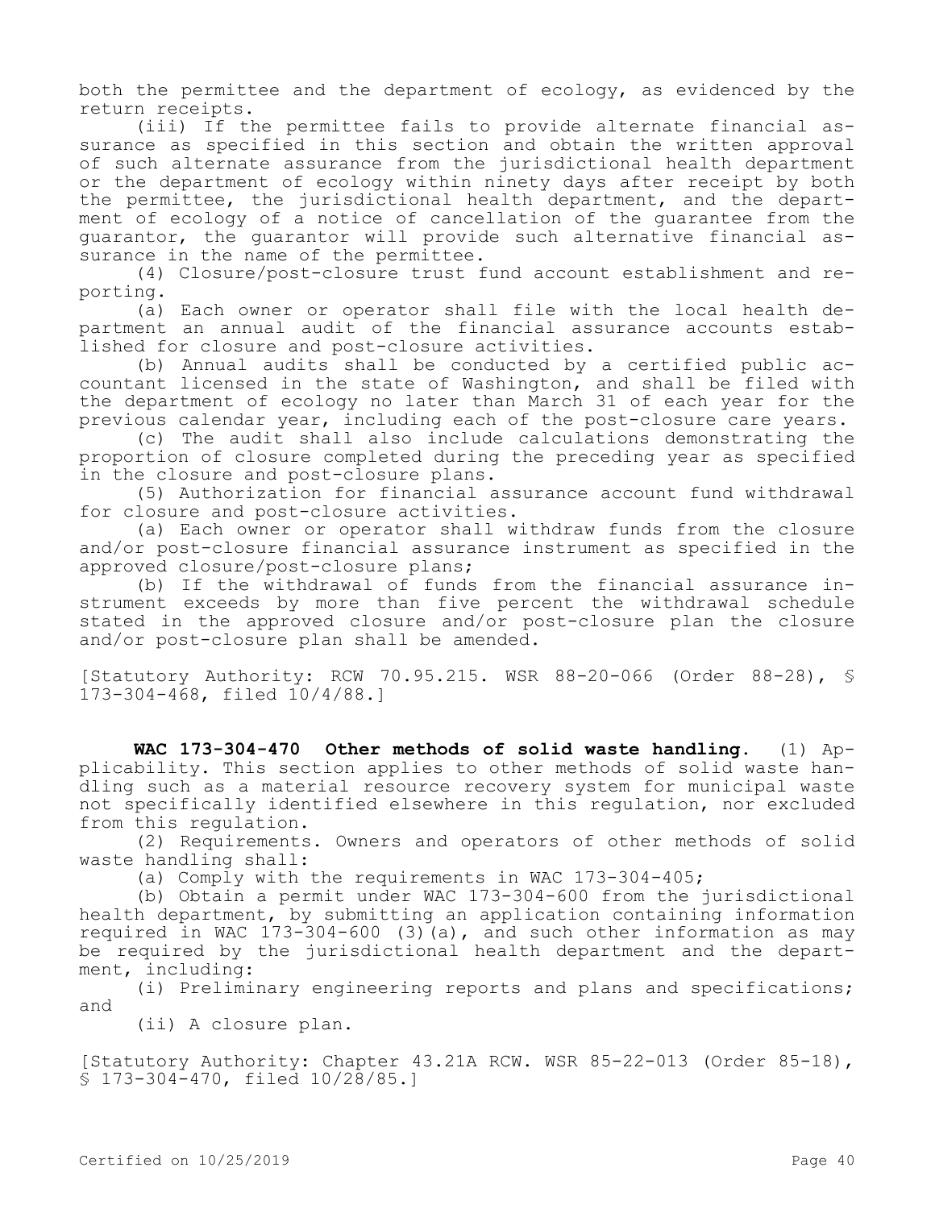both the permittee and the department of ecology, as evidenced by the return receipts.

(iii) If the permittee fails to provide alternate financial assurance as specified in this section and obtain the written approval of such alternate assurance from the jurisdictional health department or the department of ecology within ninety days after receipt by both the permittee, the jurisdictional health department, and the department of ecology of a notice of cancellation of the guarantee from the guarantor, the guarantor will provide such alternative financial assurance in the name of the permittee.

(4) Closure/post-closure trust fund account establishment and reporting.

(a) Each owner or operator shall file with the local health department an annual audit of the financial assurance accounts established for closure and post-closure activities.

(b) Annual audits shall be conducted by a certified public accountant licensed in the state of Washington, and shall be filed with the department of ecology no later than March 31 of each year for the previous calendar year, including each of the post-closure care years.

(c) The audit shall also include calculations demonstrating the proportion of closure completed during the preceding year as specified in the closure and post-closure plans.

(5) Authorization for financial assurance account fund withdrawal for closure and post-closure activities.

(a) Each owner or operator shall withdraw funds from the closure and/or post-closure financial assurance instrument as specified in the approved closure/post-closure plans;

(b) If the withdrawal of funds from the financial assurance instrument exceeds by more than five percent the withdrawal schedule stated in the approved closure and/or post-closure plan the closure and/or post-closure plan shall be amended.

[Statutory Authority: RCW 70.95.215. WSR 88-20-066 (Order 88-28), § 173-304-468, filed 10/4/88.]

**WAC 173-304-470 Other methods of solid waste handling.** (1) Applicability. This section applies to other methods of solid waste handling such as a material resource recovery system for municipal waste not specifically identified elsewhere in this regulation, nor excluded from this regulation.

(2) Requirements. Owners and operators of other methods of solid waste handling shall:

(a) Comply with the requirements in WAC 173-304-405;

(b) Obtain a permit under WAC 173-304-600 from the jurisdictional health department, by submitting an application containing information required in WAC 173-304-600 (3)(a), and such other information as may be required by the jurisdictional health department and the department, including:

(i) Preliminary engineering reports and plans and specifications; and

(ii) A closure plan.

[Statutory Authority: Chapter 43.21A RCW. WSR 85-22-013 (Order 85-18), § 173-304-470, filed 10/28/85.]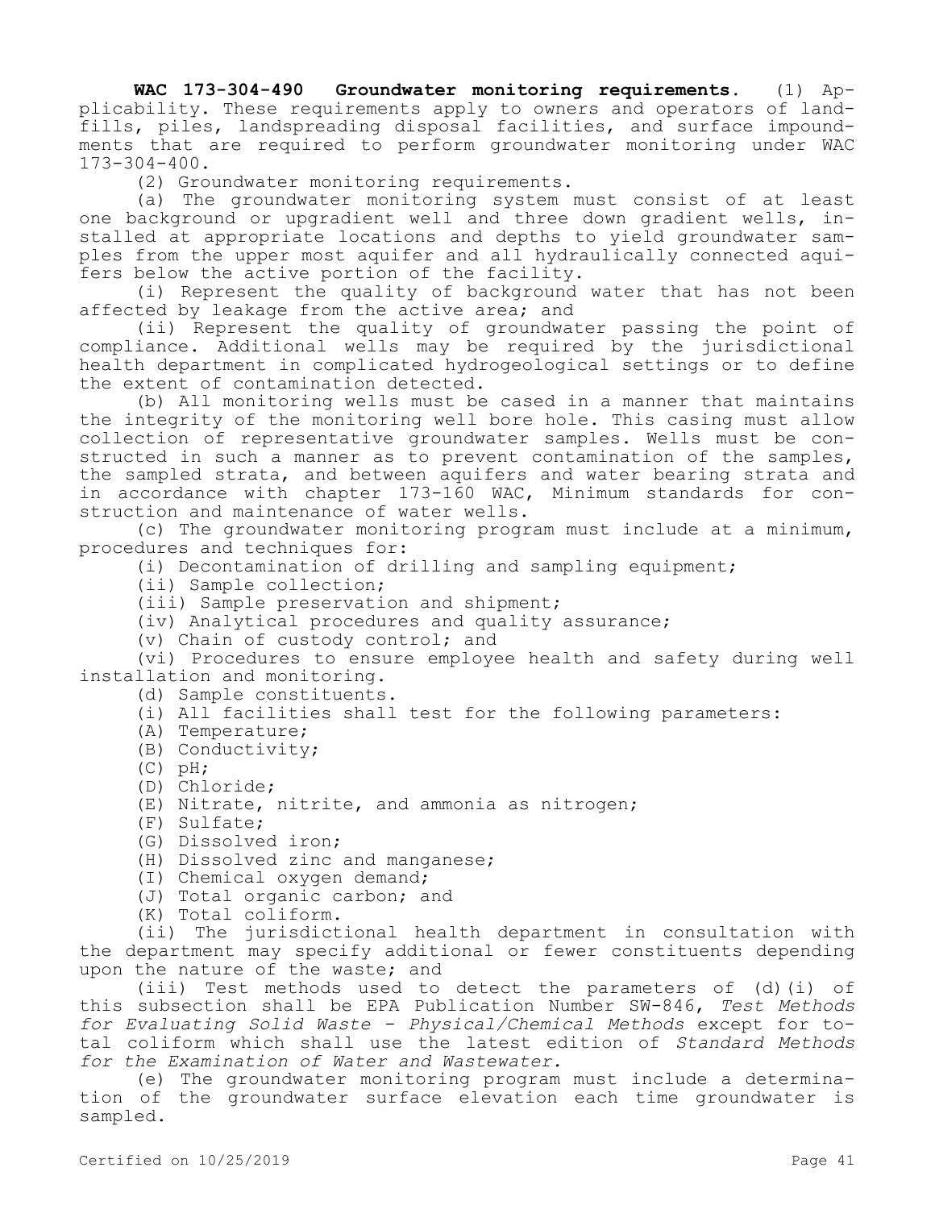**WAC 173-304-490 Groundwater monitoring requirements.** (1) Applicability. These requirements apply to owners and operators of landfills, piles, landspreading disposal facilities, and surface impoundments that are required to perform groundwater monitoring under WAC 173-304-400.

(2) Groundwater monitoring requirements.

(a) The groundwater monitoring system must consist of at least one background or upgradient well and three down gradient wells, installed at appropriate locations and depths to yield groundwater samples from the upper most aquifer and all hydraulically connected aquifers below the active portion of the facility.

(i) Represent the quality of background water that has not been affected by leakage from the active area; and

(ii) Represent the quality of groundwater passing the point of compliance. Additional wells may be required by the jurisdictional health department in complicated hydrogeological settings or to define the extent of contamination detected.

(b) All monitoring wells must be cased in a manner that maintains the integrity of the monitoring well bore hole. This casing must allow collection of representative groundwater samples. Wells must be constructed in such a manner as to prevent contamination of the samples, the sampled strata, and between aquifers and water bearing strata and in accordance with chapter 173-160 WAC, Minimum standards for construction and maintenance of water wells.

(c) The groundwater monitoring program must include at a minimum, procedures and techniques for:

(i) Decontamination of drilling and sampling equipment;

(ii) Sample collection;

(iii) Sample preservation and shipment;

(iv) Analytical procedures and quality assurance;

(v) Chain of custody control; and

(vi) Procedures to ensure employee health and safety during well installation and monitoring.

(d) Sample constituents.

- (i) All facilities shall test for the following parameters:
- (A) Temperature;
- (B) Conductivity;
- $(C)$  pH;
- (D) Chloride;
- (E) Nitrate, nitrite, and ammonia as nitrogen;
- (F) Sulfate;
- (G) Dissolved iron;
- (H) Dissolved zinc and manganese;
- (I) Chemical oxygen demand;
- (J) Total organic carbon; and
- (K) Total coliform.

(ii) The jurisdictional health department in consultation with the department may specify additional or fewer constituents depending upon the nature of the waste; and

(iii) Test methods used to detect the parameters of (d)(i) of this subsection shall be EPA Publication Number SW-846, *Test Methods for Evaluating Solid Waste - Physical/Chemical Methods* except for total coliform which shall use the latest edition of *Standard Methods for the Examination of Water and Wastewater.*

(e) The groundwater monitoring program must include a determination of the groundwater surface elevation each time groundwater is sampled.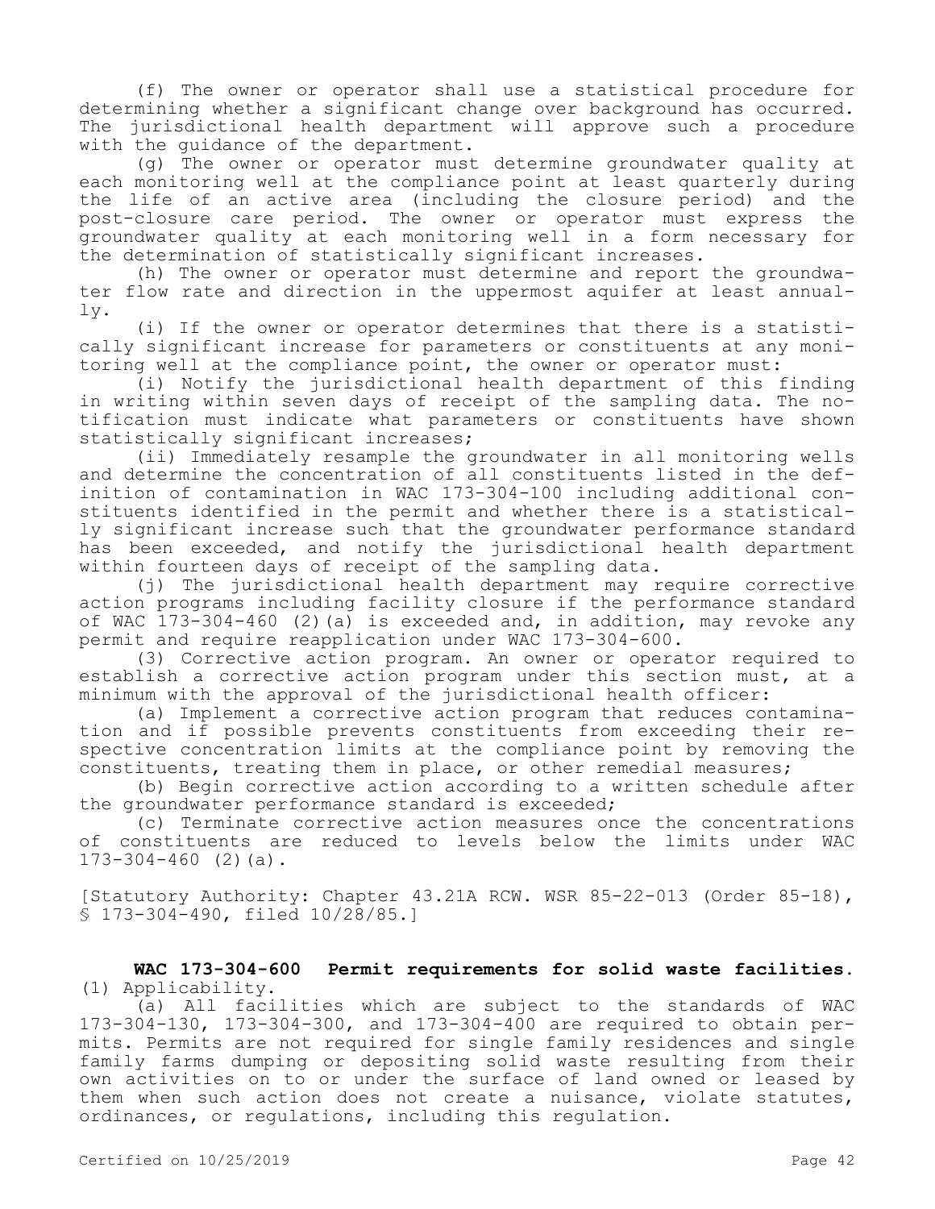(f) The owner or operator shall use a statistical procedure for determining whether a significant change over background has occurred. The jurisdictional health department will approve such a procedure with the guidance of the department.

(g) The owner or operator must determine groundwater quality at each monitoring well at the compliance point at least quarterly during the life of an active area (including the closure period) and the post-closure care period. The owner or operator must express the groundwater quality at each monitoring well in a form necessary for the determination of statistically significant increases.

(h) The owner or operator must determine and report the groundwater flow rate and direction in the uppermost aquifer at least annually.

(i) If the owner or operator determines that there is a statistically significant increase for parameters or constituents at any monitoring well at the compliance point, the owner or operator must:

(i) Notify the jurisdictional health department of this finding in writing within seven days of receipt of the sampling data. The notification must indicate what parameters or constituents have shown statistically significant increases;

(ii) Immediately resample the groundwater in all monitoring wells and determine the concentration of all constituents listed in the definition of contamination in WAC 173-304-100 including additional constituents identified in the permit and whether there is a statistically significant increase such that the groundwater performance standard has been exceeded, and notify the jurisdictional health department within fourteen days of receipt of the sampling data.

(j) The jurisdictional health department may require corrective action programs including facility closure if the performance standard of WAC  $173-304-460$  (2)(a) is exceeded and, in addition, may revoke any permit and require reapplication under WAC 173-304-600.

(3) Corrective action program. An owner or operator required to establish a corrective action program under this section must, at a minimum with the approval of the jurisdictional health officer:

(a) Implement a corrective action program that reduces contamination and if possible prevents constituents from exceeding their respective concentration limits at the compliance point by removing the constituents, treating them in place, or other remedial measures;

(b) Begin corrective action according to a written schedule after the groundwater performance standard is exceeded;

(c) Terminate corrective action measures once the concentrations of constituents are reduced to levels below the limits under WAC  $173-304-460$  (2)(a).

[Statutory Authority: Chapter 43.21A RCW. WSR 85-22-013 (Order 85-18), § 173-304-490, filed 10/28/85.]

**WAC 173-304-600 Permit requirements for solid waste facilities.**  (1) Applicability.

(a) All facilities which are subject to the standards of WAC 173-304-130, 173-304-300, and 173-304-400 are required to obtain permits. Permits are not required for single family residences and single family farms dumping or depositing solid waste resulting from their own activities on to or under the surface of land owned or leased by them when such action does not create a nuisance, violate statutes, ordinances, or regulations, including this regulation.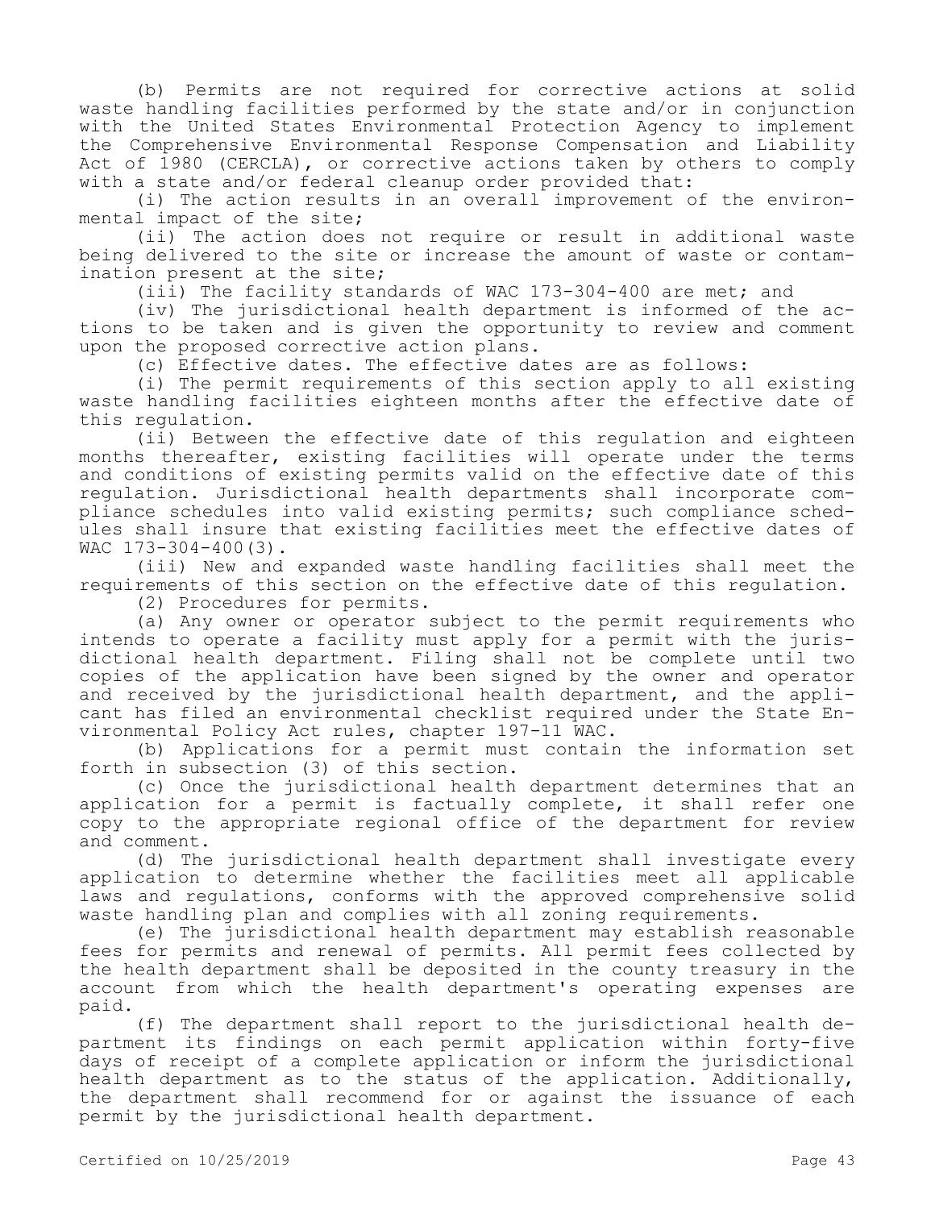(b) Permits are not required for corrective actions at solid waste handling facilities performed by the state and/or in conjunction with the United States Environmental Protection Agency to implement the Comprehensive Environmental Response Compensation and Liability Act of 1980 (CERCLA), or corrective actions taken by others to comply with a state and/or federal cleanup order provided that:

(i) The action results in an overall improvement of the environmental impact of the site;

(ii) The action does not require or result in additional waste being delivered to the site or increase the amount of waste or contamination present at the site;

(iii) The facility standards of WAC 173-304-400 are met; and

(iv) The jurisdictional health department is informed of the actions to be taken and is given the opportunity to review and comment upon the proposed corrective action plans.

(c) Effective dates. The effective dates are as follows:

(i) The permit requirements of this section apply to all existing waste handling facilities eighteen months after the effective date of this regulation.

(ii) Between the effective date of this regulation and eighteen months thereafter, existing facilities will operate under the terms and conditions of existing permits valid on the effective date of this regulation. Jurisdictional health departments shall incorporate compliance schedules into valid existing permits; such compliance schedules shall insure that existing facilities meet the effective dates of WAC 173-304-400(3).

(iii) New and expanded waste handling facilities shall meet the requirements of this section on the effective date of this regulation.

(2) Procedures for permits.

(a) Any owner or operator subject to the permit requirements who intends to operate a facility must apply for a permit with the jurisdictional health department. Filing shall not be complete until two copies of the application have been signed by the owner and operator and received by the jurisdictional health department, and the applicant has filed an environmental checklist required under the State Environmental Policy Act rules, chapter 197-11 WAC.

(b) Applications for a permit must contain the information set forth in subsection (3) of this section.

(c) Once the jurisdictional health department determines that an application for a permit is factually complete, it shall refer one copy to the appropriate regional office of the department for review and comment.

(d) The jurisdictional health department shall investigate every application to determine whether the facilities meet all applicable laws and regulations, conforms with the approved comprehensive solid waste handling plan and complies with all zoning requirements.

(e) The jurisdictional health department may establish reasonable fees for permits and renewal of permits. All permit fees collected by the health department shall be deposited in the county treasury in the account from which the health department's operating expenses are paid.

(f) The department shall report to the jurisdictional health department its findings on each permit application within forty-five days of receipt of a complete application or inform the jurisdictional health department as to the status of the application. Additionally, the department shall recommend for or against the issuance of each permit by the jurisdictional health department.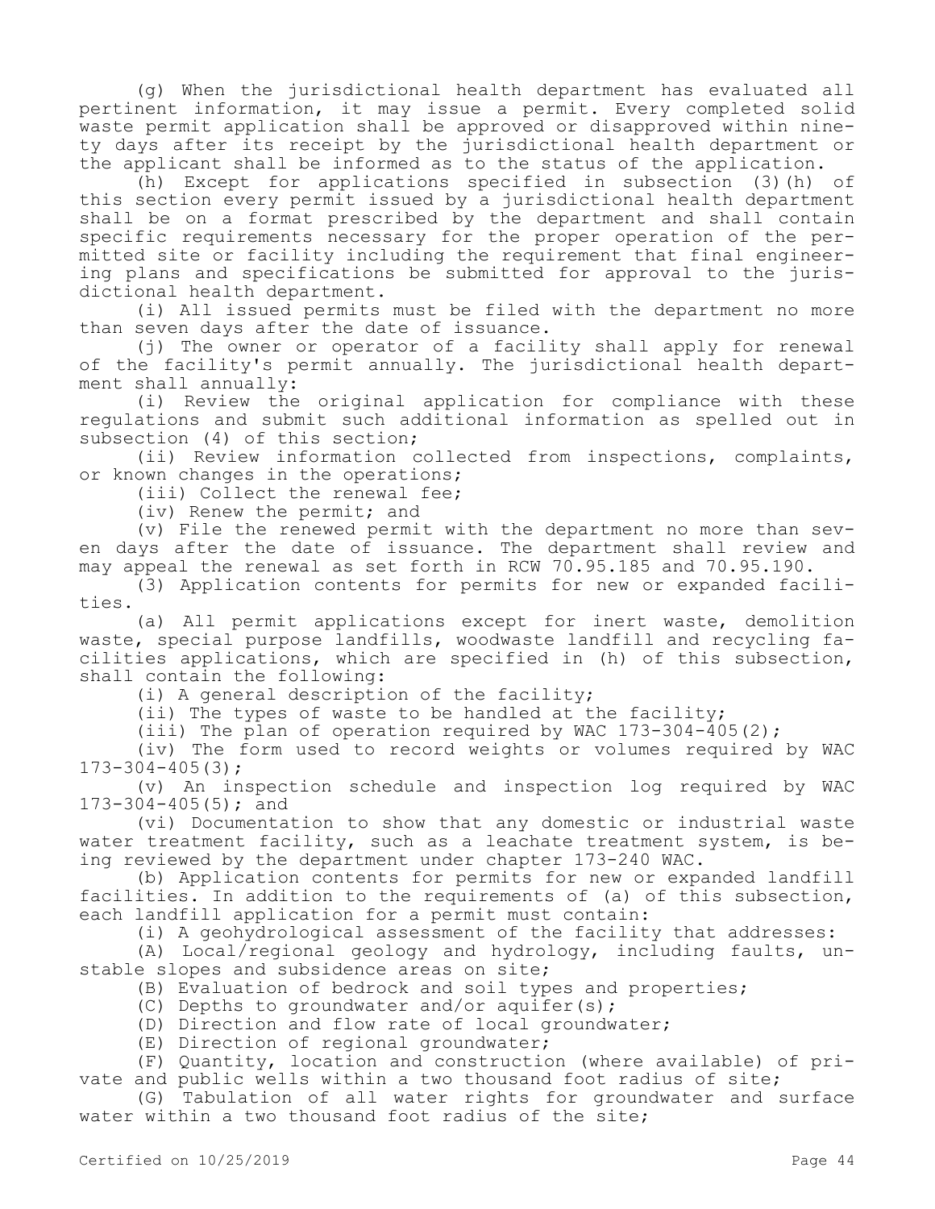(g) When the jurisdictional health department has evaluated all pertinent information, it may issue a permit. Every completed solid waste permit application shall be approved or disapproved within ninety days after its receipt by the jurisdictional health department or the applicant shall be informed as to the status of the application.

(h) Except for applications specified in subsection (3)(h) of this section every permit issued by a jurisdictional health department shall be on a format prescribed by the department and shall contain specific requirements necessary for the proper operation of the permitted site or facility including the requirement that final engineering plans and specifications be submitted for approval to the jurisdictional health department.

(i) All issued permits must be filed with the department no more than seven days after the date of issuance.

(j) The owner or operator of a facility shall apply for renewal of the facility's permit annually. The jurisdictional health department shall annually:

(i) Review the original application for compliance with these regulations and submit such additional information as spelled out in subsection (4) of this section;

(ii) Review information collected from inspections, complaints, or known changes in the operations;

(iii) Collect the renewal fee;

(iv) Renew the permit; and

(v) File the renewed permit with the department no more than seven days after the date of issuance. The department shall review and may appeal the renewal as set forth in RCW 70.95.185 and 70.95.190.

(3) Application contents for permits for new or expanded facilities.

(a) All permit applications except for inert waste, demolition waste, special purpose landfills, woodwaste landfill and recycling facilities applications, which are specified in (h) of this subsection, shall contain the following:

(i) A general description of the facility;

(ii) The types of waste to be handled at the facility;

(iii) The plan of operation required by WAC 173-304-405(2);

(iv) The form used to record weights or volumes required by WAC 173-304-405(3);

(v) An inspection schedule and inspection log required by WAC 173-304-405(5); and

(vi) Documentation to show that any domestic or industrial waste water treatment facility, such as a leachate treatment system, is being reviewed by the department under chapter 173-240 WAC.

(b) Application contents for permits for new or expanded landfill facilities. In addition to the requirements of (a) of this subsection, each landfill application for a permit must contain:

(i) A geohydrological assessment of the facility that addresses:

(A) Local/regional geology and hydrology, including faults, unstable slopes and subsidence areas on site;

(B) Evaluation of bedrock and soil types and properties;

- (C) Depths to groundwater and/or aquifer(s);
- (D) Direction and flow rate of local groundwater;
- (E) Direction of regional groundwater;

(F) Quantity, location and construction (where available) of private and public wells within a two thousand foot radius of site;

(G) Tabulation of all water rights for groundwater and surface water within a two thousand foot radius of the site;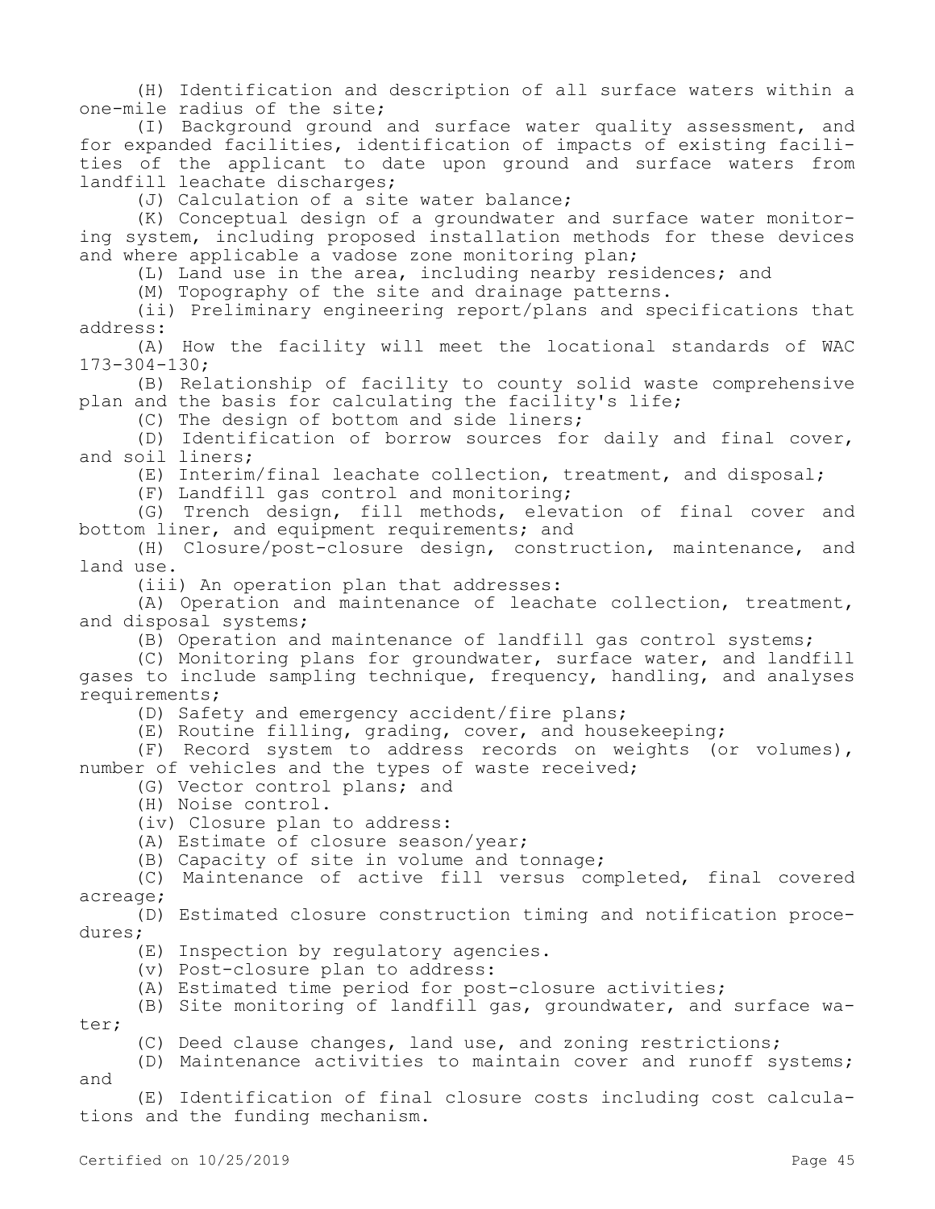(H) Identification and description of all surface waters within a one-mile radius of the site;

(I) Background ground and surface water quality assessment, and for expanded facilities, identification of impacts of existing facilities of the applicant to date upon ground and surface waters from landfill leachate discharges;

(J) Calculation of a site water balance;

(K) Conceptual design of a groundwater and surface water monitoring system, including proposed installation methods for these devices and where applicable a vadose zone monitoring plan;

(L) Land use in the area, including nearby residences; and

(M) Topography of the site and drainage patterns.

(ii) Preliminary engineering report/plans and specifications that address:

(A) How the facility will meet the locational standards of WAC 173-304-130;

(B) Relationship of facility to county solid waste comprehensive plan and the basis for calculating the facility's life;

(C) The design of bottom and side liners;

(D) Identification of borrow sources for daily and final cover, and soil liners;

(E) Interim/final leachate collection, treatment, and disposal;

(F) Landfill gas control and monitoring;

(G) Trench design, fill methods, elevation of final cover and bottom liner, and equipment requirements; and

(H) Closure/post-closure design, construction, maintenance, and land use.

(iii) An operation plan that addresses:

(A) Operation and maintenance of leachate collection, treatment, and disposal systems;

(B) Operation and maintenance of landfill gas control systems;

(C) Monitoring plans for groundwater, surface water, and landfill gases to include sampling technique, frequency, handling, and analyses requirements;

(D) Safety and emergency accident/fire plans;

(E) Routine filling, grading, cover, and housekeeping;

(F) Record system to address records on weights (or volumes), number of vehicles and the types of waste received;

(G) Vector control plans; and

(H) Noise control.

(iv) Closure plan to address:

(A) Estimate of closure season/year;

(B) Capacity of site in volume and tonnage;

(C) Maintenance of active fill versus completed, final covered acreage;

(D) Estimated closure construction timing and notification procedures;

(E) Inspection by regulatory agencies.

(v) Post-closure plan to address:

(A) Estimated time period for post-closure activities;

(B) Site monitoring of landfill gas, groundwater, and surface water;

(C) Deed clause changes, land use, and zoning restrictions;

(D) Maintenance activities to maintain cover and runoff systems; and

(E) Identification of final closure costs including cost calculations and the funding mechanism.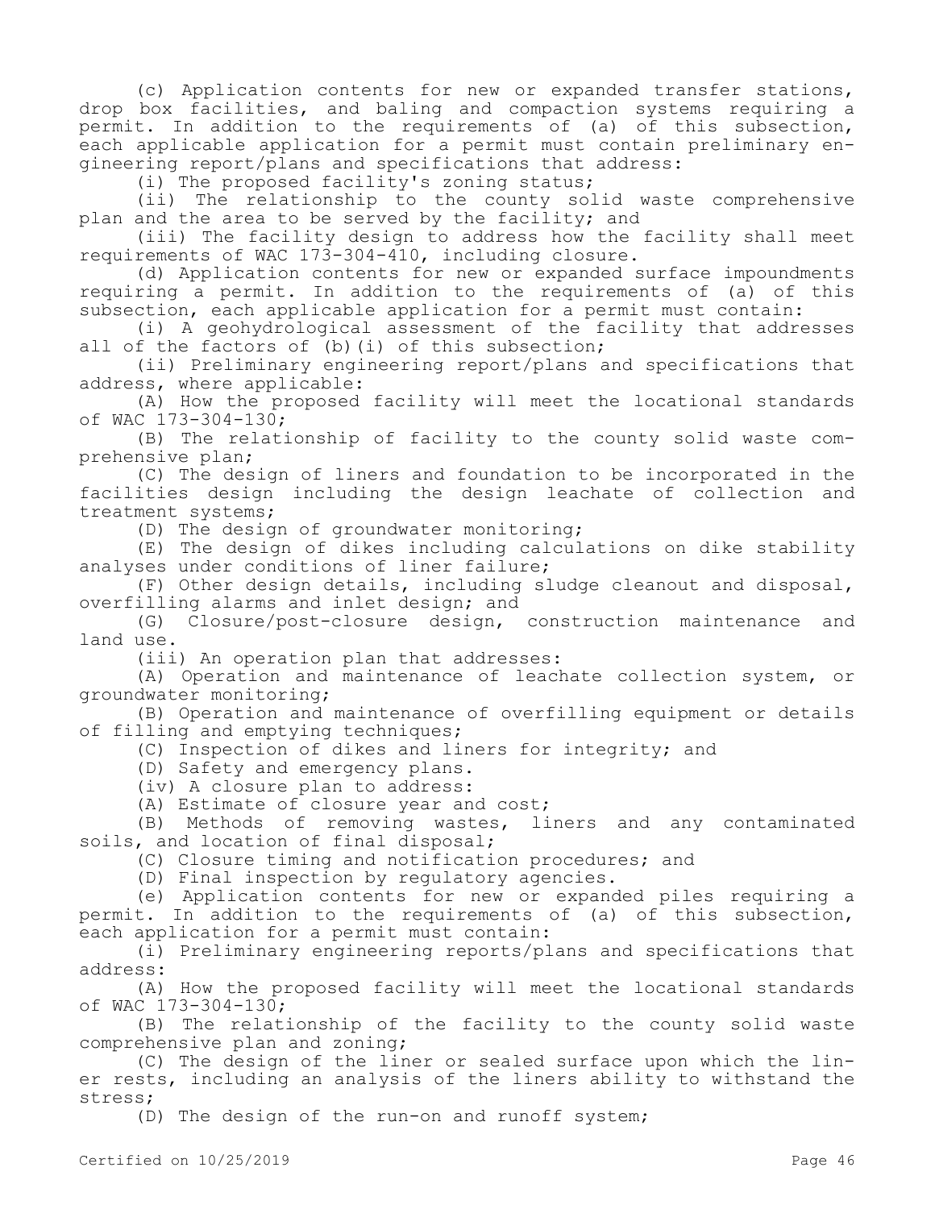(c) Application contents for new or expanded transfer stations, drop box facilities, and baling and compaction systems requiring a permit. In addition to the requirements of (a) of this subsection, .<br>each applicable application for a permit must contain preliminary engineering report/plans and specifications that address:

(i) The proposed facility's zoning status;

(ii) The relationship to the county solid waste comprehensive plan and the area to be served by the facility; and

(iii) The facility design to address how the facility shall meet requirements of WAC 173-304-410, including closure.

(d) Application contents for new or expanded surface impoundments requiring a permit. In addition to the requirements of (a) of this subsection, each applicable application for a permit must contain:

(i) A geohydrological assessment of the facility that addresses all of the factors of (b) (i) of this subsection;

(ii) Preliminary engineering report/plans and specifications that address, where applicable:

(A) How the proposed facility will meet the locational standards of WAC 173-304-130;

(B) The relationship of facility to the county solid waste comprehensive plan;

(C) The design of liners and foundation to be incorporated in the facilities design including the design leachate of collection and treatment systems;

(D) The design of groundwater monitoring;

(E) The design of dikes including calculations on dike stability analyses under conditions of liner failure;

(F) Other design details, including sludge cleanout and disposal, overfilling alarms and inlet design; and

(G) Closure/post-closure design, construction maintenance and land use.

(iii) An operation plan that addresses:

(A) Operation and maintenance of leachate collection system, or groundwater monitoring;

(B) Operation and maintenance of overfilling equipment or details of filling and emptying techniques;

(C) Inspection of dikes and liners for integrity; and

(D) Safety and emergency plans.

(iv) A closure plan to address:

(A) Estimate of closure year and cost;

(B) Methods of removing wastes, liners and any contaminated soils, and location of final disposal;

(C) Closure timing and notification procedures; and

(D) Final inspection by regulatory agencies.

(e) Application contents for new or expanded piles requiring a permit. In addition to the requirements of (a) of this subsection, each application for a permit must contain:

(i) Preliminary engineering reports/plans and specifications that address:

(A) How the proposed facility will meet the locational standards of WAC 173-304-130;

(B) The relationship of the facility to the county solid waste comprehensive plan and zoning;

(C) The design of the liner or sealed surface upon which the liner rests, including an analysis of the liners ability to withstand the stress;

(D) The design of the run-on and runoff system;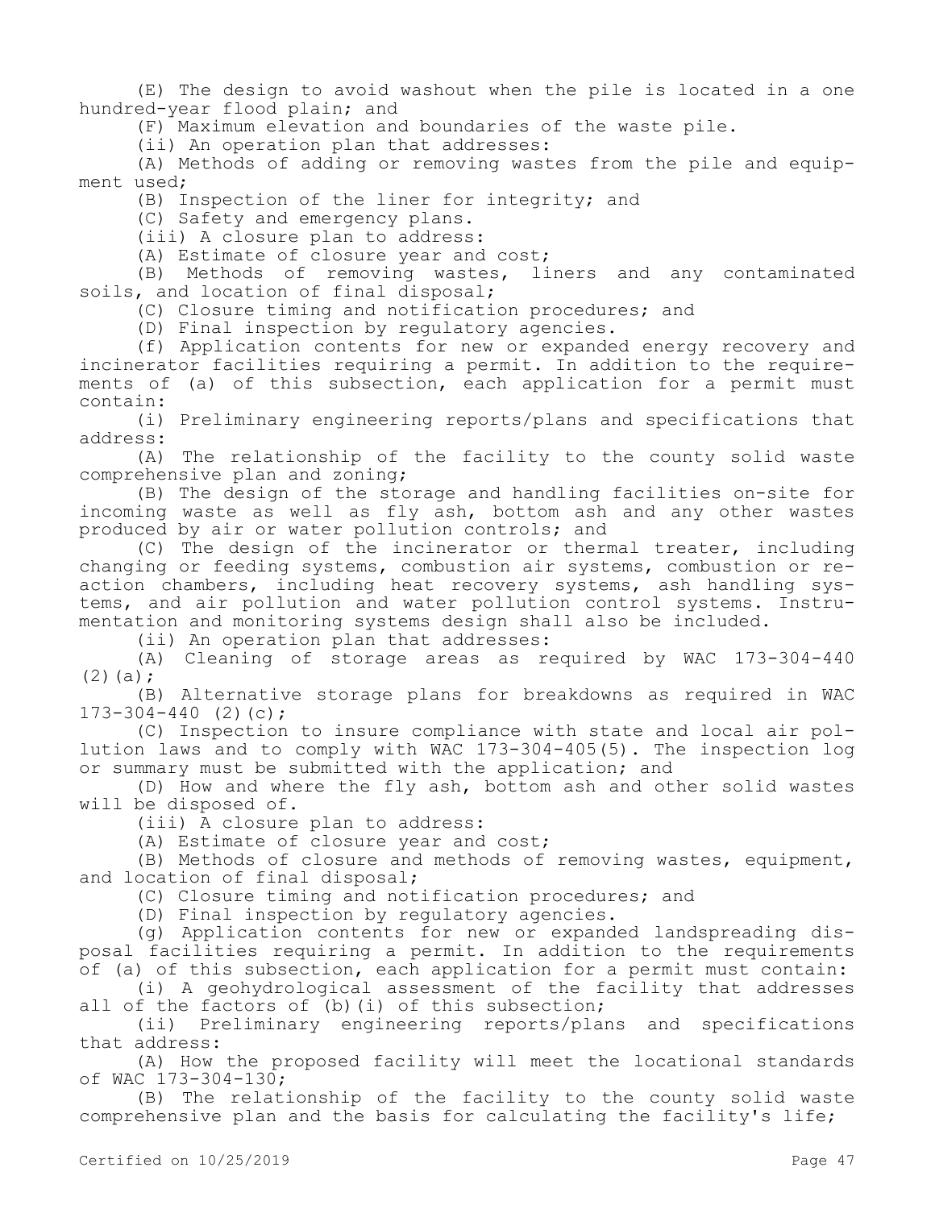(E) The design to avoid washout when the pile is located in a one hundred-year flood plain; and

(F) Maximum elevation and boundaries of the waste pile.

(ii) An operation plan that addresses:

(A) Methods of adding or removing wastes from the pile and equipment used;

(B) Inspection of the liner for integrity; and

(C) Safety and emergency plans.

(iii) A closure plan to address:

(A) Estimate of closure year and cost;

(B) Methods of removing wastes, liners and any contaminated soils, and location of final disposal;

(C) Closure timing and notification procedures; and

(D) Final inspection by regulatory agencies.

(f) Application contents for new or expanded energy recovery and incinerator facilities requiring a permit. In addition to the requirements of (a) of this subsection, each application for a permit must contain:

(i) Preliminary engineering reports/plans and specifications that address:

(A) The relationship of the facility to the county solid waste comprehensive plan and zoning;

(B) The design of the storage and handling facilities on-site for incoming waste as well as fly ash, bottom ash and any other wastes produced by air or water pollution controls; and

(C) The design of the incinerator or thermal treater, including changing or feeding systems, combustion air systems, combustion or reaction chambers, including heat recovery systems, ash handling systems, and air pollution and water pollution control systems. Instrumentation and monitoring systems design shall also be included.

(ii) An operation plan that addresses:

(A) Cleaning of storage areas as required by WAC 173-304-440  $(2)(a);$ 

(B) Alternative storage plans for breakdowns as required in WAC  $173-304-440$  (2)(c);

(C) Inspection to insure compliance with state and local air pollution laws and to comply with WAC 173-304-405(5). The inspection log or summary must be submitted with the application; and

(D) How and where the fly ash, bottom ash and other solid wastes will be disposed of.

(iii) A closure plan to address:

(A) Estimate of closure year and cost;

(B) Methods of closure and methods of removing wastes, equipment, and location of final disposal;

(C) Closure timing and notification procedures; and

(D) Final inspection by regulatory agencies.

(g) Application contents for new or expanded landspreading disposal facilities requiring a permit. In addition to the requirements of (a) of this subsection, each application for a permit must contain:

(i) A geohydrological assessment of the facility that addresses all of the factors of (b)(i) of this subsection;

(ii) Preliminary engineering reports/plans and specifications that address:

(A) How the proposed facility will meet the locational standards of WAC 173-304-130;

(B) The relationship of the facility to the county solid waste comprehensive plan and the basis for calculating the facility's life;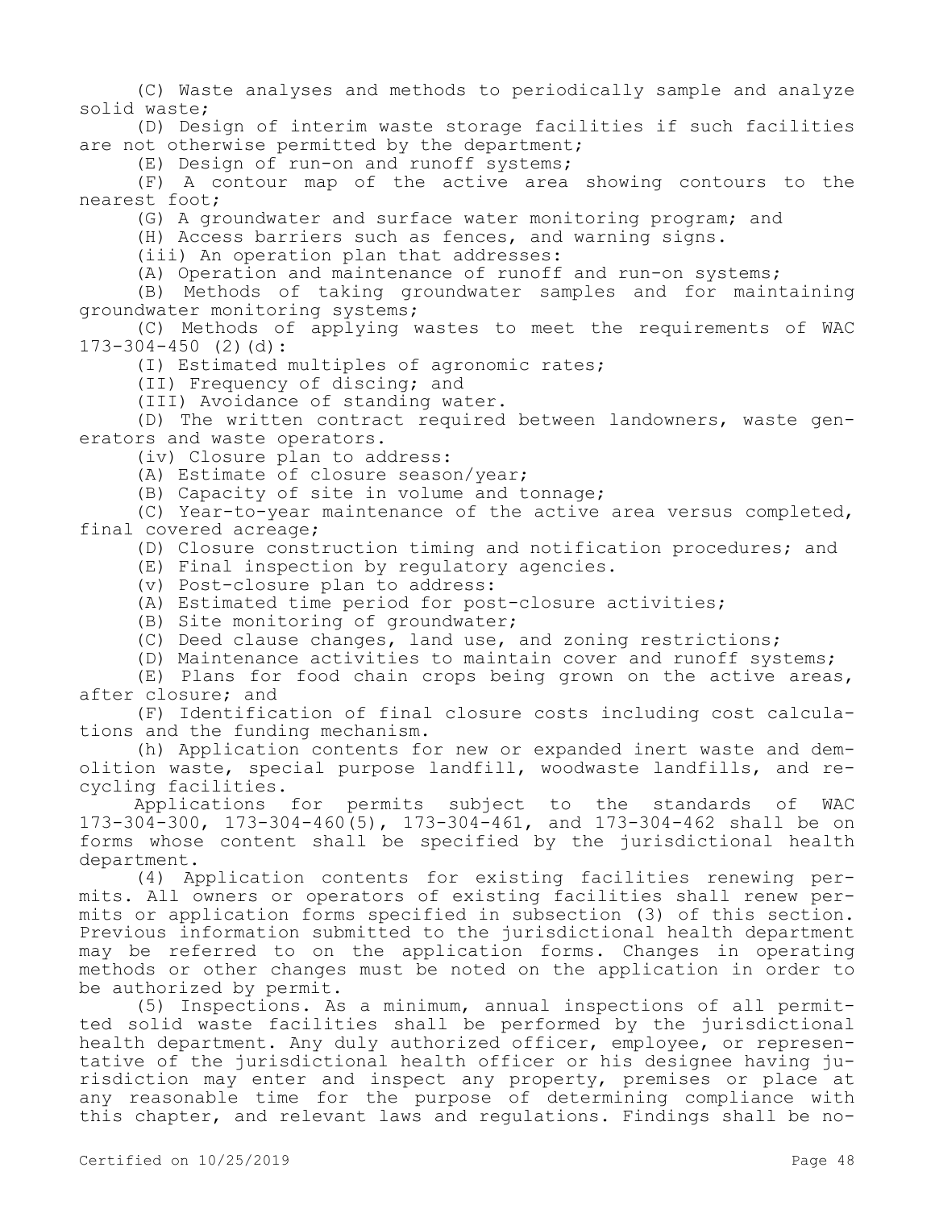(C) Waste analyses and methods to periodically sample and analyze solid waste;

(D) Design of interim waste storage facilities if such facilities are not otherwise permitted by the department;

(E) Design of run-on and runoff systems;

(F) A contour map of the active area showing contours to the nearest foot;

(G) A groundwater and surface water monitoring program; and

(H) Access barriers such as fences, and warning signs.

(iii) An operation plan that addresses:

(A) Operation and maintenance of runoff and run-on systems;

(B) Methods of taking groundwater samples and for maintaining groundwater monitoring systems;

(C) Methods of applying wastes to meet the requirements of WAC  $173-304-450$  (2)(d):

(I) Estimated multiples of agronomic rates;

(II) Frequency of discing; and

(III) Avoidance of standing water.

(D) The written contract required between landowners, waste generators and waste operators.

(iv) Closure plan to address:

(A) Estimate of closure season/year;

(B) Capacity of site in volume and tonnage;

(C) Year-to-year maintenance of the active area versus completed, final covered acreage;

(D) Closure construction timing and notification procedures; and

(E) Final inspection by regulatory agencies.

(v) Post-closure plan to address:

(A) Estimated time period for post-closure activities;

(B) Site monitoring of groundwater;

(C) Deed clause changes, land use, and zoning restrictions;

(D) Maintenance activities to maintain cover and runoff systems;

(E) Plans for food chain crops being grown on the active areas, after closure; and

(F) Identification of final closure costs including cost calculations and the funding mechanism.

(h) Application contents for new or expanded inert waste and demolition waste, special purpose landfill, woodwaste landfills, and recycling facilities.

Applications for permits subject to the standards of WAC 173-304-300, 173-304-460(5), 173-304-461, and 173-304-462 shall be on forms whose content shall be specified by the jurisdictional health department.

(4) Application contents for existing facilities renewing permits. All owners or operators of existing facilities shall renew permits or application forms specified in subsection (3) of this section. Previous information submitted to the jurisdictional health department may be referred to on the application forms. Changes in operating methods or other changes must be noted on the application in order to be authorized by permit.

(5) Inspections. As a minimum, annual inspections of all permitted solid waste facilities shall be performed by the jurisdictional health department. Any duly authorized officer, employee, or representative of the jurisdictional health officer or his designee having jurisdiction may enter and inspect any property, premises or place at any reasonable time for the purpose of determining compliance with this chapter, and relevant laws and regulations. Findings shall be no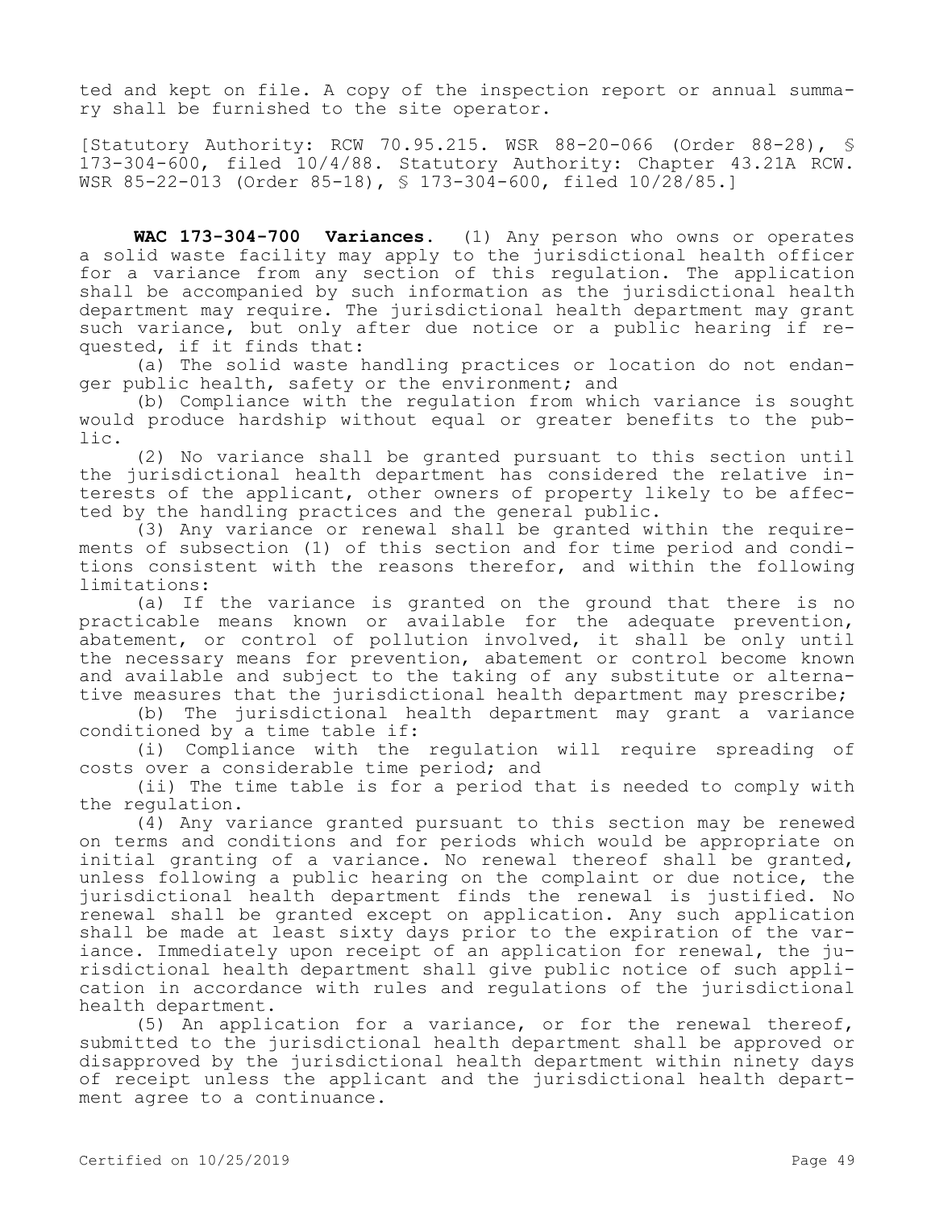ted and kept on file. A copy of the inspection report or annual summary shall be furnished to the site operator.

[Statutory Authority: RCW 70.95.215. WSR 88-20-066 (Order 88-28), § 173-304-600, filed 10/4/88. Statutory Authority: Chapter 43.21A RCW. WSR 85-22-013 (Order 85-18), § 173-304-600, filed 10/28/85.]

**WAC 173-304-700 Variances.** (1) Any person who owns or operates a solid waste facility may apply to the jurisdictional health officer for a variance from any section of this regulation. The application shall be accompanied by such information as the jurisdictional health department may require. The jurisdictional health department may grant such variance, but only after due notice or a public hearing if requested, if it finds that:

(a) The solid waste handling practices or location do not endanger public health, safety or the environment; and

(b) Compliance with the regulation from which variance is sought would produce hardship without equal or greater benefits to the public.

(2) No variance shall be granted pursuant to this section until the jurisdictional health department has considered the relative interests of the applicant, other owners of property likely to be affected by the handling practices and the general public.

(3) Any variance or renewal shall be granted within the requirements of subsection (1) of this section and for time period and conditions consistent with the reasons therefor, and within the following limitations:

(a) If the variance is granted on the ground that there is no practicable means known or available for the adequate prevention, abatement, or control of pollution involved, it shall be only until the necessary means for prevention, abatement or control become known and available and subject to the taking of any substitute or alternative measures that the jurisdictional health department may prescribe;

(b) The jurisdictional health department may grant a variance conditioned by a time table if:

(i) Compliance with the regulation will require spreading of costs over a considerable time period; and

(ii) The time table is for a period that is needed to comply with the regulation.

(4) Any variance granted pursuant to this section may be renewed on terms and conditions and for periods which would be appropriate on initial granting of a variance. No renewal thereof shall be granted, unless following a public hearing on the complaint or due notice, the jurisdictional health department finds the renewal is justified. No renewal shall be granted except on application. Any such application shall be made at least sixty days prior to the expiration of the variance. Immediately upon receipt of an application for renewal, the jurisdictional health department shall give public notice of such application in accordance with rules and regulations of the jurisdictional health department.

(5) An application for a variance, or for the renewal thereof, submitted to the jurisdictional health department shall be approved or disapproved by the jurisdictional health department within ninety days of receipt unless the applicant and the jurisdictional health department agree to a continuance.